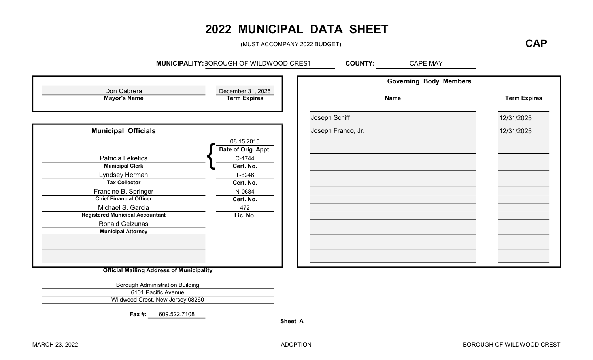# 2022 MUNICIPAL DATA SHEET

(MUST ACCOMPANY 2022 BUDGET)

### **CAP**

MUNICIPALITY: 30 ROUGH OF WILDWOOD CREST COUNTY: CAPE MAY

|                                                 |                                          | <b>Governing Body Members</b> |                     |
|-------------------------------------------------|------------------------------------------|-------------------------------|---------------------|
| Don Cabrera<br><b>Mayor's Name</b>              | December 31, 2025<br><b>Term Expires</b> | <b>Name</b>                   | <b>Term Expires</b> |
|                                                 |                                          | Joseph Schiff                 | 12/31/2025          |
| <b>Municipal Officials</b>                      |                                          | Joseph Franco, Jr.            | 12/31/2025          |
|                                                 | 08.15.2015                               |                               |                     |
|                                                 | Date of Orig. Appt.                      |                               |                     |
| <b>Patricia Feketics</b>                        | C-1744                                   |                               |                     |
| <b>Municipal Clerk</b>                          | Cert. No.                                |                               |                     |
| Lyndsey Herman                                  | T-8246                                   |                               |                     |
| <b>Tax Collector</b>                            | Cert. No.                                |                               |                     |
| Francine B. Springer                            | N-0684                                   |                               |                     |
| <b>Chief Financial Officer</b>                  | Cert. No.                                |                               |                     |
| Michael S. Garcia                               | 472                                      |                               |                     |
| <b>Registered Municipal Accountant</b>          | Lic. No.                                 |                               |                     |
| <b>Ronald Gelzunas</b>                          |                                          |                               |                     |
| <b>Municipal Attorney</b>                       |                                          |                               |                     |
|                                                 |                                          |                               |                     |
|                                                 |                                          |                               |                     |
|                                                 |                                          |                               |                     |
| <b>Official Mailing Address of Municipality</b> |                                          |                               |                     |

ing Address of Municipality

Borough Administration Building 6101 Pacific Avenue Wildwood Crest, New Jersey 08260

Fax #: 609.522.7108

Sheet A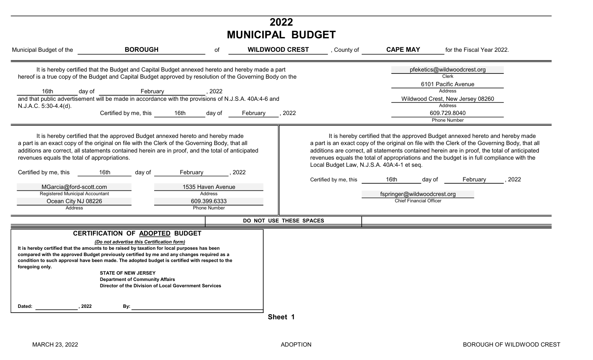| 2022<br><b>MUNICIPAL BUDGET</b>                                                                                                                                                                                        |                                                                                                                                                                                                                                                                                                                                                                                                                                                                                                                                                                                                                                                                               |                                                                                                     |                            |                                                                     |                                                                                 |                                                                                                                                                                                                                                                                                                                                                                                                                                                                                                                                                                                    |  |  |
|------------------------------------------------------------------------------------------------------------------------------------------------------------------------------------------------------------------------|-------------------------------------------------------------------------------------------------------------------------------------------------------------------------------------------------------------------------------------------------------------------------------------------------------------------------------------------------------------------------------------------------------------------------------------------------------------------------------------------------------------------------------------------------------------------------------------------------------------------------------------------------------------------------------|-----------------------------------------------------------------------------------------------------|----------------------------|---------------------------------------------------------------------|---------------------------------------------------------------------------------|------------------------------------------------------------------------------------------------------------------------------------------------------------------------------------------------------------------------------------------------------------------------------------------------------------------------------------------------------------------------------------------------------------------------------------------------------------------------------------------------------------------------------------------------------------------------------------|--|--|
| Municipal Budget of the                                                                                                                                                                                                | <b>BOROUGH</b>                                                                                                                                                                                                                                                                                                                                                                                                                                                                                                                                                                                                                                                                | of                                                                                                  | <b>WILDWOOD CREST</b>      | , County of                                                         | <b>CAPE MAY</b>                                                                 | for the Fiscal Year 2022.                                                                                                                                                                                                                                                                                                                                                                                                                                                                                                                                                          |  |  |
| 16th<br>day of<br>N.J.A.C. 5:30-4.4(d).<br>revenues equals the total of appropriations.<br>Certified by me, this<br>MGarcia@ford-scott.com<br><b>Registered Municipal Accountant</b><br>Ocean City NJ 08226<br>Address | It is hereby certified that the Budget and Capital Budget annexed hereto and hereby made a part<br>hereof is a true copy of the Budget and Capital Budget approved by resolution of the Governing Body on the<br>February<br>and that public advertisement will be made in accordance with the provisions of N.J.S.A. 40A:4-6 and<br>Certified by me, this<br>16th<br>It is hereby certified that the approved Budget annexed hereto and hereby made<br>a part is an exact copy of the original on file with the Clerk of the Governing Body, that all<br>additions are correct, all statements contained herein are in proof, and the total of anticipated<br>16th<br>day of | , 2022<br>day of<br>February<br>1535 Haven Avenue<br>Address<br>609.399.6333<br><b>Phone Number</b> | , 2022<br>February<br>2022 | Local Budget Law, N.J.S.A. 40A:4-1 et seq.<br>Certified by me, this | 16th<br>day of<br>fspringer@wildwoodcrest.org<br><b>Chief Financial Officer</b> | pfeketics@wildwoodcrest.org<br>Clerk<br>6101 Pacific Avenue<br><b>Address</b><br>Wildwood Crest, New Jersey 08260<br><b>Address</b><br>609.729.8040<br><b>Phone Number</b><br>It is hereby certified that the approved Budget annexed hereto and hereby made<br>a part is an exact copy of the original on file with the Clerk of the Governing Body, that all<br>additions are correct, all statements contained herein are in proof, the total of anticipated<br>revenues equals the total of appropriations and the budget is in full compliance with the<br>, 2022<br>February |  |  |
|                                                                                                                                                                                                                        |                                                                                                                                                                                                                                                                                                                                                                                                                                                                                                                                                                                                                                                                               |                                                                                                     | DO NOT USE THESE SPACES    |                                                                     |                                                                                 |                                                                                                                                                                                                                                                                                                                                                                                                                                                                                                                                                                                    |  |  |
| foregoing only.                                                                                                                                                                                                        | CERTIFICATION OF ADOPTED BUDGET<br>(Do not advertise this Certification form)<br>It is hereby certified that the amounts to be raised by taxation for local purposes has been<br>compared with the approved Budget previously certified by me and any changes required as a<br>condition to such approval have been made. The adopted budget is certified with respect to the<br><b>STATE OF NEW JERSEY</b><br><b>Department of Community Affairs</b><br>Director of the Division of Local Government Services                                                                                                                                                                |                                                                                                     |                            |                                                                     |                                                                                 |                                                                                                                                                                                                                                                                                                                                                                                                                                                                                                                                                                                    |  |  |
| 2022<br>Dated:                                                                                                                                                                                                         | By:                                                                                                                                                                                                                                                                                                                                                                                                                                                                                                                                                                                                                                                                           |                                                                                                     | Sheet 1                    |                                                                     |                                                                                 |                                                                                                                                                                                                                                                                                                                                                                                                                                                                                                                                                                                    |  |  |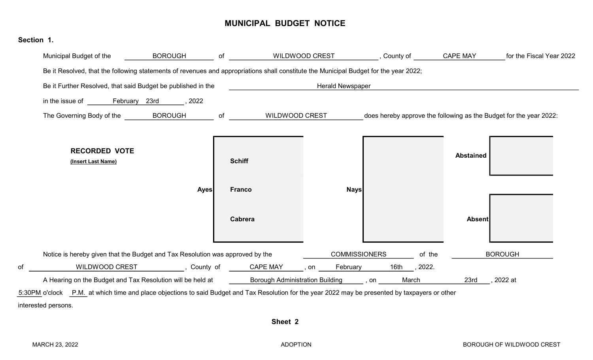#### MUNICIPAL BUDGET NOTICE

| Section 1. |                                                                                                                                                   |                                                                               |                          |                         |              |        |                      |                                                                    |
|------------|---------------------------------------------------------------------------------------------------------------------------------------------------|-------------------------------------------------------------------------------|--------------------------|-------------------------|--------------|--------|----------------------|--------------------------------------------------------------------|
|            | Municipal Budget of the                                                                                                                           | <b>BOROUGH</b>                                                                | $\circ$ f                | WILDWOOD CREST          |              |        | , County of GAPE MAY | for the Fiscal Year 2022                                           |
|            | Be it Resolved, that the following statements of revenues and appropriations shall constitute the Municipal Budget for the year 2022;             |                                                                               |                          |                         |              |        |                      |                                                                    |
|            | Be it Further Resolved, that said Budget be published in the                                                                                      |                                                                               |                          | <b>Herald Newspaper</b> |              |        |                      |                                                                    |
|            |                                                                                                                                                   | $\frac{1}{2}$ , 2022                                                          |                          |                         |              |        |                      |                                                                    |
|            | The Governing Body of the __________ BOROUGH                                                                                                      |                                                                               | of WILDWOOD CREST        |                         |              |        |                      | does hereby approve the following as the Budget for the year 2022: |
|            | <b>RECORDED VOTE</b><br>(Insert Last Name)                                                                                                        |                                                                               | <b>Schiff</b>            |                         |              |        | <b>Abstained</b>     |                                                                    |
|            |                                                                                                                                                   | <b>Ayes</b>                                                                   | <b>Franco</b><br>Cabrera | <b>Nays</b>             |              |        | <b>Absent</b>        |                                                                    |
|            | Notice is hereby given that the Budget and Tax Resolution was approved by the                                                                     |                                                                               |                          | <b>COMMISSIONERS</b>    |              | of the |                      | <b>BOROUGH</b>                                                     |
| of         |                                                                                                                                                   | WILDWOOD CREST _____________, County of ______CAPE MAY ____, on _____February |                          |                         | 16th , 2022. |        |                      |                                                                    |
|            | A Hearing on the Budget and Tax Resolution will be held at Borough Administration Building (American bookstand                                    |                                                                               |                          |                         |              | March  | 23rd                 | ,2022 at                                                           |
|            | 5:30PM o'clock P.M. at which time and place objections to said Budget and Tax Resolution for the year 2022 may be presented by taxpayers or other |                                                                               |                          |                         |              |        |                      |                                                                    |
|            | interested persons.                                                                                                                               |                                                                               |                          |                         |              |        |                      |                                                                    |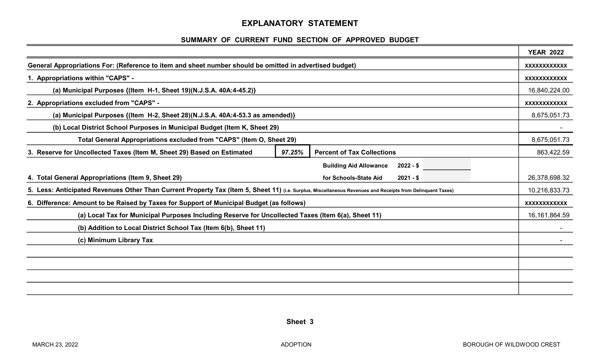#### EXPLANATORY STATEMENT

#### SUMMARY OF CURRENT FUND SECTION OF APPROVED BUDGET

|                                                                                                                                                            |        |                                             | <b>YEAR 2022</b>    |
|------------------------------------------------------------------------------------------------------------------------------------------------------------|--------|---------------------------------------------|---------------------|
| General Appropriations For: (Reference to item and sheet number should be omitted in advertised budget)                                                    |        |                                             | <b>XXXXXXXXXXXX</b> |
| 1. Appropriations within "CAPS" -                                                                                                                          |        |                                             | <b>XXXXXXXXXXXX</b> |
| (a) Municipal Purposes {(Item H-1, Sheet 19)(N.J.S.A. 40A:4-45.2)}                                                                                         |        |                                             | 16,840,224.00       |
| 2. Appropriations excluded from "CAPS" -                                                                                                                   |        |                                             | <b>XXXXXXXXXXXX</b> |
| (a) Municipal Purposes {(Item H-2, Sheet 28)(N.J.S.A. 40A:4-53.3 as amended)}                                                                              |        |                                             | 8,675,051.73        |
| (b) Local District School Purposes in Municipal Budget (Item K, Sheet 29)                                                                                  |        |                                             |                     |
| Total General Appropriations excluded from "CAPS" (Item O, Sheet 29)                                                                                       |        |                                             | 8,675,051.73        |
| 3. Reserve for Uncollected Taxes (Item M, Sheet 29) Based on Estimated                                                                                     | 97.25% | <b>Percent of Tax Collections</b>           | 863,422.59          |
|                                                                                                                                                            |        | <b>Building Aid Allowance</b><br>$2022 - $$ |                     |
| 4. Total General Appropriations (Item 9, Sheet 29)                                                                                                         |        | for Schools-State Aid<br>$2021 - $$         | 26,378,698.32       |
| 5. Less: Anticipated Revenues Other Than Current Property Tax (Item 5, Sheet 11) (i.e. Surplus, Miscellaneous Revenues and Receipts from Delinquent Taxes) |        |                                             | 10,216,833.73       |
| 6. Difference: Amount to be Raised by Taxes for Support of Municipal Budget (as follows)                                                                   |        |                                             | XXXXXXXXXXX         |
| (a) Local Tax for Municipal Purposes Including Reserve for Uncollected Taxes (Item 6(a), Sheet 11)                                                         |        |                                             | 16, 161, 864.59     |
| (b) Addition to Local District School Tax (Item 6(b), Sheet 11)                                                                                            |        |                                             |                     |
| (c) Minimum Library Tax                                                                                                                                    |        |                                             |                     |
|                                                                                                                                                            |        |                                             |                     |
|                                                                                                                                                            |        |                                             |                     |
|                                                                                                                                                            |        |                                             |                     |
|                                                                                                                                                            |        |                                             |                     |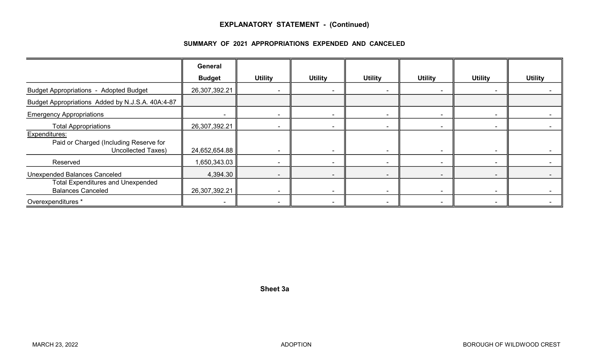#### EXPLANATORY STATEMENT - (Continued)

#### SUMMARY OF 2021 APPROPRIATIONS EXPENDED AND CANCELED

|                                                                                                             | General                   |                                            |                                            |                          |                          |                          |                |
|-------------------------------------------------------------------------------------------------------------|---------------------------|--------------------------------------------|--------------------------------------------|--------------------------|--------------------------|--------------------------|----------------|
|                                                                                                             | <b>Budget</b>             | <b>Utility</b>                             | <b>Utility</b>                             | <b>Utility</b>           | <b>Utility</b>           | <b>Utility</b>           | <b>Utility</b> |
| <b>Budget Appropriations - Adopted Budget</b>                                                               | 26,307,392.21             |                                            |                                            | $\overline{\phantom{a}}$ |                          |                          |                |
| Budget Appropriations Added by N.J.S.A. 40A:4-87                                                            |                           |                                            |                                            |                          |                          |                          |                |
| <b>Emergency Appropriations</b>                                                                             |                           |                                            |                                            | $\overline{\phantom{a}}$ |                          |                          |                |
| <b>Total Appropriations</b>                                                                                 | 26,307,392.21             |                                            |                                            | $\sim$                   |                          | $\blacksquare$           |                |
| Expenditures:<br>Paid or Charged (Including Reserve for<br><b>Uncollected Taxes)</b>                        | 24,652,654.88             |                                            |                                            | $\overline{\phantom{0}}$ |                          |                          |                |
| Reserved                                                                                                    | 1,650,343.03              |                                            |                                            | $\sim$                   | -                        | $\blacksquare$           |                |
| <b>Unexpended Balances Canceled</b><br><b>Total Expenditures and Unexpended</b><br><b>Balances Canceled</b> | 4,394.30<br>26,307,392.21 | $\overline{\phantom{a}}$<br>$\blacksquare$ | $\blacksquare$<br>$\overline{\phantom{a}}$ | $\sim$                   | $\overline{\phantom{a}}$ | $\blacksquare$<br>$\sim$ |                |
| Overexpenditures *                                                                                          | $\overline{\phantom{a}}$  | $\overline{\phantom{a}}$                   | $\overline{\phantom{a}}$                   | $\sim$                   |                          | $\blacksquare$           |                |

Sheet 3a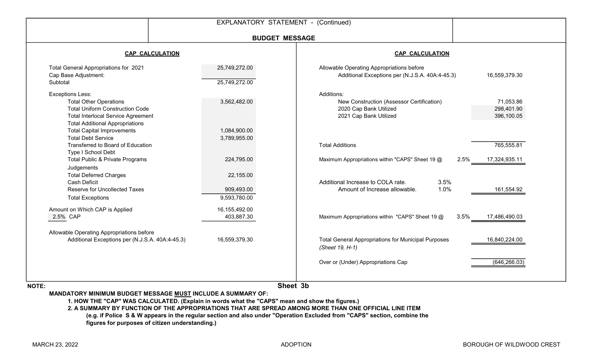|                                                                                                                                                                                                                                |                                         | EXPLANATORY STATEMENT - (Continued)                                                                         |                                       |
|--------------------------------------------------------------------------------------------------------------------------------------------------------------------------------------------------------------------------------|-----------------------------------------|-------------------------------------------------------------------------------------------------------------|---------------------------------------|
|                                                                                                                                                                                                                                | <b>BUDGET MESSAGE</b>                   |                                                                                                             |                                       |
| <b>CAP CALCULATION</b>                                                                                                                                                                                                         |                                         | <b>CAP CALCULATION</b>                                                                                      |                                       |
| Total General Appropriations for 2021<br>Cap Base Adjustment:<br>Subtotal                                                                                                                                                      | 25,749,272.00<br>25,749,272.00          | Allowable Operating Appropriations before<br>Additional Exceptions per (N.J.S.A. 40A:4-45.3)                | 16,559,379.30                         |
| <b>Exceptions Less:</b><br><b>Total Other Operations</b><br><b>Total Uniform Construction Code</b><br><b>Total Interlocal Service Agreement</b><br><b>Total Additional Appropriations</b><br><b>Total Capital Improvements</b> | 3,562,482.00<br>1,084,900.00            | Additions:<br>New Construction (Assessor Certification)<br>2020 Cap Bank Utilized<br>2021 Cap Bank Utilized | 71,053.86<br>298,401.90<br>396,100.05 |
| <b>Total Debt Service</b><br>Transferred to Board of Education<br>Type I School Debt<br>Total Public & Private Programs                                                                                                        | 3,789,955.00<br>224,795.00              | <b>Total Additions</b><br>Maximum Appropriations within "CAPS" Sheet 19 @<br>2.5%                           | 765,555.81<br>17,324,935.11           |
| Judgements<br><b>Total Deferred Charges</b><br><b>Cash Deficit</b><br><b>Reserve for Uncollected Taxes</b><br><b>Total Exceptions</b>                                                                                          | 22,155.00<br>909,493.00<br>9,593,780.00 | Additional Increase to COLA rate.<br>3.5%<br>1.0%<br>Amount of Increase allowable.                          | 161,554.92                            |
| Amount on Which CAP is Applied<br>2.5% CAP                                                                                                                                                                                     | 16,155,492.00<br>403,887.30             | Maximum Appropriations within "CAPS" Sheet 19 @<br>3.5%                                                     | 17,486,490.03                         |
| Allowable Operating Appropriations before<br>Additional Exceptions per (N.J.S.A. 40A:4-45.3)                                                                                                                                   | 16,559,379.30                           | <b>Total General Appropriations for Municipal Purposes</b><br>(Sheet 19, H-1)                               | 16,840,224.00                         |
|                                                                                                                                                                                                                                |                                         | Over or (Under) Appropriations Cap                                                                          | (646, 266.03)                         |

NOTE:

Sheet 3b

MANDATORY MINIMUM BUDGET MESSAGE MUST INCLUDE A SUMMARY OF:

1. HOW THE "CAP" WAS CALCULATED. (Explain in words what the "CAPS" mean and show the figures.)

2. A SUMMARY BY FUNCTION OF THE APPROPRIATIONS THAT ARE SPREAD AMONG MORE THAN ONE OFFICIAL LINE ITEM (e.g. if Police S & W appears in the regular section and also under "Operation Excluded from "CAPS" section, combine the figures for purposes of citizen understanding.)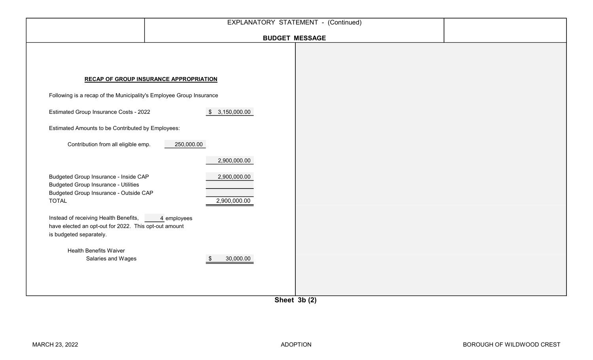|                                                                                                                                       |                                               | <b>BUDGET MESSAGE</b>                                                                      |  |
|---------------------------------------------------------------------------------------------------------------------------------------|-----------------------------------------------|--------------------------------------------------------------------------------------------|--|
|                                                                                                                                       | <b>RECAP OF GROUP INSURANCE APPROPRIATION</b> |                                                                                            |  |
| Following is a recap of the Municipality's Employee Group Insurance                                                                   |                                               |                                                                                            |  |
| Estimated Group Insurance Costs - 2022                                                                                                | \$3,150,000.00                                |                                                                                            |  |
| Estimated Amounts to be Contributed by Employees:                                                                                     |                                               |                                                                                            |  |
| Contribution from all eligible emp.                                                                                                   | 250,000.00                                    |                                                                                            |  |
|                                                                                                                                       | 2,900,000.00                                  |                                                                                            |  |
| Budgeted Group Insurance - Inside CAP<br><b>Budgeted Group Insurance - Utilities</b><br><b>Budgeted Group Insurance - Outside CAP</b> | 2,900,000.00                                  |                                                                                            |  |
| <b>TOTAL</b>                                                                                                                          | 2,900,000.00                                  |                                                                                            |  |
| Instead of receiving Health Benefits,<br>have elected an opt-out for 2022. This opt-out amount<br>is budgeted separately.             | 4 employees                                   |                                                                                            |  |
| <b>Health Benefits Waiver</b>                                                                                                         |                                               |                                                                                            |  |
| Salaries and Wages                                                                                                                    | 30,000.00<br>8                                | $\mathbf{A}$ $\mathbf{A}$ $\mathbf{A}$ $\mathbf{A}$ $\mathbf{A}$ $\mathbf{A}$ $\mathbf{A}$ |  |

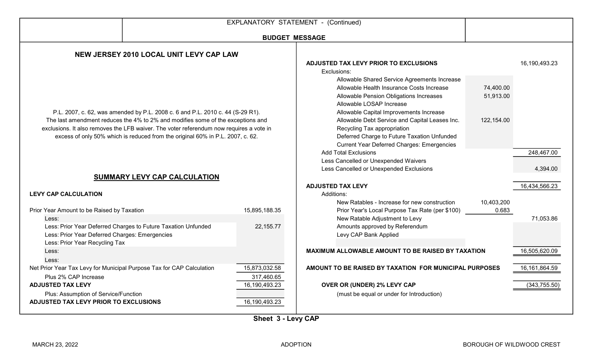|                                                                                                                                                                                                                                                              |                             | EXPLANATORY STATEMENT - (Continued)                                                                                                                                               |                     |                        |  |
|--------------------------------------------------------------------------------------------------------------------------------------------------------------------------------------------------------------------------------------------------------------|-----------------------------|-----------------------------------------------------------------------------------------------------------------------------------------------------------------------------------|---------------------|------------------------|--|
|                                                                                                                                                                                                                                                              | <b>BUDGET MESSAGE</b>       |                                                                                                                                                                                   |                     |                        |  |
| NEW JERSEY 2010 LOCAL UNIT LEVY CAP LAW                                                                                                                                                                                                                      |                             |                                                                                                                                                                                   |                     |                        |  |
|                                                                                                                                                                                                                                                              |                             | ADJUSTED TAX LEVY PRIOR TO EXCLUSIONS<br>Exclusions:<br>Allowable Shared Service Agreements Increase<br>Allowable Health Insurance Costs Increase                                 | 74,400.00           | 16,190,493.23          |  |
| P.L. 2007, c. 62, was amended by P.L. 2008 c. 6 and P.L. 2010 c. 44 (S-29 R1).                                                                                                                                                                               |                             | Allowable Pension Obligations Increases<br>Allowable LOSAP Increase<br>Allowable Capital Improvements Increase                                                                    | 51,913.00           |                        |  |
| The last amendment reduces the 4% to 2% and modifies some of the exceptions and<br>exclusions. It also removes the LFB waiver. The voter referendum now requires a vote in<br>excess of only 50% which is reduced from the original 60% in P.L. 2007, c. 62. |                             | Allowable Debt Service and Capital Leases Inc.<br>Recycling Tax appropriation<br>Deferred Charge to Future Taxation Unfunded<br><b>Current Year Deferred Charges: Emergencies</b> | 122,154.00          |                        |  |
| SUMMARY LEVY CAP CALCULATION                                                                                                                                                                                                                                 |                             | <b>Add Total Exclusions</b><br>Less Cancelled or Unexpended Waivers<br>Less Cancelled or Unexpended Exclusions                                                                    |                     | 248,467.00<br>4,394.00 |  |
|                                                                                                                                                                                                                                                              |                             | <b>ADJUSTED TAX LEVY</b>                                                                                                                                                          |                     | 16,434,566.23          |  |
| <b>LEVY CAP CALCULATION</b>                                                                                                                                                                                                                                  |                             | Additions:                                                                                                                                                                        |                     |                        |  |
| Prior Year Amount to be Raised by Taxation<br>Less:                                                                                                                                                                                                          | 15,895,188.35               | New Ratables - Increase for new construction<br>Prior Year's Local Purpose Tax Rate (per \$100)<br>New Ratable Adjustment to Levy                                                 | 10,403,200<br>0.683 | 71,053.86              |  |
| Less: Prior Year Deferred Charges to Future Taxation Unfunded<br>Less: Prior Year Deferred Charges: Emergencies<br>Less: Prior Year Recycling Tax                                                                                                            | 22,155.77                   | Amounts approved by Referendum<br>Levy CAP Bank Applied                                                                                                                           |                     |                        |  |
| Less:<br>Less:                                                                                                                                                                                                                                               |                             | MAXIMUM ALLOWABLE AMOUNT TO BE RAISED BY TAXATION                                                                                                                                 |                     | 16,505,620.09          |  |
| Net Prior Year Tax Levy for Municipal Purpose Tax for CAP Calculation<br>Plus 2% CAP Increase                                                                                                                                                                | 15,873,032.58<br>317,460.65 | AMOUNT TO BE RAISED BY TAXATION FOR MUNICIPAL PURPOSES                                                                                                                            |                     | 16, 161, 864.59        |  |
| <b>ADJUSTED TAX LEVY</b>                                                                                                                                                                                                                                     | 16,190,493.23               | OVER OR (UNDER) 2% LEVY CAP                                                                                                                                                       |                     | (343, 755.50)          |  |
| Plus: Assumption of Service/Function<br>ADJUSTED TAX LEVY PRIOR TO EXCLUSIONS                                                                                                                                                                                | 16,190,493.23               | (must be equal or under for Introduction)                                                                                                                                         |                     |                        |  |

Sheet 3 - Levy CAP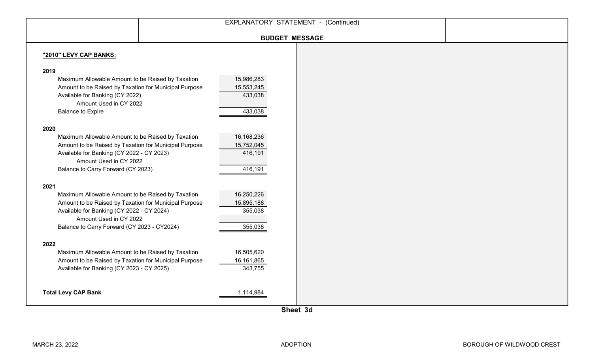|                                                                     |            | EXPLANATORY STATEMENT - (Continued) |  |
|---------------------------------------------------------------------|------------|-------------------------------------|--|
|                                                                     |            | <b>BUDGET MESSAGE</b>               |  |
|                                                                     |            |                                     |  |
| "2010" LEVY CAP BANKS:                                              |            |                                     |  |
|                                                                     |            |                                     |  |
| 2019                                                                |            |                                     |  |
| Maximum Allowable Amount to be Raised by Taxation                   | 15,986,283 |                                     |  |
| Amount to be Raised by Taxation for Municipal Purpose               | 15,553,245 |                                     |  |
| Available for Banking (CY 2022)                                     | 433,038    |                                     |  |
| Amount Used in CY 2022                                              |            |                                     |  |
| <b>Balance to Expire</b>                                            | 433,038    |                                     |  |
|                                                                     |            |                                     |  |
| 2020                                                                |            |                                     |  |
| Maximum Allowable Amount to be Raised by Taxation                   | 16,168,236 |                                     |  |
| Amount to be Raised by Taxation for Municipal Purpose               | 15,752,045 |                                     |  |
| Available for Banking (CY 2022 - CY 2023)<br>Amount Used in CY 2022 | 416,191    |                                     |  |
|                                                                     |            |                                     |  |
| Balance to Carry Forward (CY 2023)                                  | 416,191    |                                     |  |
| 2021                                                                |            |                                     |  |
| Maximum Allowable Amount to be Raised by Taxation                   | 16,250,226 |                                     |  |
| Amount to be Raised by Taxation for Municipal Purpose               | 15,895,188 |                                     |  |
| Available for Banking (CY 2022 - CY 2024)                           | 355,038    |                                     |  |
| Amount Used in CY 2022                                              |            |                                     |  |
| Balance to Carry Forward (CY 2023 - CY2024)                         | 355,038    |                                     |  |
|                                                                     |            |                                     |  |
| 2022                                                                |            |                                     |  |
| Maximum Allowable Amount to be Raised by Taxation                   | 16,505,620 |                                     |  |
| Amount to be Raised by Taxation for Municipal Purpose               | 16,161,865 |                                     |  |
| Available for Banking (CY 2023 - CY 2025)                           | 343,755    |                                     |  |
|                                                                     |            |                                     |  |
|                                                                     |            |                                     |  |
| <b>Total Levy CAP Bank</b>                                          | 1,114,984  |                                     |  |
|                                                                     |            |                                     |  |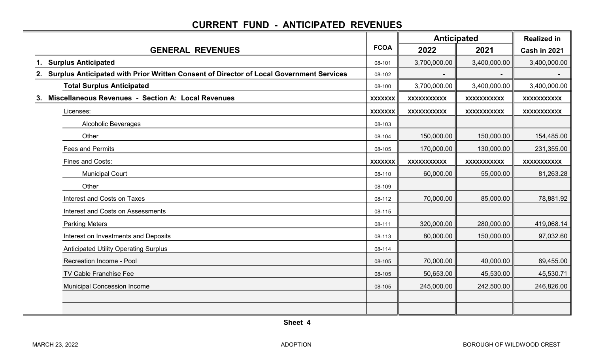### CURRENT FUND - ANTICIPATED REVENUES

|                                                                                            |                | <b>Anticipated</b> |                    | <b>Realized in</b> |
|--------------------------------------------------------------------------------------------|----------------|--------------------|--------------------|--------------------|
| <b>GENERAL REVENUES</b>                                                                    | <b>FCOA</b>    | 2022               | 2021               | Cash in 2021       |
| 1. Surplus Anticipated                                                                     | 08-101         | 3,700,000.00       | 3,400,000.00       | 3,400,000.00       |
| 2. Surplus Anticipated with Prior Written Consent of Director of Local Government Services | 08-102         |                    |                    |                    |
| <b>Total Surplus Anticipated</b>                                                           | 08-100         | 3,700,000.00       | 3,400,000.00       | 3,400,000.00       |
| Miscellaneous Revenues - Section A: Local Revenues<br>3.                                   | <b>XXXXXXX</b> | XXXXXXXXXX         | XXXXXXXXXX         | XXXXXXXXXX         |
| Licenses:                                                                                  | <b>XXXXXXX</b> | <b>XXXXXXXXXXX</b> | XXXXXXXXXX         | XXXXXXXXXX         |
| <b>Alcoholic Beverages</b>                                                                 | 08-103         |                    |                    |                    |
| Other                                                                                      | 08-104         | 150,000.00         | 150,000.00         | 154,485.00         |
| <b>Fees and Permits</b>                                                                    | 08-105         | 170,000.00         | 130,000.00         | 231,355.00         |
| Fines and Costs:                                                                           | <b>XXXXXXX</b> | <b>XXXXXXXXXXX</b> | <b>XXXXXXXXXXX</b> | <b>XXXXXXXXXXX</b> |
| <b>Municipal Court</b>                                                                     | 08-110         | 60,000.00          | 55,000.00          | 81,263.28          |
| Other                                                                                      | 08-109         |                    |                    |                    |
| Interest and Costs on Taxes                                                                | 08-112         | 70,000.00          | 85,000.00          | 78,881.92          |
| Interest and Costs on Assessments                                                          | 08-115         |                    |                    |                    |
| <b>Parking Meters</b>                                                                      | 08-111         | 320,000.00         | 280,000.00         | 419,068.14         |
| Interest on Investments and Deposits                                                       | 08-113         | 80,000.00          | 150,000.00         | 97,032.60          |
| <b>Anticipated Utility Operating Surplus</b>                                               | 08-114         |                    |                    |                    |
| Recreation Income - Pool                                                                   | 08-105         | 70,000.00          | 40,000.00          | 89,455.00          |
| <b>TV Cable Franchise Fee</b>                                                              | 08-105         | 50,653.00          | 45,530.00          | 45,530.71          |
| <b>Municipal Concession Income</b>                                                         | 08-105         | 245,000.00         | 242,500.00         | 246,826.00         |
|                                                                                            |                |                    |                    |                    |
|                                                                                            |                |                    |                    |                    |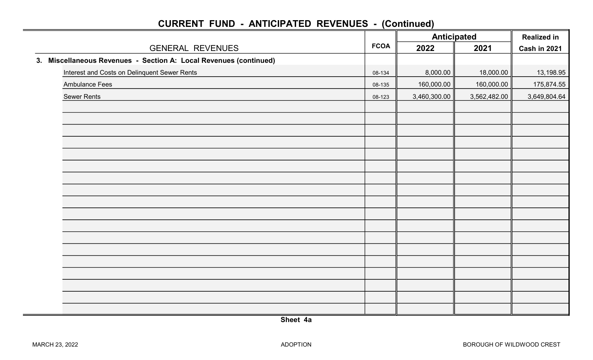|                                                                   |             | <b>Anticipated</b> |              | <b>Realized in</b> |
|-------------------------------------------------------------------|-------------|--------------------|--------------|--------------------|
| <b>GENERAL REVENUES</b>                                           | <b>FCOA</b> | 2022               | 2021         | Cash in 2021       |
| 3. Miscellaneous Revenues - Section A: Local Revenues (continued) |             |                    |              |                    |
| Interest and Costs on Delinquent Sewer Rents                      | 08-134      | 8,000.00           | 18,000.00    | 13,198.95          |
| <b>Ambulance Fees</b>                                             | 08-135      | 160,000.00         | 160,000.00   | 175,874.55         |
| <b>Sewer Rents</b>                                                | 08-123      | 3,460,300.00       | 3,562,482.00 | 3,649,804.64       |
|                                                                   |             |                    |              |                    |
|                                                                   |             |                    |              |                    |
|                                                                   |             |                    |              |                    |
|                                                                   |             |                    |              |                    |
|                                                                   |             |                    |              |                    |
|                                                                   |             |                    |              |                    |
|                                                                   |             |                    |              |                    |
|                                                                   |             |                    |              |                    |
|                                                                   |             |                    |              |                    |
|                                                                   |             |                    |              |                    |
|                                                                   |             |                    |              |                    |
|                                                                   |             |                    |              |                    |
|                                                                   |             |                    |              |                    |
|                                                                   |             |                    |              |                    |
|                                                                   |             |                    |              |                    |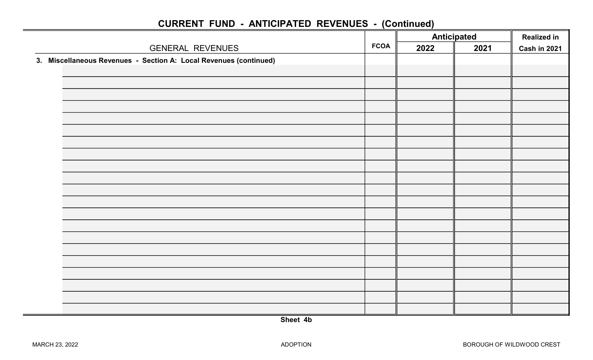|                                                                   |             | <b>Anticipated</b> |      | <b>Realized in</b> |
|-------------------------------------------------------------------|-------------|--------------------|------|--------------------|
| <b>GENERAL REVENUES</b>                                           | <b>FCOA</b> | 2022               | 2021 | Cash in 2021       |
| 3. Miscellaneous Revenues - Section A: Local Revenues (continued) |             |                    |      |                    |
|                                                                   |             |                    |      |                    |
|                                                                   |             |                    |      |                    |
|                                                                   |             |                    |      |                    |
|                                                                   |             |                    |      |                    |
|                                                                   |             |                    |      |                    |
|                                                                   |             |                    |      |                    |
|                                                                   |             |                    |      |                    |
|                                                                   |             |                    |      |                    |
|                                                                   |             |                    |      |                    |
|                                                                   |             |                    |      |                    |
|                                                                   |             |                    |      |                    |
|                                                                   |             |                    |      |                    |
|                                                                   |             |                    |      |                    |
|                                                                   |             |                    |      |                    |
|                                                                   |             |                    |      |                    |
|                                                                   |             |                    |      |                    |
|                                                                   |             |                    |      |                    |
|                                                                   |             |                    |      |                    |
|                                                                   |             |                    |      |                    |
|                                                                   |             |                    |      |                    |
|                                                                   |             |                    |      |                    |
|                                                                   |             |                    |      |                    |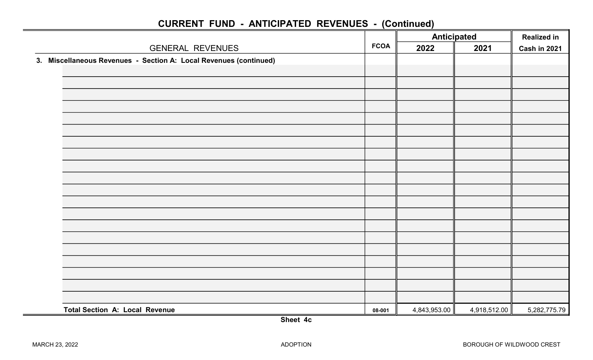|                                                                   |             | <b>Anticipated</b> |              | <b>Realized in</b> |
|-------------------------------------------------------------------|-------------|--------------------|--------------|--------------------|
| <b>GENERAL REVENUES</b>                                           | <b>FCOA</b> | 2022               | 2021         | Cash in 2021       |
| 3. Miscellaneous Revenues - Section A: Local Revenues (continued) |             |                    |              |                    |
|                                                                   |             |                    |              |                    |
|                                                                   |             |                    |              |                    |
|                                                                   |             |                    |              |                    |
|                                                                   |             |                    |              |                    |
|                                                                   |             |                    |              |                    |
|                                                                   |             |                    |              |                    |
|                                                                   |             |                    |              |                    |
|                                                                   |             |                    |              |                    |
|                                                                   |             |                    |              |                    |
|                                                                   |             |                    |              |                    |
|                                                                   |             |                    |              |                    |
|                                                                   |             |                    |              |                    |
|                                                                   |             |                    |              |                    |
|                                                                   |             |                    |              |                    |
|                                                                   |             |                    |              |                    |
|                                                                   |             |                    |              |                    |
|                                                                   |             |                    |              |                    |
|                                                                   |             |                    |              |                    |
|                                                                   |             |                    |              |                    |
|                                                                   |             |                    |              |                    |
| <b>Total Section A: Local Revenue</b>                             | 08-001      | 4,843,953.00       | 4,918,512.00 | 5,282,775.79       |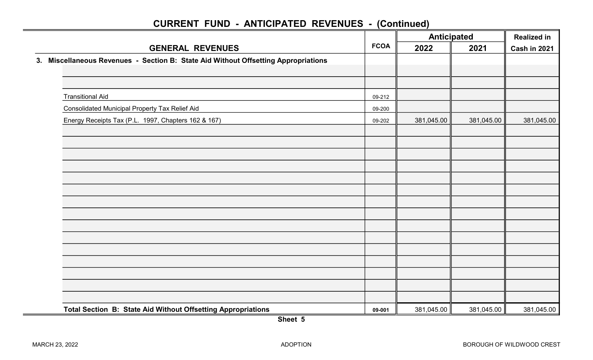|                                                                                    |             | <b>Anticipated</b> |            | <b>Realized in</b> |
|------------------------------------------------------------------------------------|-------------|--------------------|------------|--------------------|
| <b>GENERAL REVENUES</b>                                                            | <b>FCOA</b> | 2022               | 2021       | Cash in 2021       |
| 3. Miscellaneous Revenues - Section B: State Aid Without Offsetting Appropriations |             |                    |            |                    |
|                                                                                    |             |                    |            |                    |
|                                                                                    |             |                    |            |                    |
| <b>Transitional Aid</b>                                                            | 09-212      |                    |            |                    |
| <b>Consolidated Municipal Property Tax Relief Aid</b>                              | 09-200      |                    |            |                    |
| Energy Receipts Tax (P.L. 1997, Chapters 162 & 167)                                | 09-202      | 381,045.00         | 381,045.00 | 381,045.00         |
|                                                                                    |             |                    |            |                    |
|                                                                                    |             |                    |            |                    |
|                                                                                    |             |                    |            |                    |
|                                                                                    |             |                    |            |                    |
|                                                                                    |             |                    |            |                    |
|                                                                                    |             |                    |            |                    |
|                                                                                    |             |                    |            |                    |
|                                                                                    |             |                    |            |                    |
|                                                                                    |             |                    |            |                    |
|                                                                                    |             |                    |            |                    |
|                                                                                    |             |                    |            |                    |
|                                                                                    |             |                    |            |                    |
|                                                                                    |             |                    |            |                    |
|                                                                                    |             |                    |            |                    |
|                                                                                    |             |                    |            |                    |
| Total Section B: State Aid Without Offsetting Appropriations                       | 09-001      | 381,045.00         | 381,045.00 | 381,045.00         |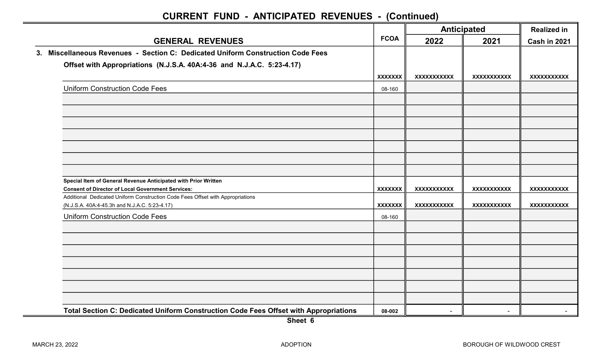|                                                                                                                                 |                | Anticipated    |                    | <b>Realized in</b> |  |
|---------------------------------------------------------------------------------------------------------------------------------|----------------|----------------|--------------------|--------------------|--|
| <b>GENERAL REVENUES</b>                                                                                                         | <b>FCOA</b>    | 2022           | 2021               | Cash in 2021       |  |
| 3. Miscellaneous Revenues - Section C: Dedicated Uniform Construction Code Fees                                                 |                |                |                    |                    |  |
| Offset with Appropriations (N.J.S.A. 40A:4-36 and N.J.A.C. 5:23-4.17)                                                           |                |                |                    |                    |  |
|                                                                                                                                 | <b>XXXXXXX</b> | XXXXXXXXXXX    | XXXXXXXXXXX        | XXXXXXXXXXX        |  |
| <b>Uniform Construction Code Fees</b>                                                                                           | 08-160         |                |                    |                    |  |
|                                                                                                                                 |                |                |                    |                    |  |
|                                                                                                                                 |                |                |                    |                    |  |
|                                                                                                                                 |                |                |                    |                    |  |
|                                                                                                                                 |                |                |                    |                    |  |
|                                                                                                                                 |                |                |                    |                    |  |
|                                                                                                                                 |                |                |                    |                    |  |
|                                                                                                                                 |                |                |                    |                    |  |
| Special Item of General Revenue Anticipated with Prior Written<br><b>Consent of Director of Local Government Services:</b>      | <b>XXXXXXX</b> | XXXXXXXXXX     | XXXXXXXXXXX        | <b>XXXXXXXXXXX</b> |  |
| Additional Dedicated Uniform Construction Code Fees Offset with Appropriations<br>(N.J.S.A. 40A:4-45.3h and N.J.A.C. 5:23-4.17) | <b>XXXXXXX</b> | XXXXXXXXXXX    | <b>XXXXXXXXXXX</b> | <b>XXXXXXXXXXX</b> |  |
| <b>Uniform Construction Code Fees</b>                                                                                           | 08-160         |                |                    |                    |  |
|                                                                                                                                 |                |                |                    |                    |  |
|                                                                                                                                 |                |                |                    |                    |  |
|                                                                                                                                 |                |                |                    |                    |  |
|                                                                                                                                 |                |                |                    |                    |  |
|                                                                                                                                 |                |                |                    |                    |  |
|                                                                                                                                 |                |                |                    |                    |  |
|                                                                                                                                 |                |                |                    |                    |  |
| Total Section C: Dedicated Uniform Construction Code Fees Offset with Appropriations                                            | 08-002         | $\blacksquare$ | $\sim$             |                    |  |

Sheet 6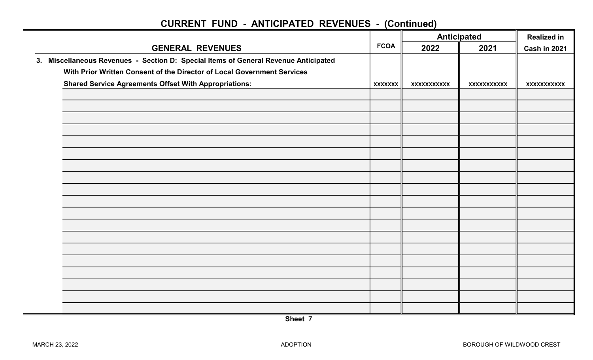|                         |                                                                                     |                | <b>Anticipated</b> |                     | <b>Realized in</b> |
|-------------------------|-------------------------------------------------------------------------------------|----------------|--------------------|---------------------|--------------------|
| <b>GENERAL REVENUES</b> | <b>FCOA</b>                                                                         | 2022           | 2021               | <b>Cash in 2021</b> |                    |
|                         | 3. Miscellaneous Revenues - Section D: Special Items of General Revenue Anticipated |                |                    |                     |                    |
|                         | With Prior Written Consent of the Director of Local Government Services             |                |                    |                     |                    |
|                         | <b>Shared Service Agreements Offset With Appropriations:</b>                        | <b>XXXXXXX</b> | XXXXXXXXXXX        | XXXXXXXXXX          | XXXXXXXXXXX        |
|                         |                                                                                     |                |                    |                     |                    |
|                         |                                                                                     |                |                    |                     |                    |
|                         |                                                                                     |                |                    |                     |                    |
|                         |                                                                                     |                |                    |                     |                    |
|                         |                                                                                     |                |                    |                     |                    |
|                         |                                                                                     |                |                    |                     |                    |
|                         |                                                                                     |                |                    |                     |                    |
|                         |                                                                                     |                |                    |                     |                    |
|                         |                                                                                     |                |                    |                     |                    |
|                         |                                                                                     |                |                    |                     |                    |
|                         |                                                                                     |                |                    |                     |                    |
|                         |                                                                                     |                |                    |                     |                    |
|                         |                                                                                     |                |                    |                     |                    |
|                         |                                                                                     |                |                    |                     |                    |
|                         |                                                                                     |                |                    |                     |                    |
|                         |                                                                                     |                |                    |                     |                    |
|                         |                                                                                     |                |                    |                     |                    |
|                         |                                                                                     |                |                    |                     |                    |
|                         |                                                                                     |                |                    |                     |                    |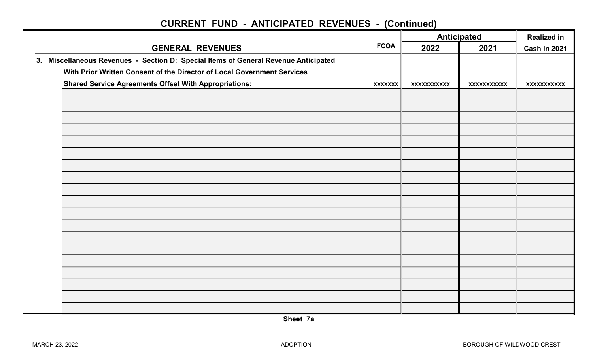|                         |                                                                                     |                | <b>Anticipated</b> |                     | <b>Realized in</b> |
|-------------------------|-------------------------------------------------------------------------------------|----------------|--------------------|---------------------|--------------------|
| <b>GENERAL REVENUES</b> | <b>FCOA</b>                                                                         | 2022           | 2021               | <b>Cash in 2021</b> |                    |
|                         | 3. Miscellaneous Revenues - Section D: Special Items of General Revenue Anticipated |                |                    |                     |                    |
|                         | With Prior Written Consent of the Director of Local Government Services             |                |                    |                     |                    |
|                         | <b>Shared Service Agreements Offset With Appropriations:</b>                        | <b>XXXXXXX</b> | XXXXXXXXXXX        | XXXXXXXXXX          | XXXXXXXXXXX        |
|                         |                                                                                     |                |                    |                     |                    |
|                         |                                                                                     |                |                    |                     |                    |
|                         |                                                                                     |                |                    |                     |                    |
|                         |                                                                                     |                |                    |                     |                    |
|                         |                                                                                     |                |                    |                     |                    |
|                         |                                                                                     |                |                    |                     |                    |
|                         |                                                                                     |                |                    |                     |                    |
|                         |                                                                                     |                |                    |                     |                    |
|                         |                                                                                     |                |                    |                     |                    |
|                         |                                                                                     |                |                    |                     |                    |
|                         |                                                                                     |                |                    |                     |                    |
|                         |                                                                                     |                |                    |                     |                    |
|                         |                                                                                     |                |                    |                     |                    |
|                         |                                                                                     |                |                    |                     |                    |
|                         |                                                                                     |                |                    |                     |                    |
|                         |                                                                                     |                |                    |                     |                    |
|                         |                                                                                     |                |                    |                     |                    |
|                         |                                                                                     |                |                    |                     |                    |
|                         |                                                                                     |                |                    |                     |                    |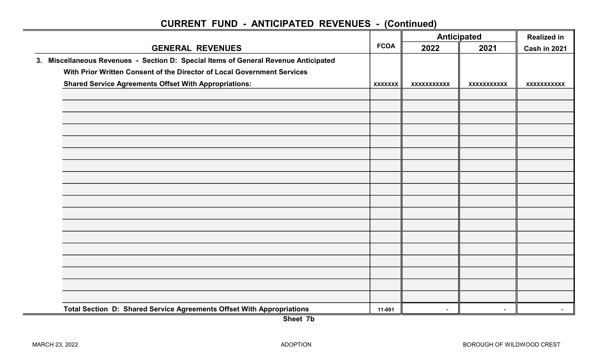|                                                                                     |                | <b>Anticipated</b> |             | <b>Realized in</b>  |  |
|-------------------------------------------------------------------------------------|----------------|--------------------|-------------|---------------------|--|
| <b>GENERAL REVENUES</b>                                                             | <b>FCOA</b>    | 2022               | 2021        | <b>Cash in 2021</b> |  |
| 3. Miscellaneous Revenues - Section D: Special Items of General Revenue Anticipated |                |                    |             |                     |  |
| With Prior Written Consent of the Director of Local Government Services             |                |                    |             |                     |  |
| <b>Shared Service Agreements Offset With Appropriations:</b>                        | <b>XXXXXXX</b> | <b>XXXXXXXXXXX</b> | XXXXXXXXXXX | XXXXXXXXXXX         |  |
|                                                                                     |                |                    |             |                     |  |
|                                                                                     |                |                    |             |                     |  |
|                                                                                     |                |                    |             |                     |  |
|                                                                                     |                |                    |             |                     |  |
|                                                                                     |                |                    |             |                     |  |
|                                                                                     |                |                    |             |                     |  |
|                                                                                     |                |                    |             |                     |  |
|                                                                                     |                |                    |             |                     |  |
|                                                                                     |                |                    |             |                     |  |
|                                                                                     |                |                    |             |                     |  |
|                                                                                     |                |                    |             |                     |  |
|                                                                                     |                |                    |             |                     |  |
|                                                                                     |                |                    |             |                     |  |
|                                                                                     |                |                    |             |                     |  |
|                                                                                     |                |                    |             |                     |  |
|                                                                                     |                |                    |             |                     |  |
|                                                                                     |                |                    |             |                     |  |
|                                                                                     |                |                    |             |                     |  |
| Total Section D: Shared Service Agreements Offset With Appropriations               | 11-001         | $\sim$             | $\sim$      | $\sim$              |  |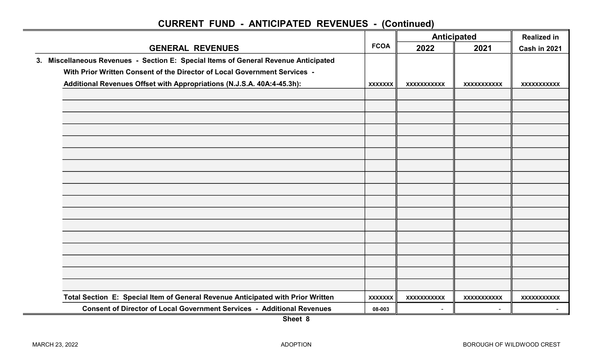|                                                                                     |                | <b>Anticipated</b> |                    | <b>Realized in</b> |  |
|-------------------------------------------------------------------------------------|----------------|--------------------|--------------------|--------------------|--|
| <b>GENERAL REVENUES</b>                                                             | <b>FCOA</b>    | 2022               | 2021               | Cash in 2021       |  |
| 3. Miscellaneous Revenues - Section E: Special Items of General Revenue Anticipated |                |                    |                    |                    |  |
| With Prior Written Consent of the Director of Local Government Services -           |                |                    |                    |                    |  |
| Additional Revenues Offset with Appropriations (N.J.S.A. 40A:4-45.3h):              | <b>XXXXXXX</b> | XXXXXXXXXXX        | <b>XXXXXXXXXXX</b> | <b>XXXXXXXXXXX</b> |  |
|                                                                                     |                |                    |                    |                    |  |
|                                                                                     |                |                    |                    |                    |  |
|                                                                                     |                |                    |                    |                    |  |
|                                                                                     |                |                    |                    |                    |  |
|                                                                                     |                |                    |                    |                    |  |
|                                                                                     |                |                    |                    |                    |  |
|                                                                                     |                |                    |                    |                    |  |
|                                                                                     |                |                    |                    |                    |  |
|                                                                                     |                |                    |                    |                    |  |
|                                                                                     |                |                    |                    |                    |  |
|                                                                                     |                |                    |                    |                    |  |
|                                                                                     |                |                    |                    |                    |  |
|                                                                                     |                |                    |                    |                    |  |
|                                                                                     |                |                    |                    |                    |  |
|                                                                                     |                |                    |                    |                    |  |
|                                                                                     |                |                    |                    |                    |  |
| Total Section E: Special Item of General Revenue Anticipated with Prior Written     | <b>XXXXXXX</b> | <b>XXXXXXXXXXX</b> | <b>XXXXXXXXXXX</b> | <b>XXXXXXXXXXX</b> |  |
| <b>Consent of Director of Local Government Services - Additional Revenues</b>       | 08-003         |                    |                    |                    |  |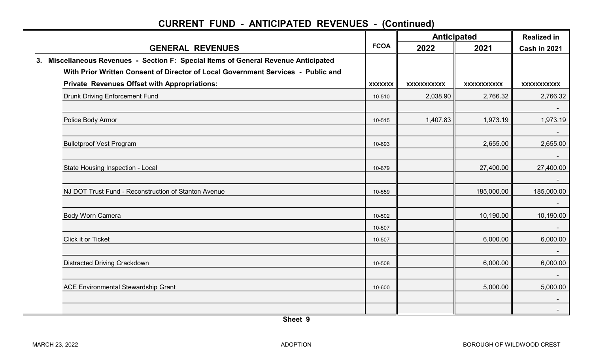|    |                                                                                  |                | <b>Anticipated</b> |                    | <b>Realized in</b> |  |
|----|----------------------------------------------------------------------------------|----------------|--------------------|--------------------|--------------------|--|
|    | <b>GENERAL REVENUES</b>                                                          | <b>FCOA</b>    | 2022               | 2021               | Cash in 2021       |  |
| 3. | Miscellaneous Revenues - Section F: Special Items of General Revenue Anticipated |                |                    |                    |                    |  |
|    | With Prior Written Consent of Director of Local Government Services - Public and |                |                    |                    |                    |  |
|    | <b>Private Revenues Offset with Appropriations:</b>                              | <b>XXXXXXX</b> | <b>XXXXXXXXXXX</b> | <b>XXXXXXXXXXX</b> | XXXXXXXXXXX        |  |
|    | <b>Drunk Driving Enforcement Fund</b>                                            | 10-510         | 2,038.90           | 2,766.32           | 2,766.32           |  |
|    | Police Body Armor                                                                | 10-515         | 1,407.83           | 1,973.19           | 1,973.19           |  |
|    | <b>Bulletproof Vest Program</b>                                                  | 10-693         |                    | 2,655.00           | $\sim$<br>2,655.00 |  |
|    | State Housing Inspection - Local                                                 | 10-679         |                    | 27,400.00          | 27,400.00          |  |
|    | NJ DOT Trust Fund - Reconstruction of Stanton Avenue                             | 10-559         |                    | 185,000.00         | 185,000.00         |  |
|    | <b>Body Worn Camera</b>                                                          | 10-502         |                    | 10,190.00          | 10,190.00          |  |
|    |                                                                                  | 10-507         |                    |                    |                    |  |
|    | Click it or Ticket                                                               | 10-507         |                    | 6,000.00           | 6,000.00           |  |
|    | <b>Distracted Driving Crackdown</b>                                              | 10-508         |                    | 6,000.00           | 6,000.00           |  |
|    | <b>ACE Environmental Stewardship Grant</b>                                       | 10-600         |                    | 5,000.00           | 5,000.00           |  |
|    |                                                                                  |                |                    |                    | $\sim$             |  |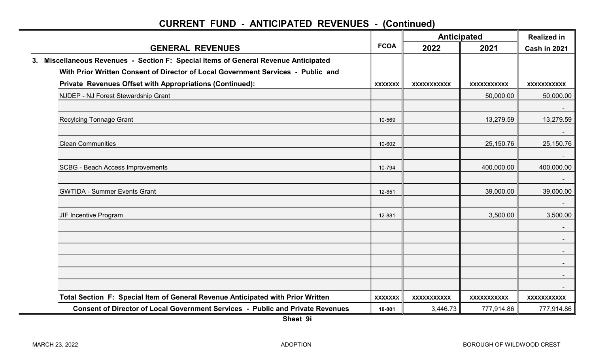|                                                                                        | <b>FCOA</b>    |             | <b>Anticipated</b> | <b>Realized in</b> |
|----------------------------------------------------------------------------------------|----------------|-------------|--------------------|--------------------|
| <b>GENERAL REVENUES</b>                                                                |                | 2022        | 2021               | Cash in 2021       |
| Miscellaneous Revenues - Section F: Special Items of General Revenue Anticipated<br>3. |                |             |                    |                    |
| With Prior Written Consent of Director of Local Government Services - Public and       |                |             |                    |                    |
| Private Revenues Offset with Appropriations (Continued):                               | <b>XXXXXXX</b> | XXXXXXXXXXX | XXXXXXXXXXX        | XXXXXXXXXXX        |
| NJDEP - NJ Forest Stewardship Grant                                                    |                |             | 50,000.00          | 50,000.00          |
|                                                                                        |                |             |                    |                    |
| <b>Recylcing Tonnage Grant</b>                                                         | 10-569         |             | 13,279.59          | 13,279.59          |
|                                                                                        |                |             |                    |                    |
| <b>Clean Communities</b>                                                               | 10-602         |             | 25,150.76          | 25,150.76          |
|                                                                                        |                |             |                    | $\sim$             |
| <b>SCBG - Beach Access Improvements</b>                                                | 10-794         |             | 400,000.00         | 400,000.00         |
|                                                                                        |                |             |                    |                    |
| <b>GWTIDA - Summer Events Grant</b>                                                    | 12-851         |             | 39,000.00          | 39,000.00          |
|                                                                                        |                |             |                    |                    |
| JIF Incentive Program                                                                  | 12-881         |             | 3,500.00           | 3,500.00           |
|                                                                                        |                |             |                    |                    |
|                                                                                        |                |             |                    | $\sim$             |
|                                                                                        |                |             |                    |                    |
|                                                                                        |                |             |                    |                    |
|                                                                                        |                |             |                    |                    |
| Total Section F: Special Item of General Revenue Anticipated with Prior Written        | <b>XXXXXXX</b> | XXXXXXXXXXX | <b>XXXXXXXXXXX</b> | <b>XXXXXXXXXXX</b> |
| <b>Consent of Director of Local Government Services - Public and Private Revenues</b>  | 10-001         | 3,446.73    | 777,914.86         | 777,914.86         |
|                                                                                        |                |             |                    |                    |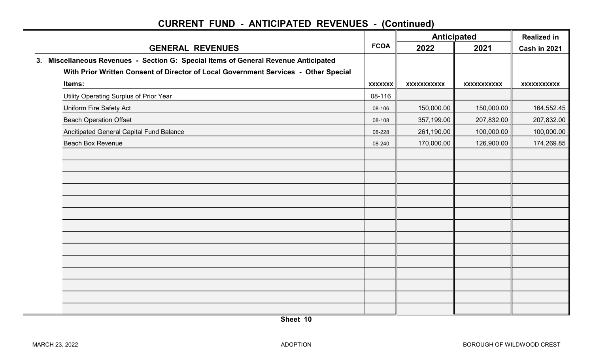|                                                                                     |                | <b>Anticipated</b> |                    | <b>Realized in</b> |  |
|-------------------------------------------------------------------------------------|----------------|--------------------|--------------------|--------------------|--|
| <b>GENERAL REVENUES</b>                                                             | <b>FCOA</b>    | 2022               | 2021               | Cash in 2021       |  |
| 3. Miscellaneous Revenues - Section G: Special Items of General Revenue Anticipated |                |                    |                    |                    |  |
| With Prior Written Consent of Director of Local Government Services - Other Special |                |                    |                    |                    |  |
| Items:                                                                              | <b>XXXXXXX</b> | XXXXXXXXXX         | <b>XXXXXXXXXXX</b> | <b>XXXXXXXXXXX</b> |  |
| Utility Operating Surplus of Prior Year                                             | 08-116         |                    |                    |                    |  |
| Uniform Fire Safety Act                                                             | 08-106         | 150,000.00         | 150,000.00         | 164,552.45         |  |
| <b>Beach Operation Offset</b>                                                       | 08-108         | 357,199.00         | 207,832.00         | 207,832.00         |  |
| Ancitipated General Capital Fund Balance                                            | 08-228         | 261,190.00         | 100,000.00         | 100,000.00         |  |
| <b>Beach Box Revenue</b>                                                            | 08-240         | 170,000.00         | 126,900.00         | 174,269.85         |  |
|                                                                                     |                |                    |                    |                    |  |
|                                                                                     |                |                    |                    |                    |  |
|                                                                                     |                |                    |                    |                    |  |
|                                                                                     |                |                    |                    |                    |  |
|                                                                                     |                |                    |                    |                    |  |
|                                                                                     |                |                    |                    |                    |  |
|                                                                                     |                |                    |                    |                    |  |
|                                                                                     |                |                    |                    |                    |  |
|                                                                                     |                |                    |                    |                    |  |
|                                                                                     |                |                    |                    |                    |  |
|                                                                                     |                |                    |                    |                    |  |
|                                                                                     |                |                    |                    |                    |  |
|                                                                                     |                |                    |                    |                    |  |
|                                                                                     |                |                    |                    |                    |  |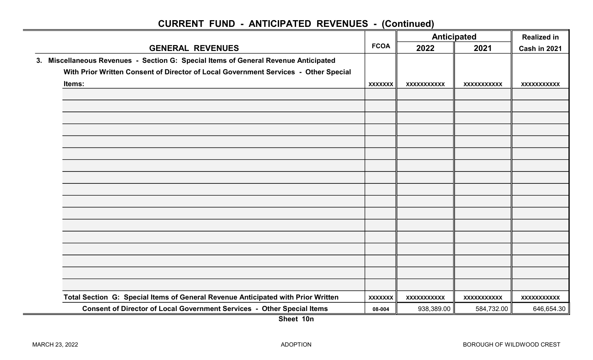|                                                                                     |                | <b>Anticipated</b> |                    | <b>Realized in</b> |  |
|-------------------------------------------------------------------------------------|----------------|--------------------|--------------------|--------------------|--|
| <b>GENERAL REVENUES</b>                                                             | <b>FCOA</b>    | 2022               | 2021               | Cash in 2021       |  |
| 3. Miscellaneous Revenues - Section G: Special Items of General Revenue Anticipated |                |                    |                    |                    |  |
| With Prior Written Consent of Director of Local Government Services - Other Special |                |                    |                    |                    |  |
| Items:                                                                              | <b>XXXXXXX</b> | XXXXXXXXXXX        | <b>XXXXXXXXXXX</b> | <b>XXXXXXXXXXX</b> |  |
|                                                                                     |                |                    |                    |                    |  |
|                                                                                     |                |                    |                    |                    |  |
|                                                                                     |                |                    |                    |                    |  |
|                                                                                     |                |                    |                    |                    |  |
|                                                                                     |                |                    |                    |                    |  |
|                                                                                     |                |                    |                    |                    |  |
|                                                                                     |                |                    |                    |                    |  |
|                                                                                     |                |                    |                    |                    |  |
|                                                                                     |                |                    |                    |                    |  |
|                                                                                     |                |                    |                    |                    |  |
|                                                                                     |                |                    |                    |                    |  |
|                                                                                     |                |                    |                    |                    |  |
|                                                                                     |                |                    |                    |                    |  |
|                                                                                     |                |                    |                    |                    |  |
|                                                                                     |                |                    |                    |                    |  |
|                                                                                     |                |                    |                    |                    |  |
|                                                                                     |                |                    |                    |                    |  |
| Total Section G: Special Items of General Revenue Anticipated with Prior Written    | <b>XXXXXXX</b> | XXXXXXXXXX         | XXXXXXXXXX         | XXXXXXXXXX         |  |
| Consent of Director of Local Government Services - Other Special Items              | 08-004         | 938,389.00         | 584,732.00         | 646,654.30         |  |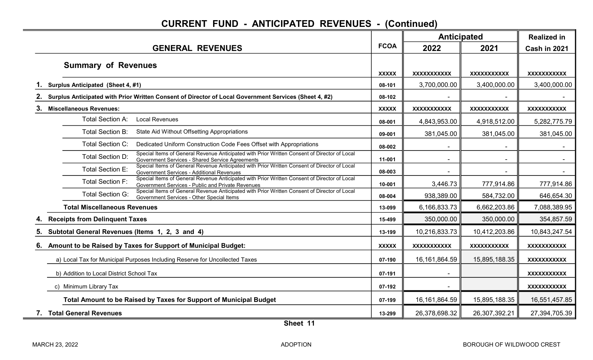|    |                                                                                                                                                                              |              | <b>Anticipated</b> |                          | <b>Realized in</b> |  |
|----|------------------------------------------------------------------------------------------------------------------------------------------------------------------------------|--------------|--------------------|--------------------------|--------------------|--|
|    | <b>GENERAL REVENUES</b>                                                                                                                                                      | <b>FCOA</b>  | 2022               | 2021                     | Cash in 2021       |  |
|    | <b>Summary of Revenues</b>                                                                                                                                                   | <b>XXXXX</b> | <b>XXXXXXXXXXX</b> | <b>XXXXXXXXXXX</b>       | XXXXXXXXXX         |  |
|    | Surplus Anticipated (Sheet 4, #1)                                                                                                                                            | 08-101       | 3,700,000.00       | 3,400,000.00             | 3,400,000.00       |  |
|    | Surplus Anticipated with Prior Written Consent of Director of Local Government Services (Sheet 4, #2)                                                                        | 08-102       |                    |                          |                    |  |
| 3. | <b>Miscellaneous Revenues:</b>                                                                                                                                               | <b>XXXXX</b> | <b>XXXXXXXXXXX</b> | <b>XXXXXXXXXXX</b>       | <b>XXXXXXXXXXX</b> |  |
|    | <b>Local Revenues</b><br><b>Total Section A:</b>                                                                                                                             | 08-001       | 4,843,953.00       | 4,918,512.00             | 5,282,775.79       |  |
|    | <b>Total Section B:</b><br>State Aid Without Offsetting Appropriations                                                                                                       | 09-001       | 381,045.00         | 381,045.00               | 381,045.00         |  |
|    | <b>Total Section C:</b><br>Dedicated Uniform Construction Code Fees Offset with Appropriations                                                                               | 08-002       |                    |                          |                    |  |
|    | Special Items of General Revenue Anticipated with Prior Written Consent of Director of Local<br>Total Section D:<br>Government Services - Shared Service Agreements          | 11-001       |                    |                          |                    |  |
|    | Special Items of General Revenue Anticipated with Prior Written Consent of Director of Local<br><b>Total Section E:</b><br>Government Services - Additional Revenues         | 08-003       | $\blacksquare$     | $\overline{\phantom{a}}$ | $\sim$             |  |
|    | Special Items of General Revenue Anticipated with Prior Written Consent of Director of Local<br><b>Total Section F:</b><br>Government Services - Public and Private Revenues | 10-001       | 3,446.73           | 777,914.86               | 777,914.86         |  |
|    | Special Items of General Revenue Anticipated with Prior Written Consent of Director of Local<br><b>Total Section G:</b><br>Government Services - Other Special Items         | 08-004       | 938,389.00         | 584,732.00               | 646,654.30         |  |
|    | <b>Total Miscellaneous Revenues</b>                                                                                                                                          | 13-099       | 6,166,833.73       | 6,662,203.86             | 7,088,389.95       |  |
|    | <b>Receipts from Delinquent Taxes</b>                                                                                                                                        | 15-499       | 350,000.00         | 350,000.00               | 354,857.59         |  |
| 5. | Subtotal General Revenues (Items 1, 2, 3 and 4)                                                                                                                              | 13-199       | 10,216,833.73      | 10,412,203.86            | 10,843,247.54      |  |
| 6. | Amount to be Raised by Taxes for Support of Municipal Budget:                                                                                                                | <b>XXXXX</b> | <b>XXXXXXXXXXX</b> | <b>XXXXXXXXXXX</b>       | <b>XXXXXXXXXXX</b> |  |
|    | a) Local Tax for Municipal Purposes Including Reserve for Uncollected Taxes                                                                                                  | 07-190       | 16, 161, 864. 59   | 15,895,188.35            | <b>XXXXXXXXXXX</b> |  |
|    | b) Addition to Local District School Tax                                                                                                                                     | 07-191       |                    |                          | <b>XXXXXXXXXXX</b> |  |
|    | c) Minimum Library Tax                                                                                                                                                       | 07-192       |                    |                          | <b>XXXXXXXXXXX</b> |  |
|    | Total Amount to be Raised by Taxes for Support of Municipal Budget                                                                                                           | 07-199       | 16, 161, 864. 59   | 15,895,188.35            | 16,551,457.85      |  |
|    | 7. Total General Revenues                                                                                                                                                    | 13-299       | 26,378,698.32      | 26,307,392.21            | 27,394,705.39      |  |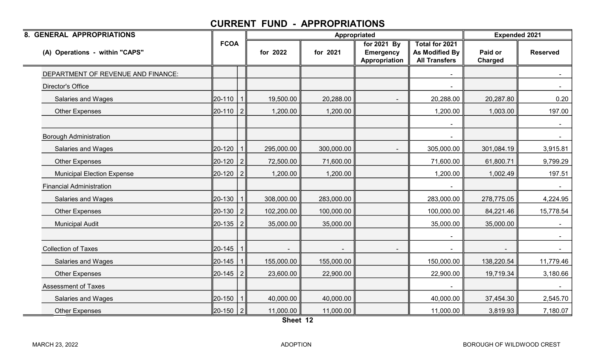| 8. GENERAL APPROPRIATIONS          |                 |                |            | Appropriated |                                                  |                                                                        | <b>Expended 2021</b> |                 |
|------------------------------------|-----------------|----------------|------------|--------------|--------------------------------------------------|------------------------------------------------------------------------|----------------------|-----------------|
| (A) Operations - within "CAPS"     | <b>FCOA</b>     |                | for 2022   | for 2021     | for 2021 By<br><b>Emergency</b><br>Appropriation | <b>Total for 2021</b><br><b>As Modified By</b><br><b>All Transfers</b> | Paid or<br>Charged   | <b>Reserved</b> |
| DEPARTMENT OF REVENUE AND FINANCE: |                 |                |            |              |                                                  |                                                                        |                      |                 |
| <b>Director's Office</b>           |                 |                |            |              |                                                  |                                                                        |                      |                 |
| <b>Salaries and Wages</b>          | 20-110          |                | 19,500.00  | 20,288.00    |                                                  | 20,288.00                                                              | 20,287.80            | 0.20            |
| <b>Other Expenses</b>              | 20-110 2        |                | 1,200.00   | 1,200.00     |                                                  | 1,200.00                                                               | 1,003.00             | 197.00          |
|                                    |                 |                |            |              |                                                  |                                                                        |                      |                 |
| <b>Borough Administration</b>      |                 |                |            |              |                                                  |                                                                        |                      |                 |
| <b>Salaries and Wages</b>          | 20-120          |                | 295,000.00 | 300,000.00   |                                                  | 305,000.00                                                             | 301,084.19           | 3,915.81        |
| <b>Other Expenses</b>              | 20-120          | $\overline{2}$ | 72,500.00  | 71,600.00    |                                                  | 71,600.00                                                              | 61,800.71            | 9,799.29        |
| <b>Municipal Election Expense</b>  | 20-120          | 2              | 1,200.00   | 1,200.00     |                                                  | 1,200.00                                                               | 1,002.49             | 197.51          |
| <b>Financial Administration</b>    |                 |                |            |              |                                                  |                                                                        |                      |                 |
| Salaries and Wages                 | 20-130          |                | 308,000.00 | 283,000.00   |                                                  | 283,000.00                                                             | 278,775.05           | 4,224.95        |
| <b>Other Expenses</b>              | 20-130          | 2              | 102,200.00 | 100,000.00   |                                                  | 100,000.00                                                             | 84,221.46            | 15,778.54       |
| <b>Municipal Audit</b>             | 20-135          | 2              | 35,000.00  | 35,000.00    |                                                  | 35,000.00                                                              | 35,000.00            |                 |
|                                    |                 |                |            |              |                                                  |                                                                        |                      |                 |
| <b>Collection of Taxes</b>         | 20-145          |                |            |              |                                                  |                                                                        |                      |                 |
| <b>Salaries and Wages</b>          | 20-145          |                | 155,000.00 | 155,000.00   |                                                  | 150,000.00                                                             | 138,220.54           | 11,779.46       |
| <b>Other Expenses</b>              | 20-145          | 2              | 23,600.00  | 22,900.00    |                                                  | 22,900.00                                                              | 19,719.34            | 3,180.66        |
| <b>Assessment of Taxes</b>         |                 |                |            |              |                                                  |                                                                        |                      |                 |
| <b>Salaries and Wages</b>          | 20-150          |                | 40,000.00  | 40,000.00    |                                                  | 40,000.00                                                              | 37,454.30            | 2,545.70        |
| <b>Other Expenses</b>              | $\ 20 - 150\ 2$ |                | 11,000.00  | 11,000.00    |                                                  | 11,000.00                                                              | 3,819.93             | 7,180.07        |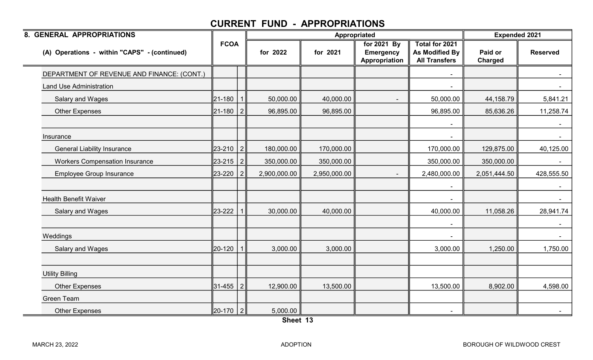| 8. GENERAL APPROPRIATIONS                    |             |                |              | Appropriated |                                                  |                                                          | <b>Expended 2021</b> |                 |
|----------------------------------------------|-------------|----------------|--------------|--------------|--------------------------------------------------|----------------------------------------------------------|----------------------|-----------------|
| (A) Operations - within "CAPS" - (continued) | <b>FCOA</b> |                | for 2022     | for 2021     | for 2021 By<br><b>Emergency</b><br>Appropriation | Total for 2021<br>As Modified By<br><b>All Transfers</b> | Paid or<br>Charged   | <b>Reserved</b> |
| DEPARTMENT OF REVENUE AND FINANCE: (CONT.)   |             |                |              |              |                                                  |                                                          |                      |                 |
| <b>Land Use Administration</b>               |             |                |              |              |                                                  |                                                          |                      |                 |
| Salary and Wages                             | 21-180      |                | 50,000.00    | 40,000.00    |                                                  | 50,000.00                                                | 44,158.79            | 5,841.21        |
| <b>Other Expenses</b>                        | 21-180      | 2              | 96,895.00    | 96,895.00    |                                                  | 96,895.00                                                | 85,636.26            | 11,258.74       |
|                                              |             |                |              |              |                                                  |                                                          |                      |                 |
| Insurance                                    |             |                |              |              |                                                  |                                                          |                      |                 |
| <b>General Liability Insurance</b>           | 23-210      | $\overline{2}$ | 180,000.00   | 170,000.00   |                                                  | 170,000.00                                               | 129,875.00           | 40,125.00       |
| <b>Workers Compensation Insurance</b>        | 23-215      | 2              | 350,000.00   | 350,000.00   |                                                  | 350,000.00                                               | 350,000.00           | $\sim$          |
| <b>Employee Group Insurance</b>              | 23-220      |                | 2,900,000.00 | 2,950,000.00 |                                                  | 2,480,000.00                                             | 2,051,444.50         | 428,555.50      |
|                                              |             |                |              |              |                                                  |                                                          |                      |                 |
| <b>Health Benefit Waiver</b>                 |             |                |              |              |                                                  |                                                          |                      |                 |
| Salary and Wages                             | 23-222      |                | 30,000.00    | 40,000.00    |                                                  | 40,000.00                                                | 11,058.26            | 28,941.74       |
|                                              |             |                |              |              |                                                  |                                                          |                      |                 |
| Weddings                                     |             |                |              |              |                                                  |                                                          |                      |                 |
| Salary and Wages                             | 20-120      |                | 3,000.00     | 3,000.00     |                                                  | 3,000.00                                                 | 1,250.00             | 1,750.00        |
|                                              |             |                |              |              |                                                  |                                                          |                      |                 |
| <b>Utility Billing</b>                       |             |                |              |              |                                                  |                                                          |                      |                 |
| <b>Other Expenses</b>                        | 31-455      | $\overline{2}$ | 12,900.00    | 13,500.00    |                                                  | 13,500.00                                                | 8,902.00             | 4,598.00        |
| <b>Green Team</b>                            |             |                |              |              |                                                  |                                                          |                      |                 |
| <b>Other Expenses</b>                        | 20-170 2    |                | 5,000.00     |              |                                                  |                                                          |                      | $\sim$          |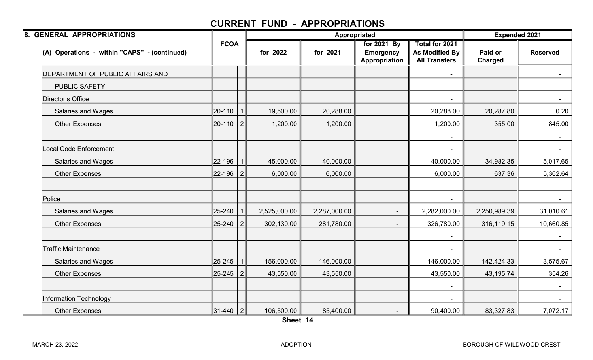| 8. GENERAL APPROPRIATIONS                    |             |                |              |              | Appropriated                                     |                                                                 | <b>Expended 2021</b> |                 |
|----------------------------------------------|-------------|----------------|--------------|--------------|--------------------------------------------------|-----------------------------------------------------------------|----------------------|-----------------|
| (A) Operations - within "CAPS" - (continued) | <b>FCOA</b> |                | for 2022     | for 2021     | for 2021 By<br><b>Emergency</b><br>Appropriation | <b>Total for 2021</b><br>As Modified By<br><b>All Transfers</b> | Paid or<br>Charged   | <b>Reserved</b> |
| DEPARTMENT OF PUBLIC AFFAIRS AND             |             |                |              |              |                                                  |                                                                 |                      |                 |
| <b>PUBLIC SAFETY:</b>                        |             |                |              |              |                                                  | $\overline{\phantom{a}}$                                        |                      | $\sim$ $-$      |
| <b>Director's Office</b>                     |             |                |              |              |                                                  |                                                                 |                      | $\blacksquare$  |
| Salaries and Wages                           | 20-110      |                | 19,500.00    | 20,288.00    |                                                  | 20,288.00                                                       | 20,287.80            | 0.20            |
| <b>Other Expenses</b>                        | 20-110      | $\overline{2}$ | 1,200.00     | 1,200.00     |                                                  | 1,200.00                                                        | 355.00               | 845.00          |
|                                              |             |                |              |              |                                                  |                                                                 |                      | $\sim$          |
| <b>Local Code Enforcement</b>                |             |                |              |              |                                                  |                                                                 |                      | $\sim$          |
| Salaries and Wages                           | 22-196      |                | 45,000.00    | 40,000.00    |                                                  | 40,000.00                                                       | 34,982.35            | 5,017.65        |
| <b>Other Expenses</b>                        | 22-196      | 2              | 6,000.00     | 6,000.00     |                                                  | 6,000.00                                                        | 637.36               | 5,362.64        |
|                                              |             |                |              |              |                                                  | $\blacksquare$                                                  |                      | $\sim$          |
| Police                                       |             |                |              |              |                                                  |                                                                 |                      | $\sim$          |
| <b>Salaries and Wages</b>                    | 25-240      |                | 2,525,000.00 | 2,287,000.00 |                                                  | 2,282,000.00                                                    | 2,250,989.39         | 31,010.61       |
| <b>Other Expenses</b>                        | 25-240      | 2              | 302,130.00   | 281,780.00   |                                                  | 326,780.00                                                      | 316,119.15           | 10,660.85       |
|                                              |             |                |              |              |                                                  |                                                                 |                      | $\sim$          |
| <b>Traffic Maintenance</b>                   |             |                |              |              |                                                  |                                                                 |                      | $\sim$          |
| Salaries and Wages                           | 25-245      |                | 156,000.00   | 146,000.00   |                                                  | 146,000.00                                                      | 142,424.33           | 3,575.67        |
| <b>Other Expenses</b>                        | 25-245      | 2              | 43,550.00    | 43,550.00    |                                                  | 43,550.00                                                       | 43,195.74            | 354.26          |
|                                              |             |                |              |              |                                                  |                                                                 |                      | $\sim$          |
| <b>Information Technology</b>                |             |                |              |              |                                                  |                                                                 |                      |                 |
| <b>Other Expenses</b>                        | 31-440   2  |                | 106,500.00   | 85,400.00    |                                                  | 90,400.00                                                       | 83,327.83            | 7,072.17        |

Sheet 14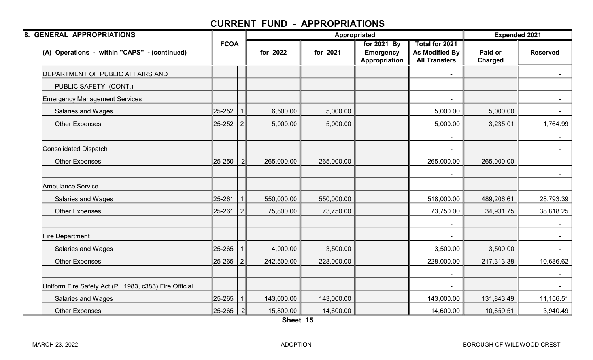| 8. GENERAL APPROPRIATIONS                             |             |                |            |            | Appropriated                                     |                                                          | <b>Expended 2021</b>      |                 |
|-------------------------------------------------------|-------------|----------------|------------|------------|--------------------------------------------------|----------------------------------------------------------|---------------------------|-----------------|
| (A) Operations - within "CAPS" - (continued)          | <b>FCOA</b> |                | for 2022   | for 2021   | for 2021 By<br><b>Emergency</b><br>Appropriation | Total for 2021<br>As Modified By<br><b>All Transfers</b> | Paid or<br><b>Charged</b> | <b>Reserved</b> |
| DEPARTMENT OF PUBLIC AFFAIRS AND                      |             |                |            |            |                                                  |                                                          |                           |                 |
| PUBLIC SAFETY: (CONT.)                                |             |                |            |            |                                                  | $\overline{\phantom{a}}$                                 |                           | $\sim$          |
| <b>Emergency Management Services</b>                  |             |                |            |            |                                                  |                                                          |                           | $\sim$          |
| Salaries and Wages                                    | 25-252      |                | 6,500.00   | 5,000.00   |                                                  | 5,000.00                                                 | 5,000.00                  | $\sim$ 10 $\pm$ |
| <b>Other Expenses</b>                                 | 25-252      | 2              | 5,000.00   | 5,000.00   |                                                  | 5,000.00                                                 | 3,235.01                  | 1,764.99        |
|                                                       |             |                |            |            |                                                  |                                                          |                           |                 |
| <b>Consolidated Dispatch</b>                          |             |                |            |            |                                                  |                                                          |                           | $\sim$          |
| <b>Other Expenses</b>                                 | 25-250      | $\overline{2}$ | 265,000.00 | 265,000.00 |                                                  | 265,000.00                                               | 265,000.00                | $\sim$          |
|                                                       |             |                |            |            |                                                  |                                                          |                           | $\sim$          |
| <b>Ambulance Service</b>                              |             |                |            |            |                                                  |                                                          |                           | $\sim$          |
| <b>Salaries and Wages</b>                             | 25-261      |                | 550,000.00 | 550,000.00 |                                                  | 518,000.00                                               | 489,206.61                | 28,793.39       |
| <b>Other Expenses</b>                                 | 25-261      | 2 <sup>1</sup> | 75,800.00  | 73,750.00  |                                                  | 73,750.00                                                | 34,931.75                 | 38,818.25       |
|                                                       |             |                |            |            |                                                  |                                                          |                           | $\sim$          |
| <b>Fire Department</b>                                |             |                |            |            |                                                  |                                                          |                           |                 |
| <b>Salaries and Wages</b>                             | 25-265      |                | 4,000.00   | 3,500.00   |                                                  | 3,500.00                                                 | 3,500.00                  | $\sim$ .        |
| <b>Other Expenses</b>                                 | 25-265      | 2 <sup>1</sup> | 242,500.00 | 228,000.00 |                                                  | 228,000.00                                               | 217,313.38                | 10,686.62       |
|                                                       |             |                |            |            |                                                  |                                                          |                           | $\sim$          |
| Uniform Fire Safety Act (PL 1983, c383) Fire Official |             |                |            |            |                                                  |                                                          |                           |                 |
| <b>Salaries and Wages</b>                             | 25-265      |                | 143,000.00 | 143,000.00 |                                                  | 143,000.00                                               | 131,843.49                | 11,156.51       |
| <b>Other Expenses</b>                                 | 25-265      | $\overline{2}$ | 15,800.00  | 14,600.00  |                                                  | 14,600.00                                                | 10,659.51                 | 3,940.49        |

Sheet 15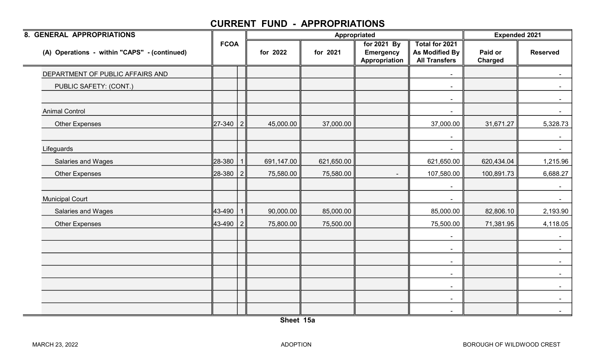| 8. GENERAL APPROPRIATIONS                    |             |                |            |            | Appropriated                                     |                                                          | <b>Expended 2021</b>      |                 |
|----------------------------------------------|-------------|----------------|------------|------------|--------------------------------------------------|----------------------------------------------------------|---------------------------|-----------------|
| (A) Operations - within "CAPS" - (continued) | <b>FCOA</b> |                | for 2022   | for 2021   | for 2021 By<br><b>Emergency</b><br>Appropriation | Total for 2021<br>As Modified By<br><b>All Transfers</b> | Paid or<br><b>Charged</b> | <b>Reserved</b> |
| DEPARTMENT OF PUBLIC AFFAIRS AND             |             |                |            |            |                                                  |                                                          |                           |                 |
| PUBLIC SAFETY: (CONT.)                       |             |                |            |            |                                                  | $\sim$                                                   |                           | $\sim$          |
|                                              |             |                |            |            |                                                  | $\overline{\phantom{a}}$                                 |                           | $\sim$          |
| <b>Animal Control</b>                        |             |                |            |            |                                                  | $\sim$                                                   |                           | $\sim$ $-$      |
| <b>Other Expenses</b>                        | 27-340      | 2              | 45,000.00  | 37,000.00  |                                                  | 37,000.00                                                | 31,671.27                 | 5,328.73        |
|                                              |             |                |            |            |                                                  |                                                          |                           | $\sim$          |
| Lifeguards                                   |             |                |            |            |                                                  |                                                          |                           | $\sim$          |
| <b>Salaries and Wages</b>                    | 28-380      |                | 691,147.00 | 621,650.00 |                                                  | 621,650.00                                               | 620,434.04                | 1,215.96        |
| <b>Other Expenses</b>                        | 28-380      | 2              | 75,580.00  | 75,580.00  |                                                  | 107,580.00                                               | 100,891.73                | 6,688.27        |
|                                              |             |                |            |            |                                                  | $\blacksquare$                                           |                           | $\sim$          |
| <b>Municipal Court</b>                       |             |                |            |            |                                                  | $\blacksquare$                                           |                           | $\sim$          |
| Salaries and Wages                           | 43-490      |                | 90,000.00  | 85,000.00  |                                                  | 85,000.00                                                | 82,806.10                 | 2,193.90        |
| <b>Other Expenses</b>                        | 43-490      | $\overline{2}$ | 75,800.00  | 75,500.00  |                                                  | 75,500.00                                                | 71,381.95                 | 4,118.05        |
|                                              |             |                |            |            |                                                  |                                                          |                           | $\sim$          |
|                                              |             |                |            |            |                                                  | $\blacksquare$                                           |                           | $\sim$ $-$      |
|                                              |             |                |            |            |                                                  | $\blacksquare$                                           |                           | $\sim$ $-$      |
|                                              |             |                |            |            |                                                  | $\blacksquare$                                           |                           | $\sim$          |
|                                              |             |                |            |            |                                                  | $\blacksquare$                                           |                           | $\sim$          |
|                                              |             |                |            |            |                                                  | $\blacksquare$                                           |                           | $\sim$          |
|                                              |             |                |            |            |                                                  | $\sim$                                                   |                           | $\sim$          |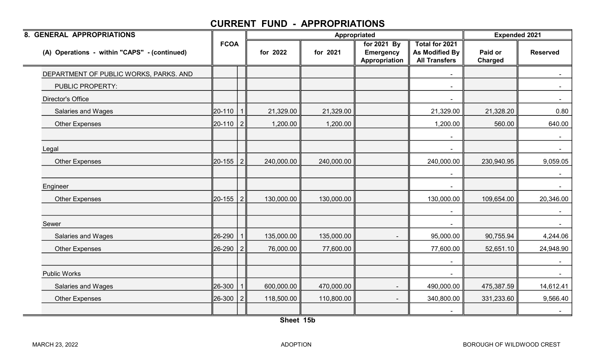| <b>FCOA</b>                | for 2022            | for 2021   | for 2021 By<br><b>Emergency</b><br>Appropriation | <b>Total for 2021</b><br>As Modified By | Paid or    |                    |
|----------------------------|---------------------|------------|--------------------------------------------------|-----------------------------------------|------------|--------------------|
|                            |                     |            |                                                  | <b>All Transfers</b>                    | Charged    | <b>Reserved</b>    |
|                            |                     |            |                                                  |                                         |            |                    |
|                            |                     |            |                                                  | $\blacksquare$                          |            | $\sim$             |
|                            |                     |            |                                                  |                                         |            | $\sim$             |
| 20-110                     | 21,329.00           | 21,329.00  |                                                  | 21,329.00                               | 21,328.20  | 0.80               |
| $\overline{2}$             | 1,200.00            | 1,200.00   |                                                  | 1,200.00                                | 560.00     | 640.00             |
|                            |                     |            |                                                  |                                         |            | $\sim$ .<br>$\sim$ |
| 2                          | 240,000.00          | 240,000.00 |                                                  | 240,000.00                              | 230,940.95 | 9,059.05           |
|                            |                     |            |                                                  |                                         |            |                    |
| 2                          | 130,000.00          | 130,000.00 |                                                  | 130,000.00                              | 109,654.00 | 20,346.00          |
|                            |                     |            |                                                  | $\blacksquare$                          |            | $\sim$             |
|                            | 135,000.00          | 135,000.00 |                                                  | 95,000.00                               | 90,755.94  | 4,244.06           |
|                            | 76,000.00           | 77,600.00  |                                                  | 77,600.00                               | 52,651.10  | 24,948.90          |
|                            |                     |            |                                                  | $\blacksquare$                          |            | $\sim$             |
|                            |                     |            |                                                  |                                         |            |                    |
|                            | 600,000.00          | 470,000.00 |                                                  | 490,000.00                              | 475,387.59 | 14,612.41          |
| 2                          | 118,500.00          | 110,800.00 |                                                  | 340,800.00                              | 331,233.60 | 9,566.40<br>$\sim$ |
| 20-155<br>26-290<br>26-300 | ∥20-110  <br>20-155 |            |                                                  |                                         |            |                    |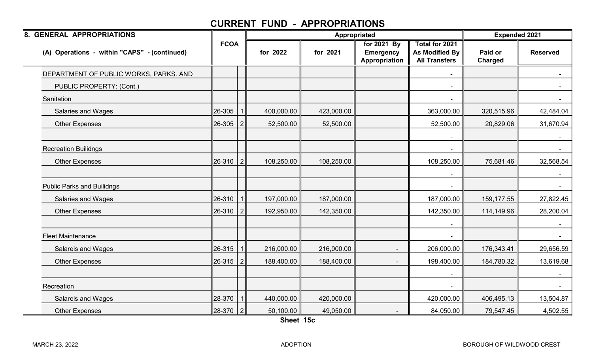| 8. GENERAL APPROPRIATIONS                    |             |                |            | Appropriated |                                                  |                                                          | <b>Expended 2021</b> |                 |
|----------------------------------------------|-------------|----------------|------------|--------------|--------------------------------------------------|----------------------------------------------------------|----------------------|-----------------|
| (A) Operations - within "CAPS" - (continued) | <b>FCOA</b> |                | for 2022   | for 2021     | for 2021 By<br><b>Emergency</b><br>Appropriation | Total for 2021<br>As Modified By<br><b>All Transfers</b> | Paid or<br>Charged   | <b>Reserved</b> |
| DEPARTMENT OF PUBLIC WORKS, PARKS. AND       |             |                |            |              |                                                  |                                                          |                      |                 |
| PUBLIC PROPERTY: (Cont.)                     |             |                |            |              |                                                  |                                                          |                      |                 |
| Sanitation                                   |             |                |            |              |                                                  |                                                          |                      |                 |
| <b>Salaries and Wages</b>                    | 26-305      |                | 400,000.00 | 423,000.00   |                                                  | 363,000.00                                               | 320,515.96           | 42,484.04       |
| <b>Other Expenses</b>                        | 26-305      | 2              | 52,500.00  | 52,500.00    |                                                  | 52,500.00                                                | 20,829.06            | 31,670.94       |
|                                              |             |                |            |              |                                                  |                                                          |                      |                 |
| <b>Recreation Builidngs</b>                  |             |                |            |              |                                                  |                                                          |                      |                 |
| Other Expenses                               | 26-310      | 2              | 108,250.00 | 108,250.00   |                                                  | 108,250.00                                               | 75,681.46            | 32,568.54       |
|                                              |             |                |            |              |                                                  |                                                          |                      |                 |
| <b>Public Parks and Builidngs</b>            |             |                |            |              |                                                  |                                                          |                      |                 |
| Salaries and Wages                           | 26-310      | $\mathbf 1$    | 197,000.00 | 187,000.00   |                                                  | 187,000.00                                               | 159,177.55           | 27,822.45       |
| <b>Other Expenses</b>                        | 26-310      | 2              | 192,950.00 | 142,350.00   |                                                  | 142,350.00                                               | 114,149.96           | 28,200.04       |
|                                              |             |                |            |              |                                                  |                                                          |                      | $\sim$          |
| <b>Fleet Maintenance</b>                     |             |                |            |              |                                                  |                                                          |                      |                 |
| <b>Salareis and Wages</b>                    | 26-315      | $\mathbf{1}$   | 216,000.00 | 216,000.00   |                                                  | 206,000.00                                               | 176,343.41           | 29,656.59       |
| <b>Other Expenses</b>                        | 26-315      | $\overline{2}$ | 188,400.00 | 188,400.00   |                                                  | 198,400.00                                               | 184,780.32           | 13,619.68       |
|                                              |             |                |            |              |                                                  |                                                          |                      | $\sim$ $-$      |
| Recreation                                   |             |                |            |              |                                                  |                                                          |                      |                 |
| Salareis and Wages                           | 28-370      | 1              | 440,000.00 | 420,000.00   |                                                  | 420,000.00                                               | 406,495.13           | 13,504.87       |
| <b>Other Expenses</b>                        | 28-370 2    |                | 50,100.00  | 49,050.00    |                                                  | 84,050.00                                                | 79,547.45            | 4,502.55        |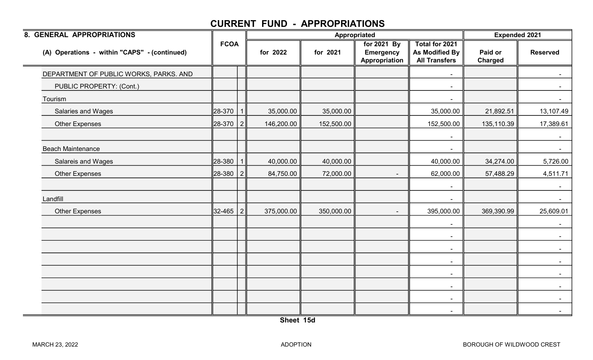| 8. GENERAL APPROPRIATIONS                    |             |                |            |            | Appropriated                                     |                                                          | <b>Expended 2021</b>      |                 |
|----------------------------------------------|-------------|----------------|------------|------------|--------------------------------------------------|----------------------------------------------------------|---------------------------|-----------------|
| (A) Operations - within "CAPS" - (continued) | <b>FCOA</b> |                | for 2022   | for 2021   | for 2021 By<br><b>Emergency</b><br>Appropriation | Total for 2021<br>As Modified By<br><b>All Transfers</b> | Paid or<br><b>Charged</b> | <b>Reserved</b> |
| DEPARTMENT OF PUBLIC WORKS, PARKS. AND       |             |                |            |            |                                                  |                                                          |                           |                 |
| PUBLIC PROPERTY: (Cont.)                     |             |                |            |            |                                                  | $\blacksquare$                                           |                           | $\sim$          |
| Tourism                                      |             |                |            |            |                                                  |                                                          |                           |                 |
| Salaries and Wages                           | 28-370      |                | 35,000.00  | 35,000.00  |                                                  | 35,000.00                                                | 21,892.51                 | 13,107.49       |
| <b>Other Expenses</b>                        | 28-370      | 2              | 146,200.00 | 152,500.00 |                                                  | 152,500.00                                               | 135,110.39                | 17,389.61       |
|                                              |             |                |            |            |                                                  |                                                          |                           |                 |
| <b>Beach Maintenance</b>                     |             |                |            |            |                                                  |                                                          |                           | $\sim$          |
| Salareis and Wages                           | 28-380      |                | 40,000.00  | 40,000.00  |                                                  | 40,000.00                                                | 34,274.00                 | 5,726.00        |
| <b>Other Expenses</b>                        | 28-380      | 2              | 84,750.00  | 72,000.00  |                                                  | 62,000.00                                                | 57,488.29                 | 4,511.71        |
|                                              |             |                |            |            |                                                  | $\blacksquare$                                           |                           | $\sim$          |
| Landfill                                     |             |                |            |            |                                                  | $\blacksquare$                                           |                           | $\sim$          |
| <b>Other Expenses</b>                        | 32-465      | 2 <sup>1</sup> | 375,000.00 | 350,000.00 | $\blacksquare$                                   | 395,000.00                                               | 369,390.99                | 25,609.01       |
|                                              |             |                |            |            |                                                  | $\blacksquare$                                           |                           | $\sim$          |
|                                              |             |                |            |            |                                                  | $\overline{\phantom{a}}$                                 |                           |                 |
|                                              |             |                |            |            |                                                  | $\blacksquare$                                           |                           | $\sim$          |
|                                              |             |                |            |            |                                                  | $\blacksquare$                                           |                           | $\sim$          |
|                                              |             |                |            |            |                                                  | $\sim$                                                   |                           |                 |
|                                              |             |                |            |            |                                                  | $\sim$                                                   |                           | $\sim$          |
|                                              |             |                |            |            |                                                  | $\blacksquare$                                           |                           | $\sim$          |
|                                              |             |                |            |            |                                                  | $\sim$                                                   |                           | $\sim$          |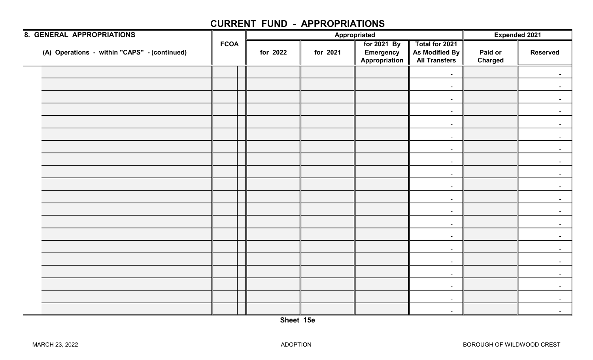| 8. GENERAL APPROPRIATIONS                    |             |          |          | Appropriated                                     |                                                          | Expended 2021             |                 |
|----------------------------------------------|-------------|----------|----------|--------------------------------------------------|----------------------------------------------------------|---------------------------|-----------------|
| (A) Operations - within "CAPS" - (continued) | <b>FCOA</b> | for 2022 | for 2021 | for 2021 By<br><b>Emergency</b><br>Appropriation | Total for 2021<br>As Modified By<br><b>All Transfers</b> | Paid or<br><b>Charged</b> | <b>Reserved</b> |
|                                              |             |          |          |                                                  | $\blacksquare$                                           |                           |                 |
|                                              |             |          |          |                                                  | $\sim$                                                   |                           |                 |
|                                              |             |          |          |                                                  | $\blacksquare$                                           |                           |                 |
|                                              |             |          |          |                                                  | $\sim$                                                   |                           |                 |
|                                              |             |          |          |                                                  | $\blacksquare$                                           |                           |                 |
|                                              |             |          |          |                                                  | $\blacksquare$                                           |                           |                 |
|                                              |             |          |          |                                                  | $\sim$                                                   |                           |                 |
|                                              |             |          |          |                                                  | $\sim$                                                   |                           |                 |
|                                              |             |          |          |                                                  | $\sim$                                                   |                           |                 |
|                                              |             |          |          |                                                  | $\blacksquare$                                           |                           |                 |
|                                              |             |          |          |                                                  | $\sim$                                                   |                           |                 |
|                                              |             |          |          |                                                  | $\sim$                                                   |                           |                 |
|                                              |             |          |          |                                                  | $\sim$                                                   |                           |                 |
|                                              |             |          |          |                                                  | $\blacksquare$                                           |                           |                 |
|                                              |             |          |          |                                                  | $\sim$                                                   |                           |                 |
|                                              |             |          |          |                                                  | $\sim$                                                   |                           |                 |
|                                              |             |          |          |                                                  | $\sim$                                                   |                           |                 |
|                                              |             |          |          |                                                  | $\blacksquare$                                           |                           |                 |
|                                              |             |          |          |                                                  | $\blacksquare$                                           |                           | $\blacksquare$  |
|                                              |             |          |          |                                                  | $\sim$                                                   |                           | $\sim$          |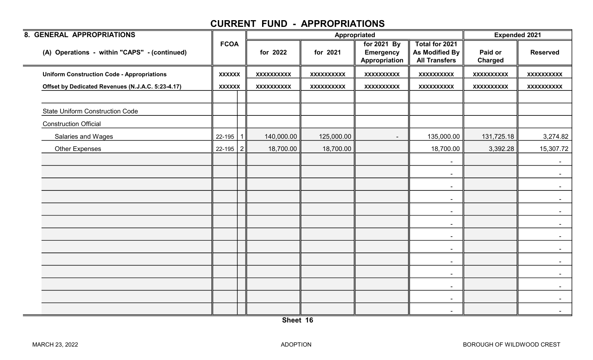| 8. GENERAL APPROPRIATIONS                         |                |                   | Appropriated      |                                                  |                                                          | <b>Expended 2021</b> |                   |
|---------------------------------------------------|----------------|-------------------|-------------------|--------------------------------------------------|----------------------------------------------------------|----------------------|-------------------|
| (A) Operations - within "CAPS" - (continued)      | <b>FCOA</b>    | for 2022          | for 2021          | for 2021 By<br><b>Emergency</b><br>Appropriation | Total for 2021<br>As Modified By<br><b>All Transfers</b> | Paid or<br>Charged   | <b>Reserved</b>   |
| <b>Uniform Construction Code - Appropriations</b> | <b>XXXXXX</b>  | <b>XXXXXXXXXX</b> | <b>XXXXXXXXXX</b> | XXXXXXXXX                                        | <b>XXXXXXXXXX</b>                                        | <b>XXXXXXXXXX</b>    | <b>XXXXXXXXXX</b> |
| Offset by Dedicated Revenues (N.J.A.C. 5:23-4.17) | <b>XXXXXX</b>  | <b>XXXXXXXXXX</b> | XXXXXXXXXX        | <b>XXXXXXXXXX</b>                                | <b>XXXXXXXXXX</b>                                        | <b>XXXXXXXXXX</b>    | XXXXXXXXXX        |
| <b>State Uniform Construction Code</b>            |                |                   |                   |                                                  |                                                          |                      |                   |
| <b>Construction Official</b>                      |                |                   |                   |                                                  |                                                          |                      |                   |
| Salaries and Wages                                | 22-195         | 140,000.00        | 125,000.00        |                                                  | 135,000.00                                               | 131,725.18           | 3,274.82          |
| <b>Other Expenses</b>                             | $22 - 195$   2 | 18,700.00         | 18,700.00         |                                                  | 18,700.00                                                | 3,392.28             | 15,307.72         |
|                                                   |                |                   |                   |                                                  | $\blacksquare$                                           |                      | $\sim$            |
|                                                   |                |                   |                   |                                                  | $\blacksquare$                                           |                      |                   |
|                                                   |                |                   |                   |                                                  | $\sim$                                                   |                      |                   |
|                                                   |                |                   |                   |                                                  | $\blacksquare$                                           |                      | $\sim$            |
|                                                   |                |                   |                   |                                                  | $\sim$                                                   |                      | $\sim$            |
|                                                   |                |                   |                   |                                                  | $\blacksquare$                                           |                      |                   |
|                                                   |                |                   |                   |                                                  | $\blacksquare$                                           |                      |                   |
|                                                   |                |                   |                   |                                                  | $\sim$                                                   |                      |                   |
|                                                   |                |                   |                   |                                                  | $\sim$                                                   |                      | $\sim$            |
|                                                   |                |                   |                   |                                                  | $\blacksquare$                                           |                      |                   |
|                                                   |                |                   |                   |                                                  | $\sim$                                                   |                      |                   |
|                                                   |                |                   |                   |                                                  | $\blacksquare$                                           |                      | $\blacksquare$    |
|                                                   |                |                   |                   |                                                  | $\sim$                                                   |                      | $\sim$            |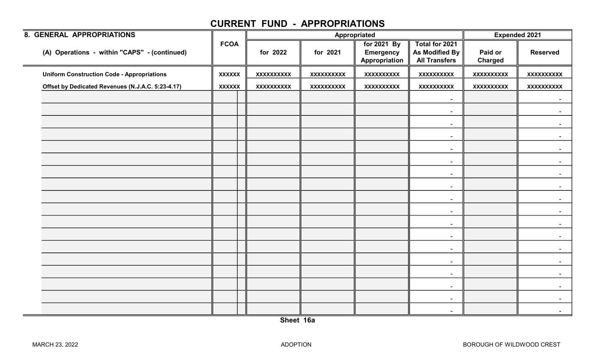| 8. GENERAL APPROPRIATIONS                         |               |                   |                   | Appropriated                                     |                                                          | <b>Expended 2021</b>      |                   |
|---------------------------------------------------|---------------|-------------------|-------------------|--------------------------------------------------|----------------------------------------------------------|---------------------------|-------------------|
| (A) Operations - within "CAPS" - (continued)      | <b>FCOA</b>   | for 2022          | for 2021          | for 2021 By<br><b>Emergency</b><br>Appropriation | Total for 2021<br>As Modified By<br><b>All Transfers</b> | Paid or<br><b>Charged</b> | <b>Reserved</b>   |
| <b>Uniform Construction Code - Appropriations</b> | <b>XXXXXX</b> | <b>XXXXXXXXXX</b> | <b>XXXXXXXXXX</b> | <b>XXXXXXXXXX</b>                                | <b>XXXXXXXXXX</b>                                        | <b>XXXXXXXXXX</b>         | <b>XXXXXXXXXX</b> |
| Offset by Dedicated Revenues (N.J.A.C. 5:23-4.17) | <b>XXXXXX</b> | <b>XXXXXXXXXX</b> | <b>XXXXXXXXXX</b> | <b>XXXXXXXXXX</b>                                | <b>XXXXXXXXXX</b>                                        | <b>XXXXXXXXXX</b>         | <b>XXXXXXXXXX</b> |
|                                                   |               |                   |                   |                                                  | $\blacksquare$                                           |                           | $\sim$            |
|                                                   |               |                   |                   |                                                  | $\sim$                                                   |                           |                   |
|                                                   |               |                   |                   |                                                  | $\sim$                                                   |                           |                   |
|                                                   |               |                   |                   |                                                  | $\overline{\phantom{a}}$                                 |                           |                   |
|                                                   |               |                   |                   |                                                  | $\sim$                                                   |                           |                   |
|                                                   |               |                   |                   |                                                  | $\sim$                                                   |                           |                   |
|                                                   |               |                   |                   |                                                  |                                                          |                           |                   |
|                                                   |               |                   |                   |                                                  | $\sim$                                                   |                           |                   |
|                                                   |               |                   |                   |                                                  | $\blacksquare$                                           |                           |                   |
|                                                   |               |                   |                   |                                                  | $\sim$                                                   |                           |                   |
|                                                   |               |                   |                   |                                                  | $\blacksquare$                                           |                           |                   |
|                                                   |               |                   |                   |                                                  | $\sim$                                                   |                           |                   |
|                                                   |               |                   |                   |                                                  | $\overline{\phantom{a}}$                                 |                           |                   |
|                                                   |               |                   |                   |                                                  | $\sim$                                                   |                           |                   |
|                                                   |               |                   |                   |                                                  | $\sim$                                                   |                           |                   |
|                                                   |               |                   |                   |                                                  | $\sim$                                                   |                           |                   |
|                                                   |               |                   |                   |                                                  | $\blacksquare$                                           |                           |                   |
|                                                   |               |                   |                   |                                                  | $\blacksquare$                                           |                           |                   |
|                                                   |               |                   |                   |                                                  |                                                          |                           |                   |
|                                                   |               |                   |                   |                                                  | $\sim$                                                   |                           | $\sim$            |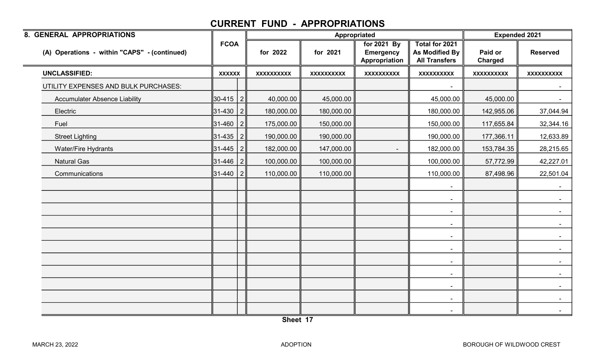| 8. GENERAL APPROPRIATIONS                    |               |                |                   | Appropriated      |                                                  |                                                          | <b>Expended 2021</b>      |                   |
|----------------------------------------------|---------------|----------------|-------------------|-------------------|--------------------------------------------------|----------------------------------------------------------|---------------------------|-------------------|
| (A) Operations - within "CAPS" - (continued) | <b>FCOA</b>   |                | for 2022          | for 2021          | for 2021 By<br><b>Emergency</b><br>Appropriation | Total for 2021<br>As Modified By<br><b>All Transfers</b> | Paid or<br><b>Charged</b> | <b>Reserved</b>   |
| <b>UNCLASSIFIED:</b>                         | <b>XXXXXX</b> |                | <b>XXXXXXXXXX</b> | <b>XXXXXXXXXX</b> | <b>XXXXXXXXXX</b>                                | <b>XXXXXXXXXX</b>                                        | <b>XXXXXXXXXX</b>         | <b>XXXXXXXXXX</b> |
| UTILITY EXPENSES AND BULK PURCHASES:         |               |                |                   |                   |                                                  |                                                          |                           |                   |
| <b>Accumulater Absence Liability</b>         | 30-415        | $\overline{2}$ | 40,000.00         | 45,000.00         |                                                  | 45,000.00                                                | 45,000.00                 | $\sim$            |
| Electric                                     | 31-430        | $\vert$ 2      | 180,000.00        | 180,000.00        |                                                  | 180,000.00                                               | 142,955.06                | 37,044.94         |
| Fuel                                         | 31-460        | $\overline{2}$ | 175,000.00        | 150,000.00        |                                                  | 150,000.00                                               | 117,655.84                | 32,344.16         |
| <b>Street Lighting</b>                       | 31-435        | $\overline{2}$ | 190,000.00        | 190,000.00        |                                                  | 190,000.00                                               | 177,366.11                | 12,633.89         |
| <b>Water/Fire Hydrants</b>                   | 31-445        | 2              | 182,000.00        | 147,000.00        |                                                  | 182,000.00                                               | 153,784.35                | 28,215.65         |
| <b>Natural Gas</b>                           | 31-446        | $\vert$ 2      | 100,000.00        | 100,000.00        |                                                  | 100,000.00                                               | 57,772.99                 | 42,227.01         |
| Communications                               | 31-440        | 2              | 110,000.00        | 110,000.00        |                                                  | 110,000.00                                               | 87,498.96                 | 22,501.04         |
|                                              |               |                |                   |                   |                                                  |                                                          |                           |                   |
|                                              |               |                |                   |                   |                                                  | $\blacksquare$                                           |                           | $\sim$            |
|                                              |               |                |                   |                   |                                                  | $\sim$                                                   |                           | $\sim$ $-$        |
|                                              |               |                |                   |                   |                                                  | $\sim$                                                   |                           |                   |
|                                              |               |                |                   |                   |                                                  | $\blacksquare$                                           |                           |                   |
|                                              |               |                |                   |                   |                                                  | $\blacksquare$                                           |                           | $\sim$ $-$        |
|                                              |               |                |                   |                   |                                                  | $\sim$                                                   |                           | $\sim$ $-$        |
|                                              |               |                |                   |                   |                                                  | $\blacksquare$                                           |                           |                   |
|                                              |               |                |                   |                   |                                                  | $\sim$                                                   |                           | $\sim$            |
|                                              |               |                |                   |                   |                                                  | $\blacksquare$                                           |                           | $\sim$            |
|                                              |               |                |                   |                   |                                                  | $\sim$                                                   |                           | $\sim$            |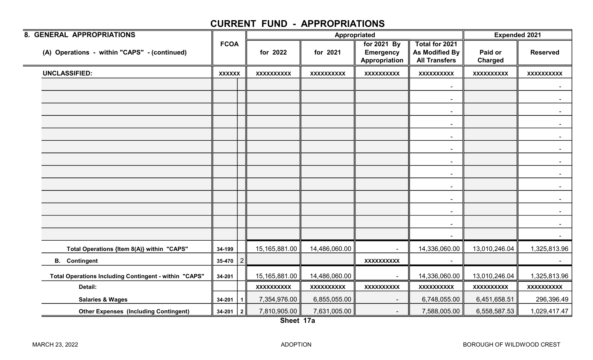| 8. GENERAL APPROPRIATIONS                             |               |                |                   | Appropriated      | <b>Expended 2021</b>                             |                                                          |                           |                   |
|-------------------------------------------------------|---------------|----------------|-------------------|-------------------|--------------------------------------------------|----------------------------------------------------------|---------------------------|-------------------|
| (A) Operations - within "CAPS" - (continued)          | <b>FCOA</b>   |                | for 2022          | for 2021          | for 2021 By<br><b>Emergency</b><br>Appropriation | Total for 2021<br>As Modified By<br><b>All Transfers</b> | Paid or<br><b>Charged</b> | <b>Reserved</b>   |
| <b>UNCLASSIFIED:</b>                                  | <b>XXXXXX</b> |                | <b>XXXXXXXXXX</b> | <b>XXXXXXXXXX</b> | <b>XXXXXXXXXX</b>                                | <b>XXXXXXXXXX</b>                                        | <b>XXXXXXXXXX</b>         | <b>XXXXXXXXXX</b> |
|                                                       |               |                |                   |                   |                                                  | $\sim$                                                   |                           |                   |
|                                                       |               |                |                   |                   |                                                  |                                                          |                           |                   |
|                                                       |               |                |                   |                   |                                                  | $\sim$                                                   |                           | $\sim$ $-$        |
|                                                       |               |                |                   |                   |                                                  |                                                          |                           | $\sim$            |
|                                                       |               |                |                   |                   |                                                  |                                                          |                           |                   |
|                                                       |               |                |                   |                   |                                                  |                                                          |                           |                   |
|                                                       |               |                |                   |                   |                                                  | $\blacksquare$                                           |                           |                   |
|                                                       |               |                |                   |                   |                                                  | $\sim$                                                   |                           | $\sim$ 100 $\mu$  |
|                                                       |               |                |                   |                   |                                                  | $\sim$                                                   |                           |                   |
|                                                       |               |                |                   |                   |                                                  |                                                          |                           |                   |
|                                                       |               |                |                   |                   |                                                  | $\sim$                                                   |                           |                   |
|                                                       |               |                |                   |                   |                                                  | $\sim$                                                   |                           |                   |
|                                                       |               |                |                   |                   |                                                  | $\sim$                                                   |                           | $\sim$ 10 $\pm$   |
|                                                       | 34-199        |                | 15,165,881.00     | 14,486,060.00     |                                                  | 14,336,060.00                                            | 13,010,246.04             | 1,325,813.96      |
| Total Operations {Item 8(A)} within "CAPS"            | 35-470        | $\overline{2}$ |                   |                   | <b>XXXXXXXXXX</b>                                |                                                          |                           |                   |
| <b>B.</b> Contingent                                  |               |                |                   |                   |                                                  |                                                          |                           |                   |
| Total Operations Including Contingent - within "CAPS" | 34-201        |                | 15,165,881.00     | 14,486,060.00     |                                                  | 14,336,060.00                                            | 13,010,246.04             | 1,325,813.96      |
| Detail:                                               |               |                | <b>XXXXXXXXXX</b> | <b>XXXXXXXXXX</b> | <b>XXXXXXXXXX</b>                                | <b>XXXXXXXXXX</b>                                        | <b>XXXXXXXXXX</b>         | <b>XXXXXXXXXX</b> |
| <b>Salaries &amp; Wages</b>                           | $34 - 201$    | 1              | 7,354,976.00      | 6,855,055.00      | $\blacksquare$                                   | 6,748,055.00                                             | 6,451,658.51              | 296,396.49        |
| <b>Other Expenses (Including Contingent)</b>          | $34-201$   2  |                | 7,810,905.00      | 7,631,005.00      | $\sim$                                           | 7,588,005.00                                             | 6,558,587.53              | 1,029,417.47      |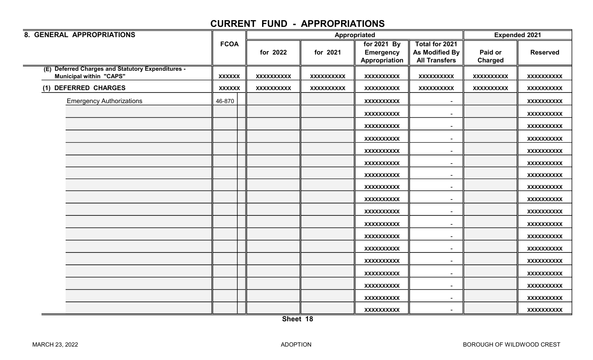| 8. GENERAL APPROPRIATIONS                                                           |               |                   |                   | Appropriated                                     |                                                          | <b>Expended 2021</b> |                   |
|-------------------------------------------------------------------------------------|---------------|-------------------|-------------------|--------------------------------------------------|----------------------------------------------------------|----------------------|-------------------|
|                                                                                     | <b>FCOA</b>   | for 2022          | for 2021          | for 2021 By<br><b>Emergency</b><br>Appropriation | Total for 2021<br>As Modified By<br><b>All Transfers</b> | Paid or<br>Charged   | <b>Reserved</b>   |
| (E) Deferred Charges and Statutory Expenditures -<br><b>Municipal within "CAPS"</b> | <b>XXXXXX</b> | <b>XXXXXXXXXX</b> | <b>XXXXXXXXXX</b> | <b>XXXXXXXXXX</b>                                | <b>XXXXXXXXXX</b>                                        | <b>XXXXXXXXXX</b>    | <b>XXXXXXXXXX</b> |
| (1) DEFERRED CHARGES                                                                | <b>XXXXXX</b> | <b>XXXXXXXXXX</b> | <b>XXXXXXXXXX</b> | <b>XXXXXXXXXX</b>                                | <b>XXXXXXXXXX</b>                                        | <b>XXXXXXXXXX</b>    | <b>XXXXXXXXXX</b> |
| <b>Emergency Authorizations</b>                                                     | 46-870        |                   |                   | <b>XXXXXXXXXX</b>                                | $\blacksquare$                                           |                      | <b>XXXXXXXXXX</b> |
|                                                                                     |               |                   |                   | <b>XXXXXXXXXX</b>                                | $\overline{\phantom{a}}$                                 |                      | XXXXXXXXXX        |
|                                                                                     |               |                   |                   | <b>XXXXXXXXXX</b>                                | $\overline{\phantom{a}}$                                 |                      | XXXXXXXXXX        |
|                                                                                     |               |                   |                   | <b>XXXXXXXXXX</b>                                | $\sim$                                                   |                      | <b>XXXXXXXXXX</b> |
|                                                                                     |               |                   |                   | <b>XXXXXXXXXX</b>                                | $\blacksquare$                                           |                      | <b>XXXXXXXXXX</b> |
|                                                                                     |               |                   |                   | <b>XXXXXXXXXX</b>                                | $\overline{\phantom{a}}$                                 |                      | <b>XXXXXXXXXX</b> |
|                                                                                     |               |                   |                   | <b>XXXXXXXXXX</b>                                | $\blacksquare$                                           |                      | <b>XXXXXXXXXX</b> |
|                                                                                     |               |                   |                   | <b>XXXXXXXXXX</b>                                | $\blacksquare$                                           |                      | <b>XXXXXXXXXX</b> |
|                                                                                     |               |                   |                   | <b>XXXXXXXXXX</b>                                | $\sim$                                                   |                      | <b>XXXXXXXXXX</b> |
|                                                                                     |               |                   |                   | <b>XXXXXXXXXX</b>                                | $\blacksquare$                                           |                      | <b>XXXXXXXXXX</b> |
|                                                                                     |               |                   |                   | <b>XXXXXXXXXX</b>                                | $\sim$                                                   |                      | <b>XXXXXXXXXX</b> |
|                                                                                     |               |                   |                   | <b>XXXXXXXXXX</b>                                | $\overline{\phantom{a}}$                                 |                      | <b>XXXXXXXXXX</b> |
|                                                                                     |               |                   |                   | <b>XXXXXXXXXX</b>                                | $\overline{\phantom{a}}$                                 |                      | XXXXXXXXXX        |
|                                                                                     |               |                   |                   | <b>XXXXXXXXXX</b>                                | $\sim$                                                   |                      | <b>XXXXXXXXXX</b> |
|                                                                                     |               |                   |                   | <b>XXXXXXXXXX</b>                                | $\blacksquare$                                           |                      | <b>XXXXXXXXXX</b> |
|                                                                                     |               |                   |                   | <b>XXXXXXXXXX</b>                                | $\sim$                                                   |                      | <b>XXXXXXXXXX</b> |
|                                                                                     |               |                   |                   | <b>XXXXXXXXXX</b>                                | $\blacksquare$                                           |                      | XXXXXXXXXX        |
|                                                                                     |               |                   |                   | <b>XXXXXXXXXX</b>                                |                                                          |                      | <b>XXXXXXXXXX</b> |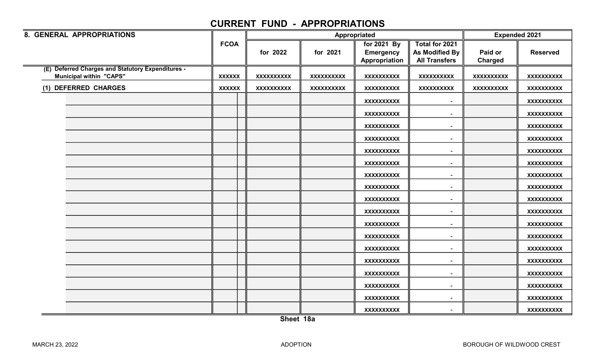| 8. GENERAL APPROPRIATIONS                                                           |               |                   |                   | Appropriated                                     |                                                                 | <b>Expended 2021</b>      |                   |
|-------------------------------------------------------------------------------------|---------------|-------------------|-------------------|--------------------------------------------------|-----------------------------------------------------------------|---------------------------|-------------------|
|                                                                                     | <b>FCOA</b>   | for 2022          | for 2021          | for 2021 By<br><b>Emergency</b><br>Appropriation | Total for 2021<br><b>As Modified By</b><br><b>All Transfers</b> | Paid or<br><b>Charged</b> | <b>Reserved</b>   |
| (E) Deferred Charges and Statutory Expenditures -<br><b>Municipal within "CAPS"</b> | <b>XXXXXX</b> | <b>XXXXXXXXXX</b> | <b>XXXXXXXXXX</b> | <b>XXXXXXXXXX</b>                                | <b>XXXXXXXXXX</b>                                               | <b>XXXXXXXXXX</b>         | <b>XXXXXXXXXX</b> |
| (1) DEFERRED CHARGES                                                                | <b>XXXXXX</b> | <b>XXXXXXXXXX</b> | <b>XXXXXXXXXX</b> | <b>XXXXXXXXXX</b>                                | <b>XXXXXXXXXX</b>                                               | <b>XXXXXXXXXX</b>         | <b>XXXXXXXXXX</b> |
|                                                                                     |               |                   |                   | <b>XXXXXXXXXX</b>                                | $\overline{\phantom{a}}$                                        |                           | XXXXXXXXX         |
|                                                                                     |               |                   |                   | <b>XXXXXXXXXX</b>                                |                                                                 |                           | <b>XXXXXXXXXX</b> |
|                                                                                     |               |                   |                   | <b>XXXXXXXXXX</b>                                | $\overline{\phantom{a}}$                                        |                           | XXXXXXXXX         |
|                                                                                     |               |                   |                   | <b>XXXXXXXXXX</b>                                | $\overline{\phantom{a}}$                                        |                           | <b>XXXXXXXXXX</b> |
|                                                                                     |               |                   |                   | <b>XXXXXXXXXX</b>                                | $\overline{\phantom{a}}$                                        |                           | XXXXXXXXXX        |
|                                                                                     |               |                   |                   | <b>XXXXXXXXXX</b>                                | $\overline{\phantom{a}}$                                        |                           | XXXXXXXXX         |
|                                                                                     |               |                   |                   | <b>XXXXXXXXXX</b>                                | $\sim$                                                          |                           | XXXXXXXXXX        |
|                                                                                     |               |                   |                   | <b>XXXXXXXXXX</b>                                | $\overline{\phantom{a}}$                                        |                           | XXXXXXXXXX        |
|                                                                                     |               |                   |                   | <b>XXXXXXXXXX</b>                                | $\sim$                                                          |                           | <b>XXXXXXXXXX</b> |
|                                                                                     |               |                   |                   | <b>XXXXXXXXXX</b>                                | $\overline{\phantom{a}}$                                        |                           | <b>XXXXXXXXXX</b> |
|                                                                                     |               |                   |                   | <b>XXXXXXXXXX</b>                                |                                                                 |                           | XXXXXXXXX         |
|                                                                                     |               |                   |                   | <b>XXXXXXXXXX</b>                                |                                                                 |                           | <b>XXXXXXXXXX</b> |
|                                                                                     |               |                   |                   | <b>XXXXXXXXXX</b>                                |                                                                 |                           | XXXXXXXXXX        |
|                                                                                     |               |                   |                   | <b>XXXXXXXXXX</b>                                | $\overline{\phantom{a}}$                                        |                           | <b>XXXXXXXXXX</b> |
|                                                                                     |               |                   |                   | <b>XXXXXXXXXX</b>                                | $\overline{\phantom{a}}$                                        |                           | XXXXXXXXX         |
|                                                                                     |               |                   |                   | <b>XXXXXXXXXX</b>                                | $\sim$                                                          |                           | <b>XXXXXXXXXX</b> |
|                                                                                     |               |                   |                   | <b>XXXXXXXXXX</b>                                | $\overline{\phantom{a}}$                                        |                           | <b>XXXXXXXXXX</b> |
|                                                                                     |               |                   |                   | <b>XXXXXXXXXX</b>                                |                                                                 |                           | <b>XXXXXXXXXX</b> |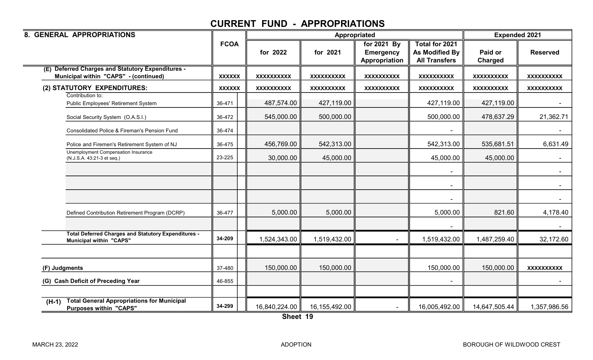| 8. GENERAL APPROPRIATIONS                                                                     | Appropriated  |                   |                   |                                                  |                                                                 | <b>Expended 2021</b> |                   |
|-----------------------------------------------------------------------------------------------|---------------|-------------------|-------------------|--------------------------------------------------|-----------------------------------------------------------------|----------------------|-------------------|
|                                                                                               | <b>FCOA</b>   | for 2022          | for 2021          | for 2021 By<br><b>Emergency</b><br>Appropriation | Total for 2021<br><b>As Modified By</b><br><b>All Transfers</b> | Paid or<br>Charged   | <b>Reserved</b>   |
| <b>Deferred Charges and Statutory Expenditures -</b><br>Municipal within "CAPS" - (continued) | <b>XXXXXX</b> | <b>XXXXXXXXXX</b> | <b>XXXXXXXXXX</b> | <b>XXXXXXXXXX</b>                                | <b>XXXXXXXXXX</b>                                               | <b>XXXXXXXXXX</b>    | <b>XXXXXXXXXX</b> |
| (2) STATUTORY EXPENDITURES:                                                                   | <b>XXXXXX</b> | <b>XXXXXXXXXX</b> | <b>XXXXXXXXXX</b> | <b>XXXXXXXXXX</b>                                | <b>XXXXXXXXXX</b>                                               | <b>XXXXXXXXXX</b>    | <b>XXXXXXXXXX</b> |
| Contribution to:<br>Public Employees' Retirement System                                       | 36-471        | 487,574.00        | 427,119.00        |                                                  | 427,119.00                                                      | 427,119.00           |                   |
| Social Security System (O.A.S.I.)                                                             | 36-472        | 545,000.00        | 500,000.00        |                                                  | 500,000.00                                                      | 478,637.29           | 21,362.71         |
| Consolidated Police & Fireman's Pension Fund                                                  | 36-474        |                   |                   |                                                  |                                                                 |                      |                   |
| Police and Firemen's Retirement System of NJ                                                  | 36-475        | 456,769.00        | 542,313.00        |                                                  | 542,313.00                                                      | 535,681.51           | 6,631.49          |
| Unemployment Compensation Insurance<br>(N.J.S.A. 43:21-3 et seq.)                             | 23-225        | 30,000.00         | 45,000.00         |                                                  | 45,000.00                                                       | 45,000.00            |                   |
|                                                                                               |               |                   |                   |                                                  |                                                                 |                      |                   |
|                                                                                               |               |                   |                   |                                                  |                                                                 |                      |                   |
|                                                                                               |               |                   |                   |                                                  |                                                                 |                      |                   |
| Defined Contribution Retirement Program (DCRP)                                                | 36-477        | 5,000.00          | 5,000.00          |                                                  | 5,000.00                                                        | 821.60               | 4,178.40          |
|                                                                                               |               |                   |                   |                                                  |                                                                 |                      |                   |
| <b>Total Deferred Charges and Statutory Expenditures -</b><br><b>Municipal within "CAPS"</b>  | 34-209        | 1,524,343.00      | 1,519,432.00      |                                                  | 1,519,432.00                                                    | 1,487,259.40         | 32,172.60         |
|                                                                                               |               |                   |                   |                                                  |                                                                 |                      |                   |
| (F) Judgments                                                                                 | 37-480        | 150,000.00        | 150,000.00        |                                                  | 150,000.00                                                      | 150,000.00           | <b>XXXXXXXXXX</b> |
| (G) Cash Deficit of Preceding Year                                                            | 46-855        |                   |                   |                                                  |                                                                 |                      |                   |
|                                                                                               |               |                   |                   |                                                  |                                                                 |                      |                   |
| <b>Total General Appropriations for Municipal</b><br>$(H-1)$<br><b>Purposes within "CAPS"</b> | 34-299        | 16,840,224.00     | 16,155,492.00     |                                                  | 16,005,492.00                                                   | 14,647,505.44        | 1,357,986.56      |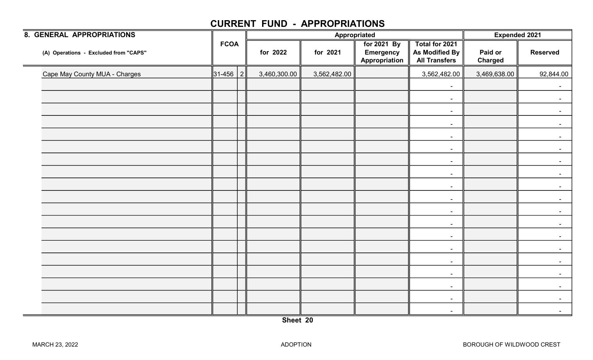| <b>8. GENERAL APPROPRIATIONS</b>      |                    |              |              | Appropriated                                     |                                                          | <b>Expended 2021</b>      |                 |
|---------------------------------------|--------------------|--------------|--------------|--------------------------------------------------|----------------------------------------------------------|---------------------------|-----------------|
| (A) Operations - Excluded from "CAPS" | <b>FCOA</b>        | for 2022     | for 2021     | for 2021 By<br><b>Emergency</b><br>Appropriation | Total for 2021<br>As Modified By<br><b>All Transfers</b> | Paid or<br><b>Charged</b> | <b>Reserved</b> |
| Cape May County MUA - Charges         | $\ 31 - 456 \ 2\ $ | 3,460,300.00 | 3,562,482.00 |                                                  | 3,562,482.00                                             | 3,469,638.00              | 92,844.00       |
|                                       |                    |              |              |                                                  | $\sim$                                                   |                           | $\sim$          |
|                                       |                    |              |              |                                                  | $\sim$                                                   |                           | $\sim$          |
|                                       |                    |              |              |                                                  | $\blacksquare$                                           |                           | $\sim$          |
|                                       |                    |              |              |                                                  | $\blacksquare$                                           |                           |                 |
|                                       |                    |              |              |                                                  | $\sim$                                                   |                           | $\sim$          |
|                                       |                    |              |              |                                                  | $\blacksquare$                                           |                           | $\sim$          |
|                                       |                    |              |              |                                                  | $\blacksquare$                                           |                           | $\blacksquare$  |
|                                       |                    |              |              |                                                  | $\sim$                                                   |                           | $\sim$          |
|                                       |                    |              |              |                                                  | $\sim$                                                   |                           | $\sim$          |
|                                       |                    |              |              |                                                  | $\sim$                                                   |                           | $\sim$          |
|                                       |                    |              |              |                                                  | $\sim$                                                   |                           | $\sim$          |
|                                       |                    |              |              |                                                  | $\blacksquare$                                           |                           |                 |
|                                       |                    |              |              |                                                  | $\sim$                                                   |                           |                 |
|                                       |                    |              |              |                                                  | $\sim$                                                   |                           |                 |
|                                       |                    |              |              |                                                  | $\blacksquare$                                           |                           | $\sim$          |
|                                       |                    |              |              |                                                  | $\blacksquare$                                           |                           | $\blacksquare$  |
|                                       |                    |              |              |                                                  | $\sim$                                                   |                           | $\sim$          |
|                                       |                    |              |              |                                                  | $\overline{\phantom{a}}$                                 |                           | $\blacksquare$  |
|                                       |                    |              |              |                                                  | $\sim$                                                   |                           | $\sim$          |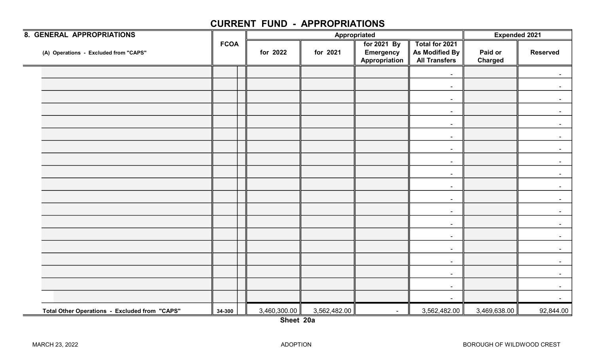| <b>8. GENERAL APPROPRIATIONS</b>              |             |              | Appropriated | <b>Expended 2021</b>                             |                                                          |                    |                 |
|-----------------------------------------------|-------------|--------------|--------------|--------------------------------------------------|----------------------------------------------------------|--------------------|-----------------|
| (A) Operations - Excluded from "CAPS"         | <b>FCOA</b> | for 2022     | for 2021     | for 2021 By<br><b>Emergency</b><br>Appropriation | Total for 2021<br>As Modified By<br><b>All Transfers</b> | Paid or<br>Charged | <b>Reserved</b> |
|                                               |             |              |              |                                                  | $\blacksquare$                                           |                    |                 |
|                                               |             |              |              |                                                  | $\sim$                                                   |                    |                 |
|                                               |             |              |              |                                                  | $\overline{\phantom{a}}$                                 |                    |                 |
|                                               |             |              |              |                                                  | $\sim$                                                   |                    | $\sim$          |
|                                               |             |              |              |                                                  | $\overline{\phantom{a}}$                                 |                    |                 |
|                                               |             |              |              |                                                  | $\sim$                                                   |                    |                 |
|                                               |             |              |              |                                                  | $\sim$                                                   |                    |                 |
|                                               |             |              |              |                                                  | $\sim$                                                   |                    | $\sim$          |
|                                               |             |              |              |                                                  | $\sim$                                                   |                    |                 |
|                                               |             |              |              |                                                  | $\sim$                                                   |                    |                 |
|                                               |             |              |              |                                                  | $\blacksquare$                                           |                    |                 |
|                                               |             |              |              |                                                  | $\sim$                                                   |                    | $\blacksquare$  |
|                                               |             |              |              |                                                  | $\sim$                                                   |                    |                 |
|                                               |             |              |              |                                                  | $\sim$                                                   |                    |                 |
|                                               |             |              |              |                                                  | $\overline{\phantom{a}}$                                 |                    |                 |
|                                               |             |              |              |                                                  | $\sim$                                                   |                    | $\sim$          |
|                                               |             |              |              |                                                  | $\sim$                                                   |                    |                 |
|                                               |             |              |              |                                                  | $\blacksquare$                                           |                    |                 |
|                                               |             |              |              |                                                  | $\overline{\phantom{a}}$                                 |                    |                 |
| Total Other Operations - Excluded from "CAPS" | 34-300      | 3,460,300.00 | 3,562,482.00 | $\blacksquare$                                   | 3,562,482.00                                             | 3,469,638.00       | 92,844.00       |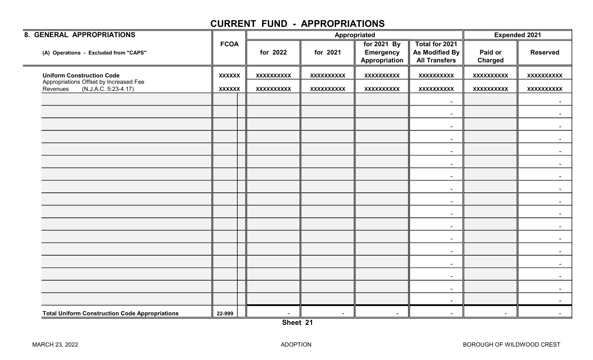| 8. GENERAL APPROPRIATIONS                                                  |               |                   |                   | Appropriated                                     |                                                          | <b>Expended 2021</b>      |                   |  |
|----------------------------------------------------------------------------|---------------|-------------------|-------------------|--------------------------------------------------|----------------------------------------------------------|---------------------------|-------------------|--|
| (A) Operations - Excluded from "CAPS"                                      | <b>FCOA</b>   | for 2022          | for 2021          | for 2021 By<br><b>Emergency</b><br>Appropriation | Total for 2021<br>As Modified By<br><b>All Transfers</b> | Paid or<br><b>Charged</b> | <b>Reserved</b>   |  |
| <b>Uniform Construction Code</b>                                           | <b>XXXXXX</b> | <b>XXXXXXXXXX</b> | <b>XXXXXXXXXX</b> | <b>XXXXXXXXXX</b>                                | <b>XXXXXXXXXX</b>                                        | <b>XXXXXXXXXX</b>         | <b>XXXXXXXXXX</b> |  |
| Appropriations Offset by Increased Fee<br>(N.J.A.C. 5:23-4.17)<br>Revenues | <b>XXXXXX</b> | <b>XXXXXXXXXX</b> | <b>XXXXXXXXXX</b> | <b>XXXXXXXXXX</b>                                | <b>XXXXXXXXXX</b>                                        | <b>XXXXXXXXXX</b>         | <b>XXXXXXXXXX</b> |  |
|                                                                            |               |                   |                   |                                                  | $\sim$                                                   |                           |                   |  |
|                                                                            |               |                   |                   |                                                  | $\sim$                                                   |                           |                   |  |
|                                                                            |               |                   |                   |                                                  | $\sim$                                                   |                           |                   |  |
|                                                                            |               |                   |                   |                                                  | $\sim$                                                   |                           |                   |  |
|                                                                            |               |                   |                   |                                                  | $\sim$                                                   |                           |                   |  |
|                                                                            |               |                   |                   |                                                  | $\sim$                                                   |                           |                   |  |
|                                                                            |               |                   |                   |                                                  | $\blacksquare$                                           |                           |                   |  |
|                                                                            |               |                   |                   |                                                  | $\sim$                                                   |                           |                   |  |
|                                                                            |               |                   |                   |                                                  | $\sim$                                                   |                           | $\sim$            |  |
|                                                                            |               |                   |                   |                                                  | $\sim$                                                   |                           |                   |  |
|                                                                            |               |                   |                   |                                                  | $\sim$                                                   |                           |                   |  |
|                                                                            |               |                   |                   |                                                  | $\sim$                                                   |                           |                   |  |
|                                                                            |               |                   |                   |                                                  | $\sim$                                                   |                           |                   |  |
|                                                                            |               |                   |                   |                                                  | $\sim$                                                   |                           |                   |  |
|                                                                            |               |                   |                   |                                                  | $\sim$                                                   |                           |                   |  |
|                                                                            |               |                   |                   |                                                  | $\sim$                                                   |                           |                   |  |
|                                                                            |               |                   |                   |                                                  | $\sim$                                                   |                           |                   |  |
| <b>Total Uniform Construction Code Appropriations</b>                      | 22-999        | $\blacksquare$    | $\sim$            | $\blacksquare$                                   |                                                          | $\blacksquare$            |                   |  |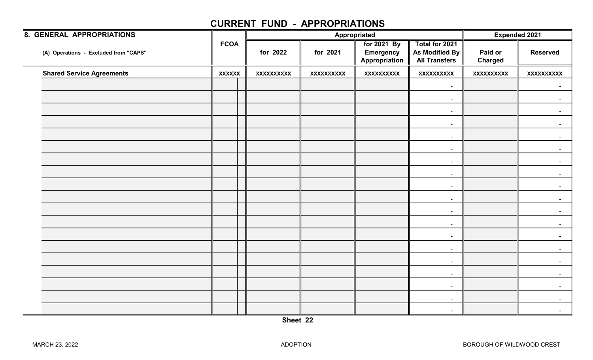|            | <b>Expended 2021</b>                             |                                                          |                           |                   |
|------------|--------------------------------------------------|----------------------------------------------------------|---------------------------|-------------------|
| for 2021   | for 2021 By<br><b>Emergency</b><br>Appropriation | Total for 2021<br>As Modified By<br><b>All Transfers</b> | Paid or<br><b>Charged</b> | <b>Reserved</b>   |
| XXXXXXXXXX | <b>XXXXXXXXXX</b>                                | <b>XXXXXXXXXX</b>                                        | <b>XXXXXXXXXX</b>         | <b>XXXXXXXXXX</b> |
|            |                                                  | $\sim$                                                   |                           |                   |
|            |                                                  | $\sim$                                                   |                           |                   |
|            |                                                  | $\sim$                                                   |                           |                   |
|            |                                                  | $\blacksquare$                                           |                           |                   |
|            |                                                  | $\sim$                                                   |                           |                   |
|            |                                                  | $\blacksquare$                                           |                           |                   |
|            |                                                  | $\sim$                                                   |                           | $\sim$            |
|            |                                                  | $\sim$                                                   |                           |                   |
|            |                                                  | $\sim$                                                   |                           |                   |
|            |                                                  | $\blacksquare$                                           |                           |                   |
|            |                                                  | $\sim$                                                   |                           | $\sim$            |
|            |                                                  | $\sim$                                                   |                           |                   |
|            |                                                  | $\sim$                                                   |                           |                   |
|            |                                                  | $\blacksquare$                                           |                           |                   |
|            |                                                  | $\sim$                                                   |                           | $\blacksquare$    |
|            |                                                  | $\sim$                                                   |                           |                   |
|            |                                                  |                                                          |                           |                   |
|            |                                                  | $\sim$                                                   |                           |                   |
|            |                                                  | $\sim$                                                   |                           |                   |
|            | for 2022<br><b>XXXXXXXXXX</b>                    | Appropriated                                             | $\sim$                    |                   |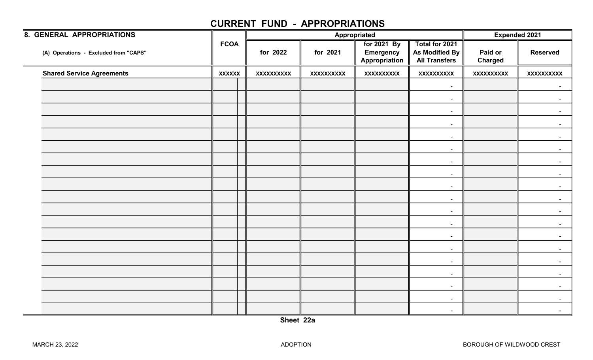| <b>8. GENERAL APPROPRIATIONS</b>      |               |                   | Appropriated      | <b>Expended 2021</b>                             |                                                          |                           |                   |
|---------------------------------------|---------------|-------------------|-------------------|--------------------------------------------------|----------------------------------------------------------|---------------------------|-------------------|
| (A) Operations - Excluded from "CAPS" | <b>FCOA</b>   | for 2022          | for 2021          | for 2021 By<br><b>Emergency</b><br>Appropriation | Total for 2021<br>As Modified By<br><b>All Transfers</b> | Paid or<br><b>Charged</b> | <b>Reserved</b>   |
| <b>Shared Service Agreements</b>      | <b>XXXXXX</b> | <b>XXXXXXXXXX</b> | <b>XXXXXXXXXX</b> | <b>XXXXXXXXXX</b>                                | <b>XXXXXXXXXX</b>                                        | <b>XXXXXXXXXX</b>         | <b>XXXXXXXXXX</b> |
|                                       |               |                   |                   |                                                  | $\sim$                                                   |                           | $\sim$            |
|                                       |               |                   |                   |                                                  | $\sim$                                                   |                           |                   |
|                                       |               |                   |                   |                                                  | $\sim$                                                   |                           | $\sim$            |
|                                       |               |                   |                   |                                                  | $\blacksquare$                                           |                           |                   |
|                                       |               |                   |                   |                                                  | $\sim$                                                   |                           |                   |
|                                       |               |                   |                   |                                                  | $\sim$                                                   |                           |                   |
|                                       |               |                   |                   |                                                  | $\sim$                                                   |                           | $\sim$            |
|                                       |               |                   |                   |                                                  | $\sim$                                                   |                           |                   |
|                                       |               |                   |                   |                                                  | $\sim$                                                   |                           |                   |
|                                       |               |                   |                   |                                                  | $\sim$                                                   |                           |                   |
|                                       |               |                   |                   |                                                  | $\sim$                                                   |                           | $\sim$            |
|                                       |               |                   |                   |                                                  | $\sim$                                                   |                           |                   |
|                                       |               |                   |                   |                                                  | $\sim$                                                   |                           |                   |
|                                       |               |                   |                   |                                                  | $\sim$                                                   |                           |                   |
|                                       |               |                   |                   |                                                  | $\sim$                                                   |                           | $\sim$            |
|                                       |               |                   |                   |                                                  | $\sim$                                                   |                           |                   |
|                                       |               |                   |                   |                                                  | $\sim$                                                   |                           |                   |
|                                       |               |                   |                   |                                                  | $\sim$                                                   |                           |                   |
|                                       |               |                   |                   |                                                  | $\sim$                                                   |                           |                   |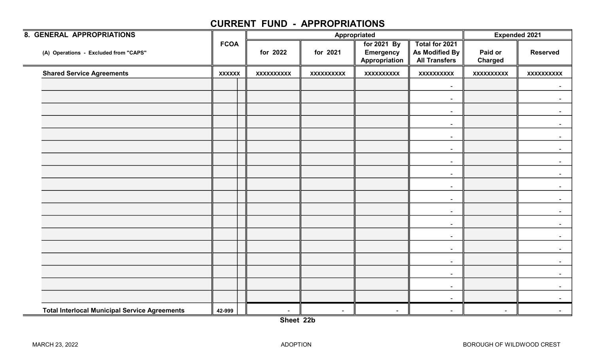| <b>8. GENERAL APPROPRIATIONS</b>                     |               |                   |                   | Appropriated                                     |                                                          | <b>Expended 2021</b>      |                   |
|------------------------------------------------------|---------------|-------------------|-------------------|--------------------------------------------------|----------------------------------------------------------|---------------------------|-------------------|
| (A) Operations - Excluded from "CAPS"                | <b>FCOA</b>   | for 2022          | for 2021          | for 2021 By<br><b>Emergency</b><br>Appropriation | Total for 2021<br>As Modified By<br><b>All Transfers</b> | Paid or<br><b>Charged</b> | <b>Reserved</b>   |
| <b>Shared Service Agreements</b>                     | <b>XXXXXX</b> | <b>XXXXXXXXXX</b> | <b>XXXXXXXXXX</b> | <b>XXXXXXXXXX</b>                                | <b>XXXXXXXXXX</b>                                        | <b>XXXXXXXXXX</b>         | <b>XXXXXXXXXX</b> |
|                                                      |               |                   |                   |                                                  | $\blacksquare$                                           |                           | $\sim$            |
|                                                      |               |                   |                   |                                                  | $\overline{\phantom{a}}$                                 |                           |                   |
|                                                      |               |                   |                   |                                                  | $\sim$                                                   |                           | $\sim$            |
|                                                      |               |                   |                   |                                                  | $\sim$                                                   |                           |                   |
|                                                      |               |                   |                   |                                                  | $\sim$                                                   |                           |                   |
|                                                      |               |                   |                   |                                                  | $\sim$                                                   |                           |                   |
|                                                      |               |                   |                   |                                                  | $\sim$                                                   |                           | $\sim$            |
|                                                      |               |                   |                   |                                                  | $\sim$                                                   |                           |                   |
|                                                      |               |                   |                   |                                                  | $\sim$                                                   |                           |                   |
|                                                      |               |                   |                   |                                                  | $\sim$                                                   |                           |                   |
|                                                      |               |                   |                   |                                                  | $\sim$                                                   |                           | $\sim$            |
|                                                      |               |                   |                   |                                                  | $\sim$                                                   |                           |                   |
|                                                      |               |                   |                   |                                                  | $\sim$                                                   |                           |                   |
|                                                      |               |                   |                   |                                                  | $\sim$                                                   |                           |                   |
|                                                      |               |                   |                   |                                                  | $\sim$                                                   |                           | $\sim$            |
|                                                      |               |                   |                   |                                                  | $\sim$                                                   |                           |                   |
|                                                      |               |                   |                   |                                                  | $\sim$                                                   |                           |                   |
|                                                      |               |                   |                   |                                                  | $\sim$                                                   |                           |                   |
| <b>Total Interlocal Municipal Service Agreements</b> | 42-999        | $\blacksquare$    | $\sim$            | $\sim$                                           | $\overline{\phantom{a}}$                                 | $\sim$                    |                   |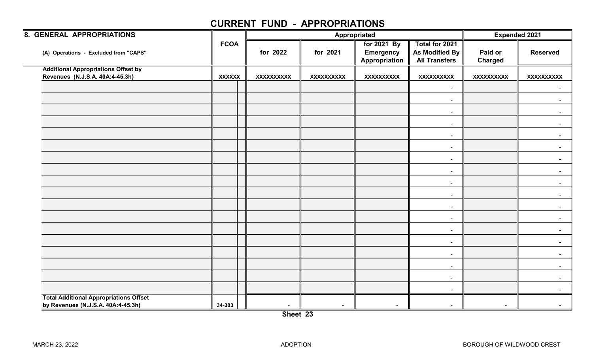| 8. GENERAL APPROPRIATIONS                     |               |                   |                   | Appropriated                                     |                                                          | <b>Expended 2021</b>      |                   |
|-----------------------------------------------|---------------|-------------------|-------------------|--------------------------------------------------|----------------------------------------------------------|---------------------------|-------------------|
| (A) Operations - Excluded from "CAPS"         | <b>FCOA</b>   | for 2022          | for 2021          | for 2021 By<br><b>Emergency</b><br>Appropriation | Total for 2021<br>As Modified By<br><b>All Transfers</b> | Paid or<br><b>Charged</b> | <b>Reserved</b>   |
| <b>Additional Appropriations Offset by</b>    |               |                   |                   |                                                  |                                                          |                           |                   |
| Revenues (N.J.S.A. 40A:4-45.3h)               | <b>XXXXXX</b> | <b>XXXXXXXXXX</b> | <b>XXXXXXXXXX</b> | XXXXXXXXXX                                       | <b>XXXXXXXXXX</b>                                        | <b>XXXXXXXXXX</b>         | <b>XXXXXXXXXX</b> |
|                                               |               |                   |                   |                                                  | $\blacksquare$                                           |                           | $\sim$            |
|                                               |               |                   |                   |                                                  | $\sim$                                                   |                           |                   |
|                                               |               |                   |                   |                                                  |                                                          |                           |                   |
|                                               |               |                   |                   |                                                  | $\sim$                                                   |                           |                   |
|                                               |               |                   |                   |                                                  | $\blacksquare$                                           |                           |                   |
|                                               |               |                   |                   |                                                  | $\overline{\phantom{a}}$                                 |                           |                   |
|                                               |               |                   |                   |                                                  | $\sim$                                                   |                           | $\sim$            |
|                                               |               |                   |                   |                                                  | $\sim$                                                   |                           | $\sim$            |
|                                               |               |                   |                   |                                                  | $\sim$                                                   |                           | $\sim$            |
|                                               |               |                   |                   |                                                  | $\sim$                                                   |                           |                   |
|                                               |               |                   |                   |                                                  | $\sim$                                                   |                           |                   |
|                                               |               |                   |                   |                                                  | $\sim$                                                   |                           |                   |
|                                               |               |                   |                   |                                                  | $\blacksquare$                                           |                           |                   |
|                                               |               |                   |                   |                                                  | $\blacksquare$                                           |                           |                   |
|                                               |               |                   |                   |                                                  | $\sim$                                                   |                           | $\sim$            |
|                                               |               |                   |                   |                                                  | $\sim$                                                   |                           | $\sim$            |
|                                               |               |                   |                   |                                                  | $\sim$                                                   |                           | $\sim$            |
|                                               |               |                   |                   |                                                  | $\sim$                                                   |                           |                   |
|                                               |               |                   |                   |                                                  | $\sim$                                                   |                           |                   |
| <b>Total Additional Appropriations Offset</b> |               |                   |                   |                                                  |                                                          |                           |                   |
| by Revenues (N.J.S.A. 40A:4-45.3h)            | 34-303        | $\sim$            | $\sim$            | $\overline{\phantom{a}}$                         | $\overline{\phantom{a}}$                                 | $\blacksquare$            |                   |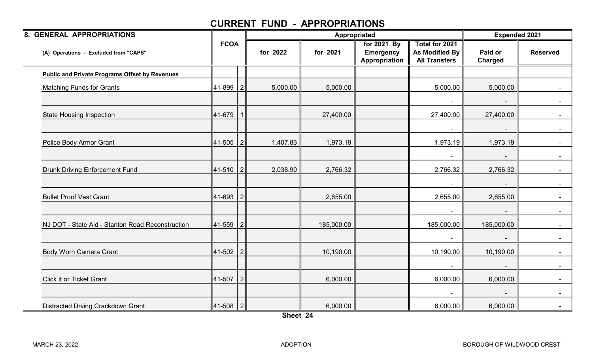| 8. GENERAL APPROPRIATIONS                             |                 |          |            | Appropriated                                     |                                                          | <b>Expended 2021</b> |                 |
|-------------------------------------------------------|-----------------|----------|------------|--------------------------------------------------|----------------------------------------------------------|----------------------|-----------------|
| (A) Operations - Excluded from "CAPS"                 | <b>FCOA</b>     | for 2022 | for 2021   | for 2021 By<br><b>Emergency</b><br>Appropriation | Total for 2021<br>As Modified By<br><b>All Transfers</b> | Paid or<br>Charged   | <b>Reserved</b> |
| <b>Public and Private Programs Offset by Revenues</b> |                 |          |            |                                                  |                                                          |                      |                 |
| <b>Matching Funds for Grants</b>                      | 41-899   2      | 5,000.00 | 5,000.00   |                                                  | 5,000.00                                                 | 5,000.00             |                 |
|                                                       |                 |          |            |                                                  | $\blacksquare$                                           |                      |                 |
| <b>State Housing Inspection</b>                       | 41-679          |          | 27,400.00  |                                                  | 27,400.00                                                | 27,400.00            |                 |
|                                                       |                 |          |            |                                                  | $\blacksquare$                                           |                      | $\sim$ 10 $\pm$ |
| Police Body Armor Grant                               | 41-505 2        | 1,407.83 | 1,973.19   |                                                  | 1,973.19                                                 | 1,973.19             |                 |
|                                                       |                 |          |            |                                                  | $\blacksquare$                                           |                      |                 |
| <b>Drunk Driving Enforcement Fund</b>                 | 41-510 2        | 2,038.90 | 2,766.32   |                                                  | 2,766.32                                                 | 2,766.32             |                 |
|                                                       |                 |          |            |                                                  |                                                          |                      |                 |
| <b>Bullet Proof Vest Grant</b>                        | 41-693   2      |          | 2,655.00   |                                                  | 2,655.00                                                 | 2,655.00             | $\blacksquare$  |
|                                                       |                 |          |            |                                                  |                                                          |                      |                 |
| NJ DOT - State Aid - Stanton Road Reconstruction      | $ 41-559 2 $    |          | 185,000.00 |                                                  | 185,000.00                                               | 185,000.00           |                 |
|                                                       |                 |          |            |                                                  | $\sim$                                                   |                      |                 |
| <b>Body Worn Camera Grant</b>                         | 41-502 2        |          | 10,190.00  |                                                  | 10,190.00                                                | 10,190.00            |                 |
|                                                       |                 |          |            |                                                  | $\blacksquare$                                           |                      | $\sim$          |
| <b>Click it or Ticket Grant</b>                       | $ 41-507 2 $    |          | 6,000.00   |                                                  | 6,000.00                                                 | 6,000.00             |                 |
|                                                       |                 |          |            |                                                  |                                                          |                      |                 |
| Distracted Drving Crackdown Grant                     | $ 41 - 508  2 $ |          | 6,000.00   |                                                  | 6,000.00                                                 | 6,000.00             |                 |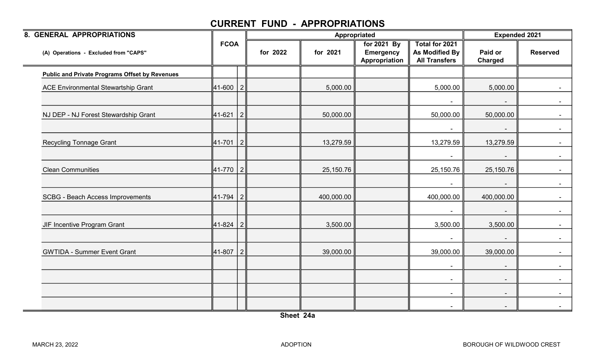| 8. GENERAL APPROPRIATIONS                             |              |   |          |            | Appropriated                                     |                                                          | <b>Expended 2021</b>     |                 |
|-------------------------------------------------------|--------------|---|----------|------------|--------------------------------------------------|----------------------------------------------------------|--------------------------|-----------------|
| (A) Operations - Excluded from "CAPS"                 | <b>FCOA</b>  |   | for 2022 | for 2021   | for 2021 By<br><b>Emergency</b><br>Appropriation | Total for 2021<br>As Modified By<br><b>All Transfers</b> | Paid or<br>Charged       | <b>Reserved</b> |
| <b>Public and Private Programs Offset by Revenues</b> |              |   |          |            |                                                  |                                                          |                          |                 |
| <b>ACE Environmental Stewartship Grant</b>            | $ 41-600 2 $ |   |          | 5,000.00   |                                                  | 5,000.00                                                 | 5,000.00                 |                 |
|                                                       |              |   |          |            |                                                  | $\overline{\phantom{a}}$                                 |                          |                 |
| NJ DEP - NJ Forest Stewardship Grant                  | 41-621       | 2 |          | 50,000.00  |                                                  | 50,000.00                                                | 50,000.00                |                 |
|                                                       |              |   |          |            |                                                  | $\sim$                                                   | $\overline{\phantom{a}}$ | $\sim$          |
| <b>Recycling Tonnage Grant</b>                        | $ 41-701 2 $ |   |          | 13,279.59  |                                                  | 13,279.59                                                | 13,279.59                |                 |
|                                                       |              |   |          |            |                                                  | $\blacksquare$                                           |                          |                 |
| <b>Clean Communities</b>                              | 41-770   2   |   |          | 25,150.76  |                                                  | 25,150.76                                                | 25,150.76                |                 |
|                                                       |              |   |          |            |                                                  | $\blacksquare$                                           |                          |                 |
| <b>SCBG - Beach Access Improvements</b>               | $ 41-794 2 $ |   |          | 400,000.00 |                                                  | 400,000.00                                               | 400,000.00               |                 |
|                                                       |              |   |          |            |                                                  | $\blacksquare$                                           |                          |                 |
| JIF Incentive Program Grant                           | $ 41-824 2 $ |   |          | 3,500.00   |                                                  | 3,500.00                                                 | 3,500.00                 |                 |
|                                                       |              |   |          |            |                                                  | $\blacksquare$                                           | $\sim$                   |                 |
| <b>GWTIDA - Summer Event Grant</b>                    | $ 41-807 2 $ |   |          | 39,000.00  |                                                  | 39,000.00                                                | 39,000.00                |                 |
|                                                       |              |   |          |            |                                                  | $\blacksquare$                                           |                          |                 |
|                                                       |              |   |          |            |                                                  | $\overline{\phantom{a}}$                                 |                          |                 |
|                                                       |              |   |          |            |                                                  | $\sim$                                                   |                          |                 |
|                                                       |              |   |          |            |                                                  | $\sim$                                                   |                          |                 |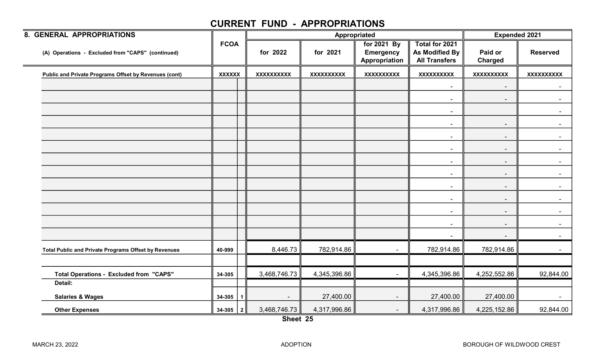| 8. GENERAL APPROPRIATIONS                             |                       |                   |                   | Appropriated                                     |                                                          | <b>Expended 2021</b>      |                   |
|-------------------------------------------------------|-----------------------|-------------------|-------------------|--------------------------------------------------|----------------------------------------------------------|---------------------------|-------------------|
| (A) Operations - Excluded from "CAPS" (continued)     | <b>FCOA</b>           | for 2022          | for 2021          | for 2021 By<br><b>Emergency</b><br>Appropriation | Total for 2021<br>As Modified By<br><b>All Transfers</b> | Paid or<br><b>Charged</b> | <b>Reserved</b>   |
| Public and Private Programs Offset by Revenues (cont) | <b>XXXXXX</b>         | <b>XXXXXXXXXX</b> | <b>XXXXXXXXXX</b> | <b>XXXXXXXXXX</b>                                | <b>XXXXXXXXXX</b>                                        | <b>XXXXXXXXXX</b>         | <b>XXXXXXXXXX</b> |
|                                                       |                       |                   |                   |                                                  | $\sim$                                                   | ٠                         |                   |
|                                                       |                       |                   |                   |                                                  | $\sim$                                                   | $\overline{\phantom{a}}$  | $\sim$            |
|                                                       |                       |                   |                   |                                                  | $\sim$                                                   |                           |                   |
|                                                       |                       |                   |                   |                                                  | $\sim$                                                   | ٠                         |                   |
|                                                       |                       |                   |                   |                                                  |                                                          | $\blacksquare$            |                   |
|                                                       |                       |                   |                   |                                                  | $\sim$                                                   | $\sim$                    | $\sim$            |
|                                                       |                       |                   |                   |                                                  | $\blacksquare$                                           | $\blacksquare$            | $\sim$            |
|                                                       |                       |                   |                   |                                                  | $\sim$                                                   | $\blacksquare$            |                   |
|                                                       |                       |                   |                   |                                                  | $\sim$                                                   | $\blacksquare$            |                   |
|                                                       |                       |                   |                   |                                                  | $\sim$                                                   | $\sim$                    | $\sim$            |
|                                                       |                       |                   |                   |                                                  | $\sim$                                                   | $\sim$                    |                   |
|                                                       |                       |                   |                   |                                                  | $\blacksquare$                                           | $\blacksquare$            |                   |
|                                                       |                       |                   |                   |                                                  |                                                          | $\overline{\phantom{a}}$  |                   |
| Total Public and Private Programs Offset by Revenues  | 40-999                | 8,446.73          | 782,914.86        | $\blacksquare$                                   | 782,914.86                                               | 782,914.86                |                   |
|                                                       |                       |                   |                   |                                                  |                                                          |                           |                   |
| <b>Total Operations - Excluded from "CAPS"</b>        | 34-305                | 3,468,746.73      | 4,345,396.86      | $\blacksquare$                                   | 4,345,396.86                                             | 4,252,552.86              | 92,844.00         |
| Detail:                                               |                       |                   |                   |                                                  |                                                          |                           |                   |
| <b>Salaries &amp; Wages</b>                           | 34-305<br>$\mathbf 1$ | $\blacksquare$    | 27,400.00         | $\blacksquare$                                   | 27,400.00                                                | 27,400.00                 |                   |
| <b>Other Expenses</b>                                 | $34-305$   2          | 3,468,746.73      | 4,317,996.86      | $\blacksquare$                                   | 4,317,996.86                                             | 4,225,152.86              | 92,844.00         |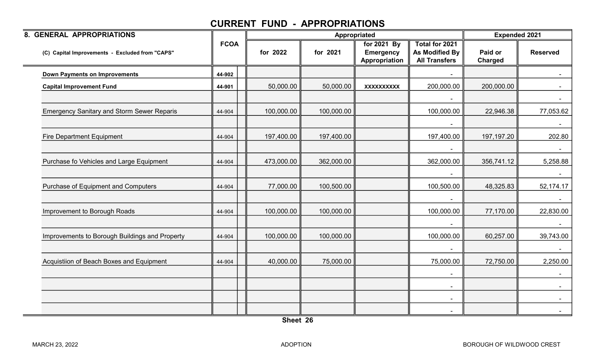| 8. GENERAL APPROPRIATIONS                         |             |            |            | Appropriated                                     |                                                                 | <b>Expended 2021</b>      |                 |
|---------------------------------------------------|-------------|------------|------------|--------------------------------------------------|-----------------------------------------------------------------|---------------------------|-----------------|
| (C) Capital Improvements - Excluded from "CAPS"   | <b>FCOA</b> | for 2022   | for 2021   | for 2021 By<br><b>Emergency</b><br>Appropriation | <b>Total for 2021</b><br>As Modified By<br><b>All Transfers</b> | Paid or<br><b>Charged</b> | <b>Reserved</b> |
| <b>Down Payments on Improvements</b>              | 44-902      |            |            |                                                  |                                                                 |                           |                 |
| <b>Capital Improvement Fund</b>                   | 44-901      | 50,000.00  | 50,000.00  | <b>XXXXXXXXXX</b>                                | 200,000.00                                                      | 200,000.00                |                 |
|                                                   |             |            |            |                                                  |                                                                 |                           |                 |
| <b>Emergency Sanitary and Storm Sewer Reparis</b> | 44-904      | 100,000.00 | 100,000.00 |                                                  | 100,000.00                                                      | 22,946.38                 | 77,053.62       |
|                                                   |             |            |            |                                                  |                                                                 |                           |                 |
| <b>Fire Department Equipment</b>                  | 44-904      | 197,400.00 | 197,400.00 |                                                  | 197,400.00                                                      | 197, 197. 20              | 202.80          |
|                                                   |             |            |            |                                                  |                                                                 |                           |                 |
| Purchase fo Vehicles and Large Equipment          | 44-904      | 473,000.00 | 362,000.00 |                                                  | 362,000.00                                                      | 356,741.12                | 5,258.88        |
|                                                   |             |            |            |                                                  |                                                                 |                           |                 |
| Purchase of Equipment and Computers               | 44-904      | 77,000.00  | 100,500.00 |                                                  | 100,500.00                                                      | 48,325.83                 | 52,174.17       |
|                                                   |             |            |            |                                                  |                                                                 |                           |                 |
| Improvement to Borough Roads                      | 44-904      | 100,000.00 | 100,000.00 |                                                  | 100,000.00                                                      | 77,170.00                 | 22,830.00       |
|                                                   |             |            |            |                                                  |                                                                 |                           |                 |
| Improvements to Borough Buildings and Property    | 44-904      | 100,000.00 | 100,000.00 |                                                  | 100,000.00                                                      | 60,257.00                 | 39,743.00       |
|                                                   |             |            |            |                                                  |                                                                 |                           |                 |
| Acquistiion of Beach Boxes and Equipment          | 44-904      | 40,000.00  | 75,000.00  |                                                  | 75,000.00                                                       | 72,750.00                 | 2,250.00        |
|                                                   |             |            |            |                                                  |                                                                 |                           |                 |
|                                                   |             |            |            |                                                  | $\sim$                                                          |                           | $\sim$          |
|                                                   |             |            |            |                                                  | $\blacksquare$                                                  |                           | $\sim$          |
|                                                   |             |            |            |                                                  | $\overline{\phantom{a}}$                                        |                           | $\sim$          |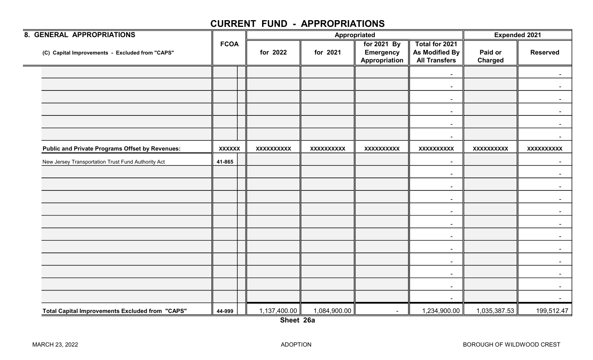| 8. GENERAL APPROPRIATIONS                              |               |                   |                   | Appropriated                                     |                                                          | <b>Expended 2021</b>      |                   |
|--------------------------------------------------------|---------------|-------------------|-------------------|--------------------------------------------------|----------------------------------------------------------|---------------------------|-------------------|
| (C) Capital Improvements - Excluded from "CAPS"        | <b>FCOA</b>   | for 2022          | for 2021          | for 2021 By<br><b>Emergency</b><br>Appropriation | Total for 2021<br>As Modified By<br><b>All Transfers</b> | Paid or<br><b>Charged</b> | <b>Reserved</b>   |
|                                                        |               |                   |                   |                                                  | $\blacksquare$                                           |                           |                   |
|                                                        |               |                   |                   |                                                  | $\sim$                                                   |                           |                   |
|                                                        |               |                   |                   |                                                  | $\sim$                                                   |                           |                   |
|                                                        |               |                   |                   |                                                  | $\blacksquare$                                           |                           |                   |
|                                                        |               |                   |                   |                                                  | $\blacksquare$                                           |                           |                   |
|                                                        |               |                   |                   |                                                  | $\blacksquare$                                           |                           |                   |
| <b>Public and Private Programs Offset by Revenues:</b> | <b>XXXXXX</b> | <b>XXXXXXXXXX</b> | <b>XXXXXXXXXX</b> | <b>XXXXXXXXXX</b>                                | <b>XXXXXXXXXX</b>                                        | <b>XXXXXXXXXX</b>         | <b>XXXXXXXXXX</b> |
| New Jersey Transportation Trust Fund Authority Act     | 41-865        |                   |                   |                                                  | $\blacksquare$                                           |                           |                   |
|                                                        |               |                   |                   |                                                  | $\sim$                                                   |                           |                   |
|                                                        |               |                   |                   |                                                  | $\sim$                                                   |                           |                   |
|                                                        |               |                   |                   |                                                  | $\sim$                                                   |                           |                   |
|                                                        |               |                   |                   |                                                  | $\sim$                                                   |                           |                   |
|                                                        |               |                   |                   |                                                  | $\sim$                                                   |                           |                   |
|                                                        |               |                   |                   |                                                  | $\sim$                                                   |                           |                   |
|                                                        |               |                   |                   |                                                  | $\sim$                                                   |                           |                   |
|                                                        |               |                   |                   |                                                  | $\blacksquare$                                           |                           |                   |
|                                                        |               |                   |                   |                                                  | $\sim$                                                   |                           |                   |
|                                                        |               |                   |                   |                                                  | $\blacksquare$                                           |                           |                   |
|                                                        |               |                   |                   |                                                  | $\blacksquare$                                           |                           |                   |
| Total Capital Improvements Excluded from "CAPS"        | 44-999        | 1,137,400.00      | 1,084,900.00      | $\sim$                                           | 1,234,900.00                                             | 1,035,387.53              | 199,512.47        |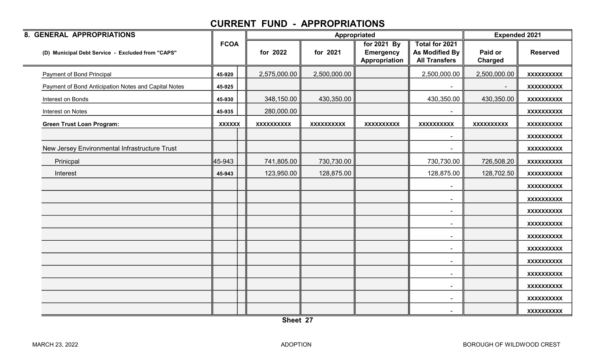| 8. GENERAL APPROPRIATIONS                            |               |                   |                   | Appropriated                                     |                                                          | <b>Expended 2021</b>      |                   |
|------------------------------------------------------|---------------|-------------------|-------------------|--------------------------------------------------|----------------------------------------------------------|---------------------------|-------------------|
| (D) Municipal Debt Service - Excluded from "CAPS"    | <b>FCOA</b>   | for 2022          | for 2021          | for 2021 By<br><b>Emergency</b><br>Appropriation | Total for 2021<br>As Modified By<br><b>All Transfers</b> | Paid or<br><b>Charged</b> | <b>Reserved</b>   |
| Payment of Bond Principal                            | 45-920        | 2,575,000.00      | 2,500,000.00      |                                                  | 2,500,000.00                                             | 2,500,000.00              | <b>XXXXXXXXXX</b> |
| Payment of Bond Anticipation Notes and Capital Notes | 45-925        |                   |                   |                                                  |                                                          |                           | <b>XXXXXXXXXX</b> |
| Interest on Bonds                                    | 45-930        | 348,150.00        | 430,350.00        |                                                  | 430,350.00                                               | 430,350.00                | <b>XXXXXXXXXX</b> |
| Interest on Notes                                    | 45-935        | 280,000.00        |                   |                                                  |                                                          |                           | <b>XXXXXXXXXX</b> |
| <b>Green Trust Loan Program:</b>                     | <b>XXXXXX</b> | <b>XXXXXXXXXX</b> | <b>XXXXXXXXXX</b> | XXXXXXXXXX                                       | <b>XXXXXXXXXX</b>                                        | <b>XXXXXXXXXX</b>         | XXXXXXXXXX        |
|                                                      |               |                   |                   |                                                  |                                                          |                           | <b>XXXXXXXXXX</b> |
| New Jersey Environmental Infrastructure Trust        |               |                   |                   |                                                  |                                                          |                           | <b>XXXXXXXXXX</b> |
| Prinicpal                                            | 45-943        | 741,805.00        | 730,730.00        |                                                  | 730,730.00                                               | 726,508.20                | <b>XXXXXXXXXX</b> |
| Interest                                             | 45-943        | 123,950.00        | 128,875.00        |                                                  | 128,875.00                                               | 128,702.50                | <b>XXXXXXXXXX</b> |
|                                                      |               |                   |                   |                                                  |                                                          |                           | <b>XXXXXXXXXX</b> |
|                                                      |               |                   |                   |                                                  | $\blacksquare$                                           |                           | <b>XXXXXXXXXX</b> |
|                                                      |               |                   |                   |                                                  | $\blacksquare$                                           |                           | <b>XXXXXXXXXX</b> |
|                                                      |               |                   |                   |                                                  | $\blacksquare$                                           |                           | XXXXXXXXXX        |
|                                                      |               |                   |                   |                                                  |                                                          |                           | <b>XXXXXXXXXX</b> |
|                                                      |               |                   |                   |                                                  | $\blacksquare$                                           |                           | <b>XXXXXXXXXX</b> |
|                                                      |               |                   |                   |                                                  | $\blacksquare$                                           |                           | <b>XXXXXXXXXX</b> |
|                                                      |               |                   |                   |                                                  | $\blacksquare$                                           |                           | <b>XXXXXXXXXX</b> |
|                                                      |               |                   |                   |                                                  | $\blacksquare$                                           |                           | <b>XXXXXXXXXX</b> |
|                                                      |               |                   |                   |                                                  | $\sim$                                                   |                           | <b>XXXXXXXXXX</b> |
|                                                      |               |                   |                   |                                                  |                                                          |                           | <b>XXXXXXXXXX</b> |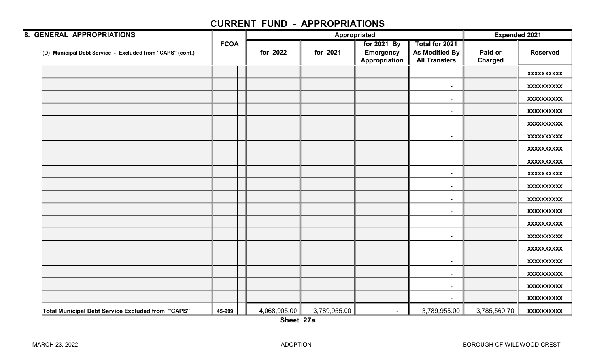| 8. GENERAL APPROPRIATIONS                                 |             |              | Appropriated |                                                  | <b>Expended 2021</b>                                            |                           |                   |
|-----------------------------------------------------------|-------------|--------------|--------------|--------------------------------------------------|-----------------------------------------------------------------|---------------------------|-------------------|
| (D) Municipal Debt Service - Excluded from "CAPS" (cont.) | <b>FCOA</b> | for 2022     | for 2021     | for 2021 By<br><b>Emergency</b><br>Appropriation | Total for 2021<br><b>As Modified By</b><br><b>All Transfers</b> | Paid or<br><b>Charged</b> | <b>Reserved</b>   |
|                                                           |             |              |              |                                                  | $\blacksquare$                                                  |                           | <b>XXXXXXXXXX</b> |
|                                                           |             |              |              |                                                  | $\sim$                                                          |                           | <b>XXXXXXXXXX</b> |
|                                                           |             |              |              |                                                  |                                                                 |                           | <b>XXXXXXXXXX</b> |
|                                                           |             |              |              |                                                  | $\overline{\phantom{a}}$                                        |                           | <b>XXXXXXXXXX</b> |
|                                                           |             |              |              |                                                  | $\overline{\phantom{a}}$                                        |                           | <b>XXXXXXXXXX</b> |
|                                                           |             |              |              |                                                  | $\overline{\phantom{a}}$                                        |                           | <b>XXXXXXXXXX</b> |
|                                                           |             |              |              |                                                  |                                                                 |                           | <b>XXXXXXXXXX</b> |
|                                                           |             |              |              |                                                  | $\sim$                                                          |                           | <b>XXXXXXXXXX</b> |
|                                                           |             |              |              |                                                  | $\sim$                                                          |                           | <b>XXXXXXXXXX</b> |
|                                                           |             |              |              |                                                  | $\sim$                                                          |                           | <b>XXXXXXXXXX</b> |
|                                                           |             |              |              |                                                  | $\overline{\phantom{a}}$                                        |                           | <b>XXXXXXXXXX</b> |
|                                                           |             |              |              |                                                  | $\sim$                                                          |                           | <b>XXXXXXXXXX</b> |
|                                                           |             |              |              |                                                  | $\overline{\phantom{a}}$                                        |                           | <b>XXXXXXXXXX</b> |
|                                                           |             |              |              |                                                  | $\sim$                                                          |                           | <b>XXXXXXXXXX</b> |
|                                                           |             |              |              |                                                  |                                                                 |                           | <b>XXXXXXXXXX</b> |
|                                                           |             |              |              |                                                  | $\sim$                                                          |                           | <b>XXXXXXXXXX</b> |
|                                                           |             |              |              |                                                  | $\sim$                                                          |                           | <b>XXXXXXXXXX</b> |
|                                                           |             |              |              |                                                  | $\sim$                                                          |                           | <b>XXXXXXXXXX</b> |
|                                                           |             |              |              |                                                  | $\sim$                                                          |                           | <b>XXXXXXXXXX</b> |
| <b>Total Municipal Debt Service Excluded from "CAPS"</b>  | 45-999      | 4,068,905.00 | 3,789,955.00 | $\sim$                                           | 3,789,955.00                                                    | 3,785,560.70              | <b>XXXXXXXXXX</b> |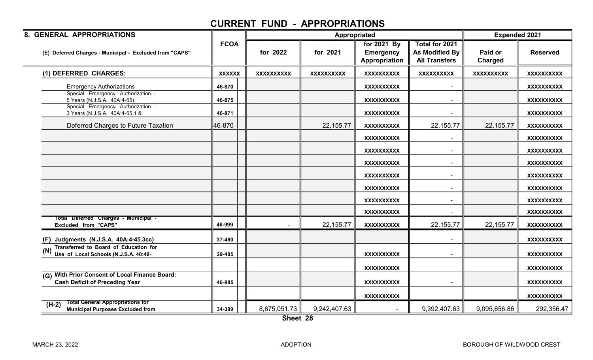| 8. GENERAL APPROPRIATIONS                                                                         |               |                   | Appropriated      |                                                  |                                                          | <b>Expended 2021</b> |                   |
|---------------------------------------------------------------------------------------------------|---------------|-------------------|-------------------|--------------------------------------------------|----------------------------------------------------------|----------------------|-------------------|
| (E) Deferred Charges - Municipal - Excluded from "CAPS"                                           | <b>FCOA</b>   | for 2022          | for 2021          | for 2021 By<br><b>Emergency</b><br>Appropriation | Total for 2021<br>As Modified By<br><b>All Transfers</b> | Paid or<br>Charged   | <b>Reserved</b>   |
| (1) DEFERRED CHARGES:                                                                             | <b>XXXXXX</b> | <b>XXXXXXXXXX</b> | <b>XXXXXXXXXX</b> | <b>XXXXXXXXXX</b>                                | <b>XXXXXXXXXX</b>                                        | <b>XXXXXXXXXX</b>    | <b>XXXXXXXXXX</b> |
| <b>Emergency Authorizations</b>                                                                   | 46-870        |                   |                   | <b>XXXXXXXXXX</b>                                | $\blacksquare$                                           |                      | <b>XXXXXXXXXX</b> |
| Special Emergency Authorization -<br>5 Years (N.J.S.A. 40A:4-55)                                  | 46-875        |                   |                   | <b>XXXXXXXXXX</b>                                | $\blacksquare$                                           |                      | <b>XXXXXXXXXX</b> |
| Special Emergency Authorization -<br>3 Years (N.J.S.A. 40A:4-55.1 &                               | 46-871        |                   |                   | <b>XXXXXXXXXX</b>                                |                                                          |                      | <b>XXXXXXXXXX</b> |
| Deferred Charges to Future Taxation                                                               | 46-870        |                   | 22,155.77         | <b>XXXXXXXXXX</b>                                | 22,155.77                                                | 22, 155.77           | <b>XXXXXXXXXX</b> |
|                                                                                                   |               |                   |                   | <b>XXXXXXXXXX</b>                                | $\blacksquare$                                           |                      | <b>XXXXXXXXXX</b> |
|                                                                                                   |               |                   |                   | <b>XXXXXXXXXX</b>                                | $\blacksquare$                                           |                      | <b>XXXXXXXXXX</b> |
|                                                                                                   |               |                   |                   | <b>XXXXXXXXXX</b>                                | $\blacksquare$                                           |                      | <b>XXXXXXXXXX</b> |
|                                                                                                   |               |                   |                   | <b>XXXXXXXXXX</b>                                | $\blacksquare$                                           |                      | <b>XXXXXXXXXX</b> |
|                                                                                                   |               |                   |                   | <b>XXXXXXXXXX</b>                                | $\blacksquare$                                           |                      | <b>XXXXXXXXXX</b> |
|                                                                                                   |               |                   |                   | <b>XXXXXXXXXX</b>                                |                                                          |                      | <b>XXXXXXXXXX</b> |
|                                                                                                   |               |                   |                   | <b>XXXXXXXXXX</b>                                |                                                          |                      | <b>XXXXXXXXXX</b> |
| Total Deferred Charges - Municipal -<br><b>Excluded from "CAPS"</b>                               | 46-999        |                   | 22, 155.77        | <b>XXXXXXXXXX</b>                                | 22,155.77                                                | 22,155.77            | <b>XXXXXXXXXX</b> |
| (F) Judgments (N.J.S.A. 40A:4-45.3cc)                                                             | 37-480        |                   |                   |                                                  |                                                          |                      | <b>XXXXXXXXXX</b> |
| Transferred to Board of Education for<br>Use of Local Schools (N.J.S.A. 40:48-                    | 29-405        |                   |                   | <b>XXXXXXXXXX</b>                                |                                                          |                      | <b>XXXXXXXXXX</b> |
|                                                                                                   |               |                   |                   | <b>XXXXXXXXXX</b>                                |                                                          |                      | <b>XXXXXXXXXX</b> |
| <b>With Prior Consent of Local Finance Board:</b><br>(G)<br><b>Cash Deficit of Preceding Year</b> | 46-885        |                   |                   | <b>XXXXXXXXXX</b>                                |                                                          |                      | <b>XXXXXXXXXX</b> |
|                                                                                                   |               |                   |                   | <b>XXXXXXXXXX</b>                                |                                                          |                      | <b>XXXXXXXXXX</b> |
| <b>Total General Appropriations for</b><br>$(H-2)$<br><b>Municipal Purposes Excluded from</b>     | 34-309        | 8,675,051.73      | 9,242,407.63      |                                                  | 9,392,407.63                                             | 9,095,656.86         | 292,356.47        |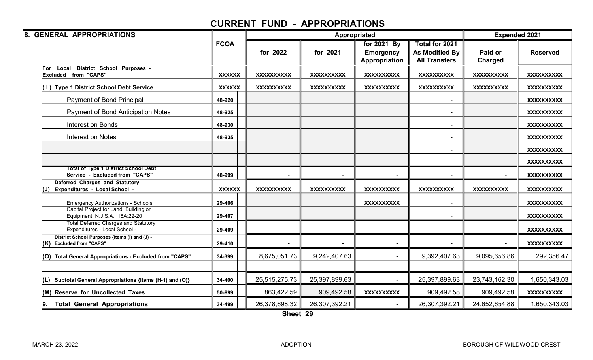| 8. GENERAL APPROPRIATIONS                                                     |               |                   |                   | Appropriated                                     |                                                          |                    | <b>Expended 2021</b> |  |
|-------------------------------------------------------------------------------|---------------|-------------------|-------------------|--------------------------------------------------|----------------------------------------------------------|--------------------|----------------------|--|
|                                                                               | <b>FCOA</b>   | for 2022          | for 2021          | for 2021 By<br><b>Emergency</b><br>Appropriation | Total for 2021<br>As Modified By<br><b>All Transfers</b> | Paid or<br>Charged | <b>Reserved</b>      |  |
| For Local District School Purposes -<br><b>Excluded from "CAPS"</b>           | <b>XXXXXX</b> | <b>XXXXXXXXXX</b> | <b>XXXXXXXXXX</b> | <b>XXXXXXXXXX</b>                                | <b>XXXXXXXXXX</b>                                        | <b>XXXXXXXXXX</b>  | <b>XXXXXXXXXX</b>    |  |
| (1) Type 1 District School Debt Service                                       | <b>XXXXXX</b> | <b>XXXXXXXXXX</b> | <b>XXXXXXXXXX</b> | <b>XXXXXXXXXX</b>                                | <b>XXXXXXXXXX</b>                                        | <b>XXXXXXXXXX</b>  | <b>XXXXXXXXXX</b>    |  |
| Payment of Bond Principal                                                     | 48-920        |                   |                   |                                                  |                                                          |                    | <b>XXXXXXXXXX</b>    |  |
| Payment of Bond Anticipation Notes                                            | 48-925        |                   |                   |                                                  |                                                          |                    | <b>XXXXXXXXXX</b>    |  |
| Interest on Bonds                                                             | 48-930        |                   |                   |                                                  | $\sim$                                                   |                    | <b>XXXXXXXXXX</b>    |  |
| Interest on Notes                                                             | 48-935        |                   |                   |                                                  | $\blacksquare$                                           |                    | <b>XXXXXXXXXX</b>    |  |
|                                                                               |               |                   |                   |                                                  |                                                          |                    | <b>XXXXXXXXXX</b>    |  |
|                                                                               |               |                   |                   |                                                  | $\blacksquare$                                           |                    | <b>XXXXXXXXXX</b>    |  |
| <b>Total of Type 1 District School Debt</b><br>Service - Excluded from "CAPS" | 48-999        |                   |                   |                                                  |                                                          |                    | <b>XXXXXXXXXX</b>    |  |
| <b>Deferred Charges and Statutory</b><br>Expenditures - Local School -<br>(J) | <b>XXXXXX</b> | <b>XXXXXXXXXX</b> | <b>XXXXXXXXXX</b> | <b>XXXXXXXXXX</b>                                | <b>XXXXXXXXXX</b>                                        | <b>XXXXXXXXXX</b>  | <b>XXXXXXXXXX</b>    |  |
| <b>Emergency Authorizations - Schools</b>                                     | 29-406        |                   |                   | <b>XXXXXXXXXX</b>                                |                                                          |                    | <b>XXXXXXXXXX</b>    |  |
| Capital Project for Land, Building or<br>Equipment N.J.S.A. 18A:22-20         | 29-407        |                   |                   |                                                  |                                                          |                    | <b>XXXXXXXXXX</b>    |  |
| <b>Total Deferred Charges and Statutory</b><br>Expenditures - Local School -  | 29-409        |                   |                   |                                                  |                                                          |                    | <b>XXXXXXXXXX</b>    |  |
| District School Purposes {Items (I) and (J) -<br>(K) Excluded from "CAPS"     | 29-410        |                   |                   |                                                  |                                                          |                    | <b>XXXXXXXXXX</b>    |  |
| (O) Total General Appropriations - Excluded from "CAPS"                       | 34-399        | 8,675,051.73      | 9,242,407.63      |                                                  | 9,392,407.63                                             | 9,095,656.86       | 292,356.47           |  |
| Subtotal General Appropriations {Items (H-1) and (O)}<br>(L)                  | 34-400        | 25,515,275.73     | 25,397,899.63     |                                                  | 25,397,899.63                                            | 23,743,162.30      | 1,650,343.03         |  |
| (M) Reserve for Uncollected Taxes                                             | 50-899        | 863,422.59        | 909,492.58        | <b>XXXXXXXXXX</b>                                | 909,492.58                                               | 909,492.58         | XXXXXXXXXX           |  |
| <b>Total General Appropriations</b>                                           | 34-499        | 26,378,698.32     | 26,307,392.21     |                                                  | 26,307,392.21                                            | 24,652,654.88      | 1,650,343.03         |  |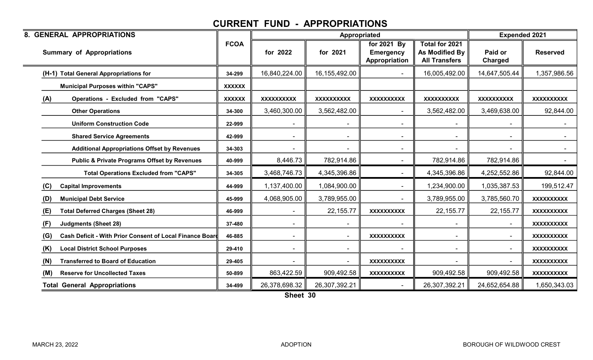| <b>8. GENERAL APPROPRIATIONS</b>                                |               |                   |                   | <b>Appropriated</b>                              |                                                          | <b>Expended 2021</b>      |                          |
|-----------------------------------------------------------------|---------------|-------------------|-------------------|--------------------------------------------------|----------------------------------------------------------|---------------------------|--------------------------|
| <b>Summary of Appropriations</b>                                | <b>FCOA</b>   | for 2022          | for 2021          | for 2021 By<br><b>Emergency</b><br>Appropriation | Total for 2021<br>As Modified By<br><b>All Transfers</b> | Paid or<br><b>Charged</b> | <b>Reserved</b>          |
| (H-1) Total General Appropriations for                          | 34-299        | 16,840,224.00     | 16,155,492.00     |                                                  | 16,005,492.00                                            | 14,647,505.44             | 1,357,986.56             |
| <b>Municipal Purposes within "CAPS"</b>                         | <b>XXXXXX</b> |                   |                   |                                                  |                                                          |                           |                          |
| (A)<br><b>Operations - Excluded from "CAPS"</b>                 | <b>XXXXXX</b> | <b>XXXXXXXXXX</b> | <b>XXXXXXXXXX</b> | <b>XXXXXXXXXX</b>                                | <b>XXXXXXXXXX</b>                                        | <b>XXXXXXXXXX</b>         | <b>XXXXXXXXXX</b>        |
| <b>Other Operations</b>                                         | 34-300        | 3,460,300.00      | 3,562,482.00      |                                                  | 3,562,482.00                                             | 3,469,638.00              | 92,844.00                |
| <b>Uniform Construction Code</b>                                | 22-999        |                   |                   |                                                  |                                                          |                           | $\sim$ $-$               |
| <b>Shared Service Agreements</b>                                | 42-999        |                   |                   |                                                  |                                                          |                           | $\overline{\phantom{0}}$ |
| <b>Additional Appropriations Offset by Revenues</b>             | 34-303        |                   |                   |                                                  |                                                          |                           |                          |
| <b>Public &amp; Private Programs Offset by Revenues</b>         | 40-999        | 8,446.73          | 782,914.86        | $\blacksquare$                                   | 782,914.86                                               | 782,914.86                | $\sim$ 10 $\pm$          |
| <b>Total Operations Excluded from "CAPS"</b>                    | 34-305        | 3,468,746.73      | 4,345,396.86      |                                                  | 4,345,396.86                                             | 4,252,552.86              | 92,844.00                |
| (C)<br><b>Capital Improvements</b>                              | 44-999        | 1,137,400.00      | 1,084,900.00      |                                                  | 1,234,900.00                                             | 1,035,387.53              | 199,512.47               |
| <b>Municipal Debt Service</b><br>(D)                            | 45-999        | 4,068,905.00      | 3,789,955.00      |                                                  | 3,789,955.00                                             | 3,785,560.70              | <b>XXXXXXXXXX</b>        |
| <b>Total Deferred Charges (Sheet 28)</b><br>(E)                 | 46-999        |                   | 22, 155.77        | <b>XXXXXXXXXX</b>                                | 22, 155.77                                               | 22, 155.77                | <b>XXXXXXXXXX</b>        |
| (F)<br><b>Judgments (Sheet 28)</b>                              | 37-480        |                   |                   |                                                  |                                                          |                           | <b>XXXXXXXXXX</b>        |
| (G)<br>Cash Deficit - With Prior Consent of Local Finance Board | 46-885        |                   | $\blacksquare$    | <b>XXXXXXXXXX</b>                                |                                                          |                           | <b>XXXXXXXXXX</b>        |
| (K)<br><b>Local District School Purposes</b>                    | 29-410        | $\blacksquare$    | $\sim$            |                                                  |                                                          |                           | <b>XXXXXXXXXX</b>        |
| (N)<br><b>Transferred to Board of Education</b>                 | 29-405        |                   |                   | <b>XXXXXXXXXX</b>                                |                                                          |                           | <b>XXXXXXXXXX</b>        |
| <b>Reserve for Uncollected Taxes</b><br>(M)                     | 50-899        | 863,422.59        | 909,492.58        | <b>XXXXXXXXXX</b>                                | 909,492.58                                               | 909,492.58                | XXXXXXXXXX               |
| <b>Total General Appropriations</b>                             | 34-499        | 26,378,698.32     | 26,307,392.21     |                                                  | 26,307,392.21                                            | 24,652,654.88             | 1,650,343.03             |

Sheet 30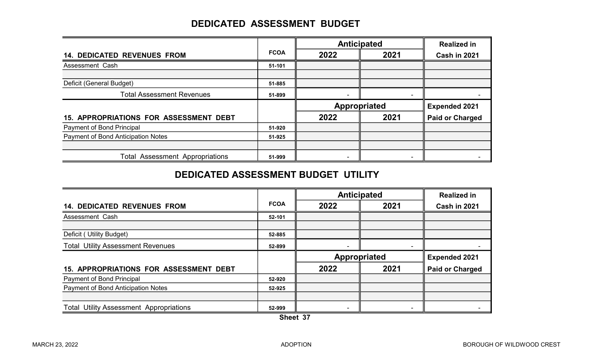## DEDICATED ASSESSMENT BUDGET

|                                        |             |                     | <b>Anticipated</b> | <b>Realized in</b>     |  |
|----------------------------------------|-------------|---------------------|--------------------|------------------------|--|
| <b>14. DEDICATED REVENUES FROM</b>     | <b>FCOA</b> | 2022                | 2021               | Cash in 2021           |  |
| Assessment Cash                        | 51-101      |                     |                    |                        |  |
|                                        |             |                     |                    |                        |  |
| Deficit (General Budget)               | 51-885      |                     |                    |                        |  |
| <b>Total Assessment Revenues</b>       | 51-899      |                     |                    |                        |  |
|                                        |             | <b>Appropriated</b> |                    | <b>Expended 2021</b>   |  |
| 15. APPROPRIATIONS FOR ASSESSMENT DEBT |             | 2022                | 2021               | <b>Paid or Charged</b> |  |
| <b>Payment of Bond Principal</b>       | 51-920      |                     |                    |                        |  |
| Payment of Bond Anticipation Notes     | 51-925      |                     |                    |                        |  |
|                                        |             |                     |                    |                        |  |
| <b>Total Assessment Appropriations</b> | 51-999      |                     |                    |                        |  |

#### DEDICATED ASSESSMENT BUDGET UTILITY

|                                                |             |              | <b>Anticipated</b> | <b>Realized in</b>     |
|------------------------------------------------|-------------|--------------|--------------------|------------------------|
| <b>14. DEDICATED REVENUES FROM</b>             | <b>FCOA</b> | 2022         | 2021               | Cash in 2021           |
| Assessment Cash                                | 52-101      |              |                    |                        |
|                                                |             |              |                    |                        |
| Deficit (Utility Budget)                       | 52-885      |              |                    |                        |
| <b>Total Utility Assessment Revenues</b>       | 52-899      |              |                    |                        |
|                                                |             | Appropriated |                    | <b>Expended 2021</b>   |
| <b>15. APPROPRIATIONS FOR ASSESSMENT DEBT</b>  |             | 2022         | 2021               | <b>Paid or Charged</b> |
| <b>Payment of Bond Principal</b>               | 52-920      |              |                    |                        |
| Payment of Bond Anticipation Notes             | 52-925      |              |                    |                        |
|                                                |             |              |                    |                        |
| <b>Total Utility Assessment Appropriations</b> | 52-999      |              |                    |                        |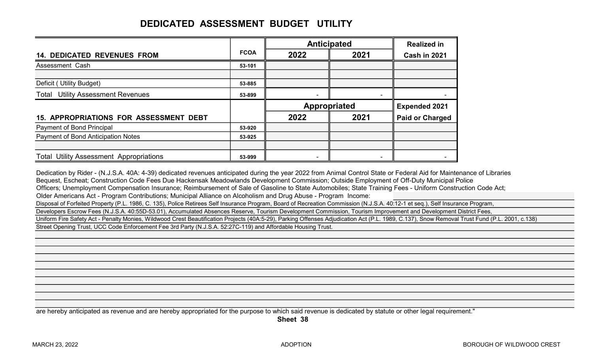# DEDICATED ASSESSMENT BUDGET UTILITY

|                                                |             | <b>Anticipated</b> |                | <b>Realized in</b>     |  |
|------------------------------------------------|-------------|--------------------|----------------|------------------------|--|
| <b>14. DEDICATED REVENUES FROM</b>             | <b>FCOA</b> | 2022               | 2021           | <b>Cash in 2021</b>    |  |
| Assessment Cash                                | 53-101      |                    |                |                        |  |
| Deficit (Utility Budget)                       | 53-885      |                    |                |                        |  |
| <b>Total Utility Assessment Revenues</b>       | 53-899      |                    | $\blacksquare$ |                        |  |
|                                                |             | Appropriated       |                | <b>Expended 2021</b>   |  |
| <b>15. APPROPRIATIONS FOR ASSESSMENT DEBT</b>  |             | 2022               | 2021           | <b>Paid or Charged</b> |  |
| Payment of Bond Principal                      | 53-920      |                    |                |                        |  |
| Payment of Bond Anticipation Notes             | 53-925      |                    |                |                        |  |
|                                                |             |                    |                |                        |  |
| <b>Total Utility Assessment Appropriations</b> |             |                    |                |                        |  |

Dedication by Rider - (N.J.S.A. 40A: 4-39) dedicated revenues anticipated during the year 2022 from Animal Control State or Federal Aid for Maintenance of Libraries Bequest, Escheat; Construction Code Fees Due Hackensak Meadowlands Development Commission; Outside Employment of Off-Duty Municipal Police Officers; Unemployment Compensation Insurance; Reimbursement of Sale of Gasoline to State Automobiles; State Training Fees - Uniform Construction Code Act; Older Americans Act - Program Contributions; Municipal Alliance on Alcoholism and Drug Abuse - Program Income: Disposal of Forfeited Property (P.L. 1986, C. 135), Police Retirees Self Insurance Program, Board of Recreation Commission (N.J.S.A. 40:12-1 et seq.), Self Insurance Program, Developers Escrow Fees (N.J.S.A. 40:55D-53.01), Accumulated Absences Reserve, Tourism Development Commission, Tourism Improvement and Development District Fees, Uniform Fire Safety Act - Penalty Monies, Wildwood Crest Beautification Projects (40A:5-29), Parking Offenses Adjudication Act (P.L. 1989, C.137), Snow Removal Trust Fund (P.L. 2001, c.138) Street Opening Trust, UCC Code Enforcement Fee 3rd Party (N.J.S.A. 52:27C-119) and Affordable Housing Trust.

are hereby anticipated as revenue and are hereby appropriated for the purpose to which said revenue is dedicated by statute or other legal requirement."

Sheet 38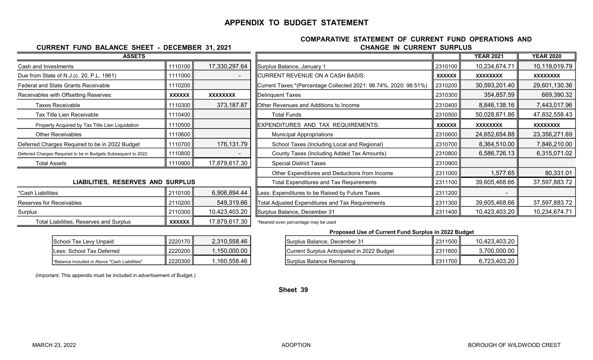#### APPENDIX TO BUDGET STATEMENT

#### CHANGE IN CURRENT SURPLUS COMPARATIVE STATEMENT OF CURRENT FUND OPERATIONS AND

Surplus Balance, December 31 2311500 | 2311500 10,423,403.20 Current Surplus Anticipated in 2022 Budget ■ 2311600 3,700,000.00

Proposed Use of Current Fund Surplus in 2022 Budget

| <b>ASSETS</b>                                                 |               |                          |                                                                  |               | <b>YEAR 2021</b> | <b>YEAR 2020</b> |
|---------------------------------------------------------------|---------------|--------------------------|------------------------------------------------------------------|---------------|------------------|------------------|
| Cash and Investments                                          | 1110100       | 17,330,297.64            | Surplus Balance, January 1                                       | 2310100       | 10,234,674.71    | 10,119,019.79    |
| Due from State of N.J.(c. 20, P.L. 1961)                      | 1111000       | $\overline{\phantom{0}}$ | CURRENT REVENUE ON A CASH BASIS:                                 | <b>XXXXXX</b> | <b>XXXXXXXX</b>  | <b>XXXXXXXX</b>  |
| Federal and State Grants Receivable                           | 1110200       |                          | Current Taxes:*(Percentage Collected 2021: 98.74%, 2020: 98.51%) | 2310200       | 30,593,201.40    | 29,601,130.36    |
| Receivables with Offsetting Reserves:                         | <b>XXXXXX</b> | <b>XXXXXXXX</b>          | Delinquent Taxes                                                 | 2310300       | 354,857.59       | 669,390.32       |
| <b>Taxes Receivable</b>                                       | 1110300       | 373,187.87               | Other Revenues and Additions to Income                           | 2310400       | 8,846,138.16     | 7,443,017.96     |
| Tax Title Lien Receivable                                     | 1110400       |                          | <b>Total Funds</b>                                               | 2310500       | 50,028,871.86    | 47,832,558.43    |
| Property Acquired by Tax Title Lien Liquidation               | 1110500       |                          | EXPENDITURES AND TAX REQUIREMENTS:                               | <b>XXXXXX</b> | <b>XXXXXXXX</b>  | <b>XXXXXXXX</b>  |
| <b>Other Receivables</b>                                      | 1110600       |                          | <b>Municipal Appropriations</b>                                  | 2310600       | 24,652,654.88    | 23,356,271.69    |
| Deferred Charges Required to be in 2022 Budget                | 1110700       | 176,131.79               | School Taxes (Including Local and Regional)                      | 2310700       | 8,364,510.00     | 7,846,210.00     |
| Deferred Charges Required to be in Budgets Subsequent to 2022 | 1110800       |                          | County Taxes (Including Added Tax Amounts)                       | 2310800       | 6,586,726.13     | 6,315,071.02     |
| <b>Total Assets</b>                                           | 1110900       | 17,879,617.30            | <b>Special District Taxes</b>                                    | 2310900       |                  |                  |
|                                                               |               |                          | Other Expenditures and Deductions from Income                    | 2311000       | 1,577.65         | 80,331.01        |
| LIABILITIES, RESERVES AND SURPLUS                             |               |                          | <b>Total Expenditures and Tax Requirements</b>                   | 2311100       | 39,605,468.66    | 37,597,883.72    |
| *Cash Liabilities                                             | 2110100       | 6,906,894.44             | ess: Expenditures to be Raised by Future Taxes                   | 2311200       |                  |                  |
| Reserves for Receivables                                      | 2110200       | 549,319.66               | Total Adjusted Expenditures and Tax Requirements                 | 2311300       | 39,605,468.66    | 37,597,883.72    |
| Surplus                                                       | 2110300       | 10,423,403.20            | Surplus Balance, December 31                                     | 2311400       | 10,423,403.20    | 10,234,674.71    |
| Total Liabilities, Reserves and Surplus                       | XXXXXX        | 17,879,617.30            | *Nearest even percentage may be used                             |               |                  |                  |

| School Tax Levy Unpaid                        | ∥ 2220170∥    | 2,310,558.46 |
|-----------------------------------------------|---------------|--------------|
| Less: School Tax Deferred                     | ∥ 2220200∥    | 1.150.000.00 |
| 'Balance Included in Above "Cash Liabilities" | II 2220300 II | 1,160,558.46 |

CURRENT FUND BALANCE SHEET - DECEMBER 31, 2021

(Important: This appendix must be Included in advertisement of Budget.)

 $\begin{array}{|c|c|c|c|c|c|}\n\hline \text{Surplus Balance Remaining} & \text{Simplifying the image of the image.} \end{array}$ 

Sheet 39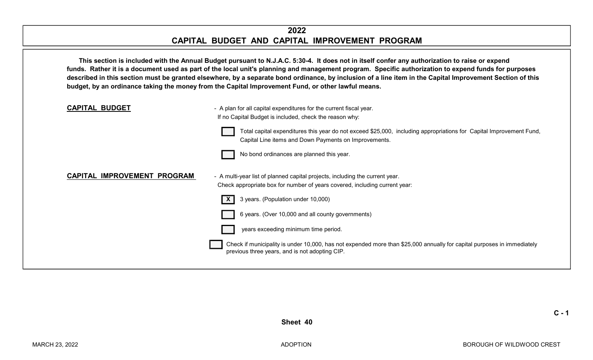#### 2022 CAPITAL BUDGET AND CAPITAL IMPROVEMENT PROGRAM

This section is included with the Annual Budget pursuant to N.J.A.C. 5:30-4. It does not in itself confer any authorization to raise or expend funds. Rather it is a document used as part of the local unit's planning and management program. Specific authorization to expend funds for purposes described in this section must be granted elsewhere, by a separate bond ordinance, by inclusion of a line item in the Capital Improvement Section of this budget, by an ordinance taking the money from the Capital Improvement Fund, or other lawful means.



 $C - 1$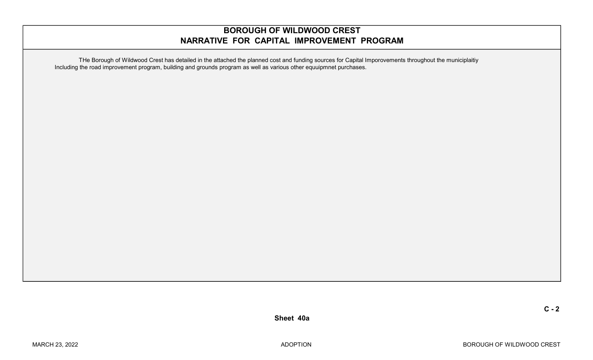#### BOROUGH OF WILDWOOD CREST NARRATIVE FOR CAPITAL IMPROVEMENT PROGRAM

THe Borough of Wildwood Crest has detailed in the attached the planned cost and funding sources for Capital Imporovements throughout the municiplaitiy Including the road improvement program, building and grounds program as well as various other equuipmnet purchases.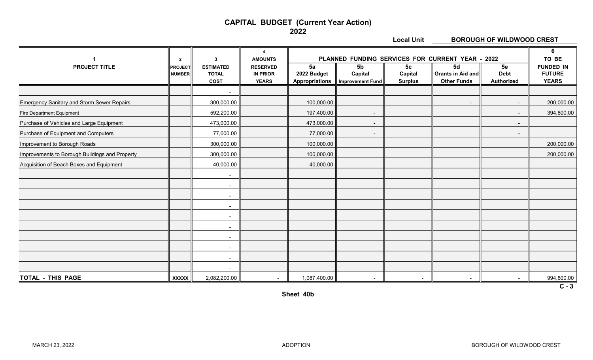#### CAPITAL BUDGET (Current Year Action)

2022

Local Unit **BOROUGH OF WILDWOOD CREST** 

|                                                   | $\overline{2}$                  | 3                                               | $\boldsymbol{\Lambda}$<br><b>AMOUNTS</b>           | PLANNED FUNDING SERVICES FOR CURRENT YEAR - 2022 |                                                      | $6\phantom{1}$<br>TO BE                     |                                                      |                                 |                                                   |
|---------------------------------------------------|---------------------------------|-------------------------------------------------|----------------------------------------------------|--------------------------------------------------|------------------------------------------------------|---------------------------------------------|------------------------------------------------------|---------------------------------|---------------------------------------------------|
| <b>PROJECT TITLE</b>                              | <b>PROJECT</b><br><b>NUMBER</b> | <b>ESTIMATED</b><br><b>TOTAL</b><br><b>COST</b> | <b>RESERVED</b><br><b>IN PRIOR</b><br><b>YEARS</b> | 5a<br>2022 Budget<br><b>Appropriations</b>       | 5 <sub>b</sub><br>Capital<br><b>Improvement Fund</b> | 5 <sub>c</sub><br>Capital<br><b>Surplus</b> | 5d<br><b>Grants in Aid and</b><br><b>Other Funds</b> | 5e<br><b>Debt</b><br>Authorized | <b>FUNDED IN</b><br><b>FUTURE</b><br><b>YEARS</b> |
|                                                   |                                 | $\blacksquare$                                  |                                                    |                                                  |                                                      |                                             |                                                      |                                 |                                                   |
| <b>Emergency Sanitary and Storm Sewer Repairs</b> |                                 | 300,000.00                                      |                                                    | 100,000.00                                       |                                                      |                                             | $\overline{\phantom{a}}$                             | $\sim$                          | 200,000.00                                        |
| Fire Department Equipment                         |                                 | 592,200.00                                      |                                                    | 197,400.00                                       |                                                      |                                             |                                                      |                                 | 394,800.00                                        |
| Purchase of Vehicles and Large Equipment          |                                 | 473,000.00                                      |                                                    | 473,000.00                                       |                                                      |                                             |                                                      |                                 |                                                   |
| Purchase of Equipment and Computers               |                                 | 77,000.00                                       |                                                    | 77,000.00                                        |                                                      |                                             |                                                      | $\blacksquare$                  |                                                   |
| Improvement to Borough Roads                      |                                 | 300,000.00                                      |                                                    | 100,000.00                                       |                                                      |                                             |                                                      |                                 | 200,000.00                                        |
| Improvements to Borough Buildings and Property    |                                 | 300,000.00                                      |                                                    | 100,000.00                                       |                                                      |                                             |                                                      |                                 | 200,000.00                                        |
| Acquisition of Beach Boxes and Equipment          |                                 | 40,000.00                                       |                                                    | 40,000.00                                        |                                                      |                                             |                                                      |                                 |                                                   |
|                                                   |                                 | $\sim$                                          |                                                    |                                                  |                                                      |                                             |                                                      |                                 |                                                   |
|                                                   |                                 | $\blacksquare$                                  |                                                    |                                                  |                                                      |                                             |                                                      |                                 |                                                   |
|                                                   |                                 | $\blacksquare$                                  |                                                    |                                                  |                                                      |                                             |                                                      |                                 |                                                   |
|                                                   |                                 | $\sim$                                          |                                                    |                                                  |                                                      |                                             |                                                      |                                 |                                                   |
|                                                   |                                 | $\sim$                                          |                                                    |                                                  |                                                      |                                             |                                                      |                                 |                                                   |
|                                                   |                                 | $\sim$                                          |                                                    |                                                  |                                                      |                                             |                                                      |                                 |                                                   |
|                                                   |                                 | $\blacksquare$                                  |                                                    |                                                  |                                                      |                                             |                                                      |                                 |                                                   |
|                                                   |                                 | $\blacksquare$                                  |                                                    |                                                  |                                                      |                                             |                                                      |                                 |                                                   |
|                                                   |                                 | $\sim$                                          |                                                    |                                                  |                                                      |                                             |                                                      |                                 |                                                   |
|                                                   |                                 | $\sim$                                          |                                                    |                                                  |                                                      |                                             |                                                      |                                 |                                                   |
| TOTAL - THIS PAGE                                 | <b>XXXXX</b>                    | 2,082,200.00                                    |                                                    | 1,087,400.00                                     |                                                      | $\overline{\phantom{a}}$                    |                                                      |                                 | 994,800.00<br>$C - 3$                             |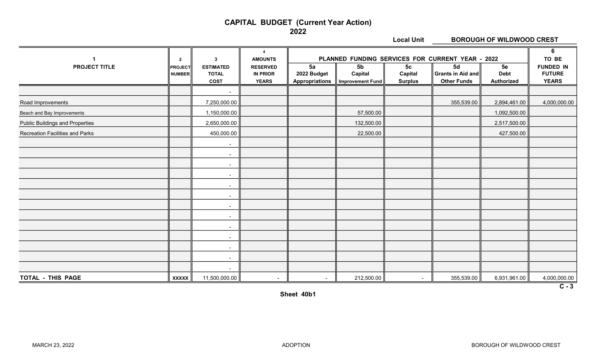#### CAPITAL BUDGET (Current Year Action)

2022

Local Unit **BOROUGH OF WILDWOOD CREST** 

|                                        | $\mathbf{2}$                    | $\mathbf{3}$                                    | $\boldsymbol{\Lambda}$<br><b>AMOUNTS</b>           |                                            | PLANNED FUNDING SERVICES FOR CURRENT YEAR - 2022     |                                             |                                               |                                 | $6\phantom{1}$<br>TO BE                           |
|----------------------------------------|---------------------------------|-------------------------------------------------|----------------------------------------------------|--------------------------------------------|------------------------------------------------------|---------------------------------------------|-----------------------------------------------|---------------------------------|---------------------------------------------------|
| <b>PROJECT TITLE</b>                   | <b>PROJECT</b><br><b>NUMBER</b> | <b>ESTIMATED</b><br><b>TOTAL</b><br><b>COST</b> | <b>RESERVED</b><br><b>IN PRIOR</b><br><b>YEARS</b> | 5a<br>2022 Budget<br><b>Appropriations</b> | 5 <sub>b</sub><br>Capital<br><b>Improvement Fund</b> | 5 <sub>c</sub><br>Capital<br><b>Surplus</b> | 5d<br>Grants in Aid and<br><b>Other Funds</b> | 5e<br><b>Debt</b><br>Authorized | <b>FUNDED IN</b><br><b>FUTURE</b><br><b>YEARS</b> |
|                                        |                                 | $\overline{\phantom{a}}$                        |                                                    |                                            |                                                      |                                             |                                               |                                 |                                                   |
| Road Improvements                      |                                 | 7,250,000.00                                    |                                                    |                                            |                                                      |                                             | 355,539.00                                    | 2,894,461.00                    | 4,000,000.00                                      |
| Beach and Bay Improvements             |                                 | 1,150,000.00                                    |                                                    |                                            | 57,500.00                                            |                                             |                                               | 1,092,500.00                    |                                                   |
| <b>Public Buildings and Properties</b> |                                 | 2,650,000.00                                    |                                                    |                                            | 132,500.00                                           |                                             |                                               | 2,517,500.00                    |                                                   |
| Recreation Facilities and Parks        |                                 | 450,000.00                                      |                                                    |                                            | 22,500.00                                            |                                             |                                               | 427,500.00                      |                                                   |
|                                        |                                 | $\overline{\phantom{a}}$                        |                                                    |                                            |                                                      |                                             |                                               |                                 |                                                   |
|                                        |                                 | $\overline{\phantom{a}}$                        |                                                    |                                            |                                                      |                                             |                                               |                                 |                                                   |
|                                        |                                 | $\sim$                                          |                                                    |                                            |                                                      |                                             |                                               |                                 |                                                   |
|                                        |                                 | $\sim$                                          |                                                    |                                            |                                                      |                                             |                                               |                                 |                                                   |
|                                        |                                 | $\blacksquare$                                  |                                                    |                                            |                                                      |                                             |                                               |                                 |                                                   |
|                                        |                                 | $\sim$                                          |                                                    |                                            |                                                      |                                             |                                               |                                 |                                                   |
|                                        |                                 | $\blacksquare$                                  |                                                    |                                            |                                                      |                                             |                                               |                                 |                                                   |
|                                        |                                 | $\blacksquare$                                  |                                                    |                                            |                                                      |                                             |                                               |                                 |                                                   |
|                                        |                                 | $\blacksquare$                                  |                                                    |                                            |                                                      |                                             |                                               |                                 |                                                   |
|                                        |                                 | $\blacksquare$                                  |                                                    |                                            |                                                      |                                             |                                               |                                 |                                                   |
|                                        |                                 | $\blacksquare$                                  |                                                    |                                            |                                                      |                                             |                                               |                                 |                                                   |
|                                        |                                 | $\overline{\phantom{a}}$                        |                                                    |                                            |                                                      |                                             |                                               |                                 |                                                   |
|                                        |                                 | $\overline{\phantom{a}}$                        |                                                    |                                            |                                                      |                                             |                                               |                                 |                                                   |
| TOTAL - THIS PAGE                      | <b>XXXXX</b>                    | 11,500,000.00                                   | $\blacksquare$                                     | $\sim$                                     | 212,500.00                                           | $\blacksquare$                              | 355,539.00                                    | 6,931,961.00                    | 4,000,000.00                                      |

 $\overline{C-3}$ 

Sheet 40b1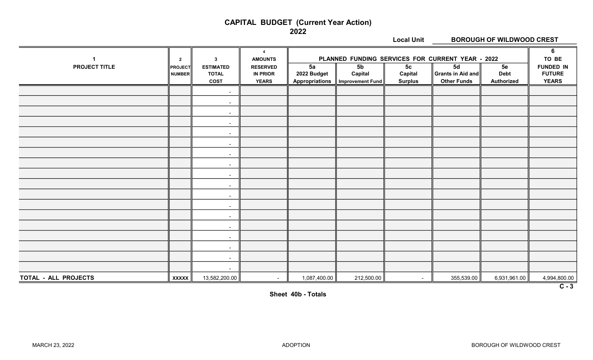#### CAPITAL BUDGET (Current Year Action)

2022

Local Unit BOROUGH OF WILDWOOD CREST 4 || 6 1 || 2 || 3 || AMOUNTS || PLANNED FUNDING SERVICES FOR CURRENT YEAR - 2022 || TO BE PROJECT TITLE PROJECT ESTIMATED RESERVED 5a 5b 5c 5d 5e FUNDED IN NUMBER TOTAL  $\|\;\;$  IN PRIOR  $\;\;\|\;$  2022 Budget  $\;\|\;\;$  Capital  $\;\;\|\;$  Capital  $\;\;\|\;$  Grants in Aid and $\|\;\;$  Debt  $\;\;\|\;$  FUTURE COST  $\parallel$  YEARS  $\parallel$  Appropriations  $\parallel$  Improvement Fund Surplus  $\parallel$  Other Funds  $\parallel$  Authorized  $\parallel$  YEARS - 1990 - 1990 - 1990 -- 1990 - 1990 - 1990 -- 1990 - 1990 - 1990 -- 1990 - 1990 - 1990 -- 1990 - 1990 - 1990 -- 1990 - 1990 - 1990 -- 1990 - 1990 - 1990 -- 1990 - 1990 - 1990 -- 1990 - 1990 - 1990 -- 1990 - 1990 - 1990 -- 1990 - 1990 - 1990 -- 1990 - 1990 - 1990 -- 1990 - 1990 - 1990 -- 1990 - 1990 - 1990 -- 1990 - 1990 - 1990 -- 1990 - 1990 - 1990 -- 1990 - 1990 - 1990 -- 1990 - 1990 - 1990 -TOTAL - ALL PROJECTS  $\|$  xxxxx  $\|$  13,582,200.00  $\|$  -  $\|$  1,087,400.00  $\|$  212,500.00  $\|$  -  $\|$  355,539.00  $\|$  6,931,961.00  $\|$  4,994,800.00

 $\overline{C-3}$ 

Sheet 40b - Totals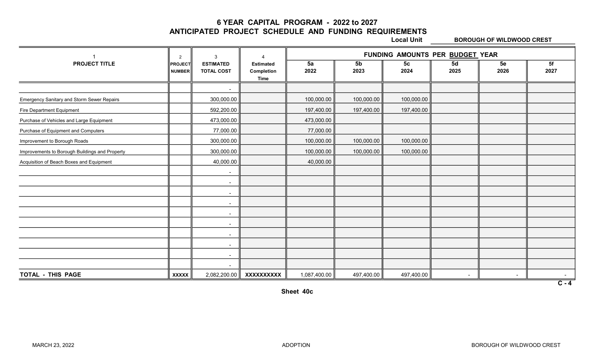6 YEAR CAPITAL PROGRAM - 2022 to 2027

ANTICIPATED PROJECT SCHEDULE AND FUNDING REQUIREMENTS

Local Unit **BOROUGH OF WILDWOOD CREST** 

|                                                | 2                               | 3                                     |                                        | FUNDING AMOUNTS PER BUDGET YEAR |                        |                        |                |            |            |  |  |
|------------------------------------------------|---------------------------------|---------------------------------------|----------------------------------------|---------------------------------|------------------------|------------------------|----------------|------------|------------|--|--|
| <b>PROJECT TITLE</b>                           | <b>PROJECT</b><br><b>NUMBER</b> | <b>ESTIMATED</b><br><b>TOTAL COST</b> | <b>Estimated</b><br>Completion<br>Time | 5a<br>2022                      | 5 <sub>b</sub><br>2023 | 5 <sub>c</sub><br>2024 | 5d<br>2025     | 5e<br>2026 | 5f<br>2027 |  |  |
|                                                |                                 | $\blacksquare$                        |                                        |                                 |                        |                        |                |            |            |  |  |
| Emergency Sanitary and Storm Sewer Repairs     |                                 | 300,000.00                            |                                        | 100,000.00                      | 100,000.00             | 100,000.00             |                |            |            |  |  |
| Fire Department Equipment                      |                                 | 592,200.00                            |                                        | 197,400.00                      | 197,400.00             | 197,400.00             |                |            |            |  |  |
| Purchase of Vehicles and Large Equipment       |                                 | 473,000.00                            |                                        | 473,000.00                      |                        |                        |                |            |            |  |  |
| Purchase of Equipment and Computers            |                                 | 77,000.00                             |                                        | 77,000.00                       |                        |                        |                |            |            |  |  |
| Improvement to Borough Roads                   |                                 | 300,000.00                            |                                        | 100,000.00                      | 100,000.00             | 100,000.00             |                |            |            |  |  |
| Improvements to Borough Buildings and Property |                                 | 300,000.00                            |                                        | 100,000.00                      | 100,000.00             | 100,000.00             |                |            |            |  |  |
| Acquisition of Beach Boxes and Equipment       |                                 | 40,000.00                             |                                        | 40,000.00                       |                        |                        |                |            |            |  |  |
|                                                |                                 | $\sim$                                |                                        |                                 |                        |                        |                |            |            |  |  |
|                                                |                                 | $\sim$                                |                                        |                                 |                        |                        |                |            |            |  |  |
|                                                |                                 | $\sim$                                |                                        |                                 |                        |                        |                |            |            |  |  |
|                                                |                                 | $\sim$                                |                                        |                                 |                        |                        |                |            |            |  |  |
|                                                |                                 | $\sim$                                |                                        |                                 |                        |                        |                |            |            |  |  |
|                                                |                                 | $\sim$                                |                                        |                                 |                        |                        |                |            |            |  |  |
|                                                |                                 | $\sim$                                |                                        |                                 |                        |                        |                |            |            |  |  |
|                                                |                                 | $\overline{\phantom{a}}$              |                                        |                                 |                        |                        |                |            |            |  |  |
|                                                |                                 | $\sim$                                |                                        |                                 |                        |                        |                |            |            |  |  |
|                                                |                                 | $\sim$                                |                                        |                                 |                        |                        |                |            |            |  |  |
| <b>TOTAL - THIS PAGE</b>                       | <b>XXXXX</b>                    | 2,082,200.00                          | <b>XXXXXXXXXX</b>                      | 1,087,400.00                    | 497,400.00             | 497,400.00             | $\blacksquare$ |            | $C - 4$    |  |  |

Sheet 40c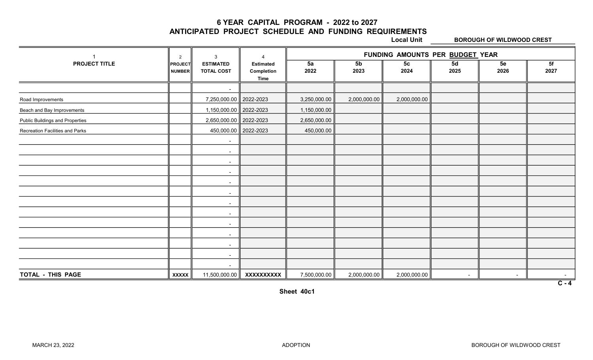6 YEAR CAPITAL PROGRAM - 2022 to 2027

ANTICIPATED PROJECT SCHEDULE AND FUNDING REQUIREMENTS

Local Unit **BOROUGH OF WILDWOOD CREST** 

|                                        | $\overline{2}$           | 3                                     | $\Lambda$                              | FUNDING AMOUNTS PER BUDGET YEAR |                        |                        |            |            |                   |  |  |
|----------------------------------------|--------------------------|---------------------------------------|----------------------------------------|---------------------------------|------------------------|------------------------|------------|------------|-------------------|--|--|
| <b>PROJECT TITLE</b>                   | PROJECT<br><b>NUMBER</b> | <b>ESTIMATED</b><br><b>TOTAL COST</b> | <b>Estimated</b><br>Completion<br>Time | 5a<br>2022                      | 5 <sub>b</sub><br>2023 | 5 <sub>c</sub><br>2024 | 5d<br>2025 | 5e<br>2026 | 5f<br>2027        |  |  |
|                                        |                          | $\overline{\phantom{a}}$              |                                        |                                 |                        |                        |            |            |                   |  |  |
| Road Improvements                      |                          | 7,250,000.00 2022-2023                |                                        | 3,250,000.00                    | 2,000,000.00           | 2,000,000.00           |            |            |                   |  |  |
| Beach and Bay Improvements             |                          | 1,150,000.00 2022-2023                |                                        | 1,150,000.00                    |                        |                        |            |            |                   |  |  |
| <b>Public Buildings and Properties</b> |                          | 2,650,000.00 2022-2023                |                                        | 2,650,000.00                    |                        |                        |            |            |                   |  |  |
| Recreation Facilities and Parks        |                          | 450,000.00 2022-2023                  |                                        | 450,000.00                      |                        |                        |            |            |                   |  |  |
|                                        |                          | $\overline{\phantom{a}}$              |                                        |                                 |                        |                        |            |            |                   |  |  |
|                                        |                          | $\sim$                                |                                        |                                 |                        |                        |            |            |                   |  |  |
|                                        |                          | $\sim$                                |                                        |                                 |                        |                        |            |            |                   |  |  |
|                                        |                          | $\sim$                                |                                        |                                 |                        |                        |            |            |                   |  |  |
|                                        |                          | $\sim$                                |                                        |                                 |                        |                        |            |            |                   |  |  |
|                                        |                          | $\blacksquare$                        |                                        |                                 |                        |                        |            |            |                   |  |  |
|                                        |                          | $\sim$                                |                                        |                                 |                        |                        |            |            |                   |  |  |
|                                        |                          | $\sim$                                |                                        |                                 |                        |                        |            |            |                   |  |  |
|                                        |                          | $\sim$                                |                                        |                                 |                        |                        |            |            |                   |  |  |
|                                        |                          | $\sim$                                |                                        |                                 |                        |                        |            |            |                   |  |  |
|                                        |                          | $\sim$                                |                                        |                                 |                        |                        |            |            |                   |  |  |
|                                        |                          | $\sim$                                |                                        |                                 |                        |                        |            |            |                   |  |  |
|                                        |                          | $\sim$                                |                                        |                                 |                        |                        |            |            |                   |  |  |
| TOTAL - THIS PAGE                      | <b>XXXXX</b>             | 11,500,000.00                         | XXXXXXXXXX                             | 7,500,000.00                    | 2,000,000.00           | 2,000,000.00           | $\sim$     | $\sim$     | $\sim$<br>$C - 4$ |  |  |

Sheet 40c1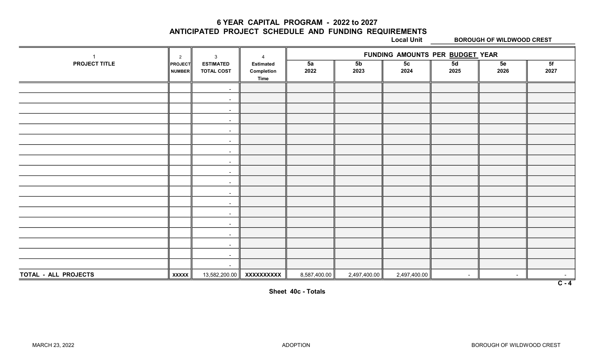6 YEAR CAPITAL PROGRAM - 2022 to 2027

ANTICIPATED PROJECT SCHEDULE AND FUNDING REQUIREMENTS

Local Unit **BOROUGH OF WILDWOOD CREST** 

|                      | $\overline{2}$           | $\mathbf{3}$                          | $\boldsymbol{\Lambda}$                        |              |                        | FUNDING AMOUNTS PER BUDGET YEAR |            |            |                  |
|----------------------|--------------------------|---------------------------------------|-----------------------------------------------|--------------|------------------------|---------------------------------|------------|------------|------------------|
| PROJECT TITLE        | <b>PROJECT</b><br>NUMBER | <b>ESTIMATED</b><br><b>TOTAL COST</b> | <b>Estimated</b><br>Completion<br><b>Time</b> | 5a<br>2022   | 5 <sub>b</sub><br>2023 | 5 <sub>c</sub><br>2024          | 5d<br>2025 | 5e<br>2026 | 5f<br>2027       |
|                      |                          | $\sim$                                |                                               |              |                        |                                 |            |            |                  |
|                      |                          | $\sim$                                |                                               |              |                        |                                 |            |            |                  |
|                      |                          | $\sim$                                |                                               |              |                        |                                 |            |            |                  |
|                      |                          | $\sim$                                |                                               |              |                        |                                 |            |            |                  |
|                      |                          | $\sim$                                |                                               |              |                        |                                 |            |            |                  |
|                      |                          | $\sim$                                |                                               |              |                        |                                 |            |            |                  |
|                      |                          | $\sim$                                |                                               |              |                        |                                 |            |            |                  |
|                      |                          | $\sim$                                |                                               |              |                        |                                 |            |            |                  |
|                      |                          | $\sim$                                |                                               |              |                        |                                 |            |            |                  |
|                      |                          | $\sim$                                |                                               |              |                        |                                 |            |            |                  |
|                      |                          | $\sim$                                |                                               |              |                        |                                 |            |            |                  |
|                      |                          | $\sim$                                |                                               |              |                        |                                 |            |            |                  |
|                      |                          | $\sim$                                |                                               |              |                        |                                 |            |            |                  |
|                      |                          | $\sim$                                |                                               |              |                        |                                 |            |            |                  |
|                      |                          | $\sim$                                |                                               |              |                        |                                 |            |            |                  |
|                      |                          | $\sim$                                |                                               |              |                        |                                 |            |            |                  |
|                      |                          | $\sim$                                |                                               |              |                        |                                 |            |            |                  |
|                      |                          | $\sim$                                |                                               |              |                        |                                 |            |            |                  |
| TOTAL - ALL PROJECTS | <b>XXXXX</b>             | 13,582,200.00                         | XXXXXXXXXX                                    | 8,587,400.00 | 2,497,400.00           | 2,497,400.00                    | $\sim$     | $\sim$     | $\sim$           |
|                      |                          |                                       |                                               |              |                        |                                 |            |            | $\overline{C-4}$ |

Sheet 40c - Totals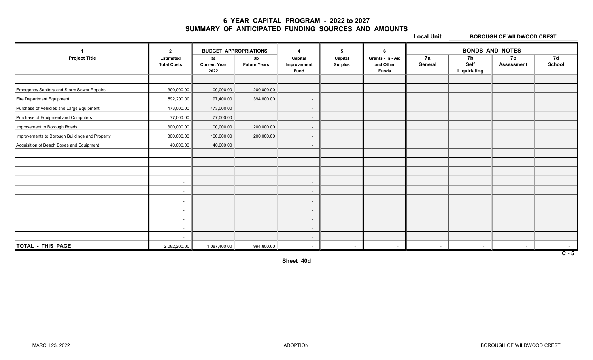#### 6 YEAR CAPITAL PROGRAM - 2022 to 2027 SUMMARY OF ANTICIPATED FUNDING SOURCES AND AMOUNTS

Local Unit **BOROUGH OF WILDWOOD CREST** 

|                                                   | $\overline{2}$                         | <b>BUDGET APPROPRIATIONS</b>      |                           |                                       | 5                         |                                                | <b>BONDS AND NOTES</b>   |                           |                         |                  |
|---------------------------------------------------|----------------------------------------|-----------------------------------|---------------------------|---------------------------------------|---------------------------|------------------------------------------------|--------------------------|---------------------------|-------------------------|------------------|
| <b>Project Title</b>                              | <b>Estimated</b><br><b>Total Costs</b> | За<br><b>Current Year</b><br>2022 | 3b<br><b>Future Years</b> | Capital<br>Improvement<br><b>Fund</b> | Capital<br><b>Surplus</b> | Grants - in - Aid<br>and Other<br><b>Funds</b> | 7a<br>General            | 7b<br>Self<br>Liquidating | 7c<br><b>Assessment</b> | 7d<br>School     |
|                                                   | $\sim$                                 |                                   |                           | $\sim$                                |                           |                                                |                          |                           |                         |                  |
| <b>Emergency Sanitary and Storm Sewer Repairs</b> | 300,000.00                             | 100,000.00                        | 200,000.00                | $\sim$                                |                           |                                                |                          |                           |                         |                  |
| Fire Department Equipment                         | 592,200.00                             | 197,400.00                        | 394,800.00                | $\sim$                                |                           |                                                |                          |                           |                         |                  |
| Purchase of Vehicles and Large Equipment          | 473,000.00                             | 473,000.00                        |                           | $\sim$                                |                           |                                                |                          |                           |                         |                  |
| Purchase of Equipment and Computers               | 77,000.00                              | 77,000.00                         |                           | $\sim$                                |                           |                                                |                          |                           |                         |                  |
| Improvement to Borough Roads                      | 300,000.00                             | 100,000.00                        | 200,000.00                | $\sim$                                |                           |                                                |                          |                           |                         |                  |
| Improvements to Borough Buildings and Property    | 300,000.00                             | 100,000.00                        | 200,000.00                | $\sim$                                |                           |                                                |                          |                           |                         |                  |
| Acquisition of Beach Boxes and Equipment          | 40,000.00                              | 40,000.00                         |                           | $\sim$                                |                           |                                                |                          |                           |                         |                  |
|                                                   | $\sim$                                 |                                   |                           | $\sim$                                |                           |                                                |                          |                           |                         |                  |
|                                                   | $\sim$                                 |                                   |                           | $\sim$                                |                           |                                                |                          |                           |                         |                  |
|                                                   | $\overline{\phantom{a}}$               |                                   |                           | $\sim$                                |                           |                                                |                          |                           |                         |                  |
|                                                   | $\sim$                                 |                                   |                           | $\sim$                                |                           |                                                |                          |                           |                         |                  |
|                                                   | $\sim$                                 |                                   |                           | $\sim$                                |                           |                                                |                          |                           |                         |                  |
|                                                   | $\sim$                                 |                                   |                           | $\sim$                                |                           |                                                |                          |                           |                         |                  |
|                                                   | $\sim$                                 |                                   |                           | $\sim$                                |                           |                                                |                          |                           |                         |                  |
|                                                   | $\sim$                                 |                                   |                           | $\sim$                                |                           |                                                |                          |                           |                         |                  |
|                                                   | $\sim$                                 |                                   |                           | $\sim$                                |                           |                                                |                          |                           |                         |                  |
|                                                   | $\sim$                                 |                                   |                           | $\sim$                                |                           |                                                |                          |                           |                         |                  |
| TOTAL - THIS PAGE                                 | 2,082,200.00                           | 1,087,400.00                      | 994,800.00                | $\sim$                                | $\sim$                    |                                                | $\overline{\phantom{a}}$ | $\sim$                    |                         | $\overline{C-5}$ |

Sheet 40d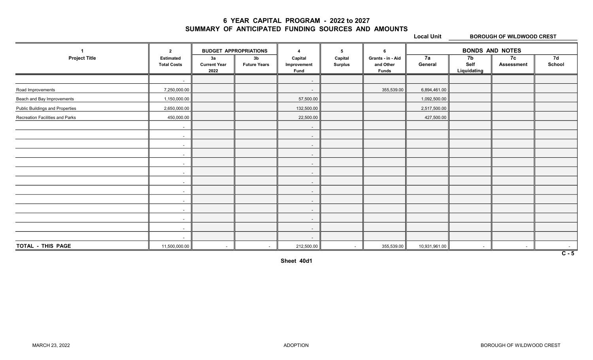#### 6 YEAR CAPITAL PROGRAM - 2022 to 2027 SUMMARY OF ANTICIPATED FUNDING SOURCES AND AMOUNTS

Local Unit **BOROUGH OF WILDWOOD CREST** 

|                                        | $\overline{2}$                         | <b>BUDGET APPROPRIATIONS</b>      |                                       | 5<br>$\overline{\phantom{a}}$         |                           | -6                                             | <b>BONDS AND NOTES</b> |                           |                         |                  |
|----------------------------------------|----------------------------------------|-----------------------------------|---------------------------------------|---------------------------------------|---------------------------|------------------------------------------------|------------------------|---------------------------|-------------------------|------------------|
| <b>Project Title</b>                   | <b>Estimated</b><br><b>Total Costs</b> | 3a<br><b>Current Year</b><br>2022 | 3 <sub>b</sub><br><b>Future Years</b> | Capital<br>Improvement<br><b>Fund</b> | Capital<br><b>Surplus</b> | Grants - in - Aid<br>and Other<br><b>Funds</b> | 7a<br>General          | 7b<br>Self<br>Liquidating | 7c<br><b>Assessment</b> | 7d<br>School     |
|                                        | $\sim$                                 |                                   |                                       | $\sim$                                |                           |                                                |                        |                           |                         |                  |
| Road Improvements                      | 7,250,000.00                           |                                   |                                       | $\sim$                                |                           | 355,539.00                                     | 6,894,461.00           |                           |                         |                  |
| Beach and Bay Improvements             | 1,150,000.00                           |                                   |                                       | 57,500.00                             |                           |                                                | 1,092,500.00           |                           |                         |                  |
| <b>Public Buildings and Properties</b> | 2,650,000.00                           |                                   |                                       | 132,500.00                            |                           |                                                | 2,517,500.00           |                           |                         |                  |
| Recreation Facilities and Parks        | 450,000.00                             |                                   |                                       | 22,500.00                             |                           |                                                | 427,500.00             |                           |                         |                  |
|                                        | $\sim$                                 |                                   |                                       | $\sim$                                |                           |                                                |                        |                           |                         |                  |
|                                        | $\sim$                                 |                                   |                                       | $\sim$                                |                           |                                                |                        |                           |                         |                  |
|                                        | $\sim$                                 |                                   |                                       | $\sim$                                |                           |                                                |                        |                           |                         |                  |
|                                        | $\sim$                                 |                                   |                                       | $\sim$                                |                           |                                                |                        |                           |                         |                  |
|                                        | $\sim$                                 |                                   |                                       | $\sim$                                |                           |                                                |                        |                           |                         |                  |
|                                        | $\sim$                                 |                                   |                                       | $\sim$                                |                           |                                                |                        |                           |                         |                  |
|                                        | $\sim$                                 |                                   |                                       | $\sim$                                |                           |                                                |                        |                           |                         |                  |
|                                        | $\sim$                                 |                                   |                                       | $\sim$                                |                           |                                                |                        |                           |                         |                  |
|                                        | $\sim$                                 |                                   |                                       | $\sim$                                |                           |                                                |                        |                           |                         |                  |
|                                        | $\sim$                                 |                                   |                                       | $\sim$                                |                           |                                                |                        |                           |                         |                  |
|                                        | $\overline{\phantom{a}}$               |                                   |                                       | $\sim$                                |                           |                                                |                        |                           |                         |                  |
|                                        | $\sim$                                 |                                   |                                       | $\sim$                                |                           |                                                |                        |                           |                         |                  |
|                                        | $\sim$                                 |                                   |                                       | $\sim$                                |                           |                                                |                        |                           |                         |                  |
| TOTAL - THIS PAGE                      | 11,500,000.00                          | $\sim$                            | $\sim$                                | 212,500.00                            | $\sim$                    | 355,539.00                                     | 10,931,961.00          | $\sim$                    | $\blacksquare$          |                  |
|                                        |                                        |                                   |                                       |                                       |                           |                                                |                        |                           |                         | $\overline{C-5}$ |

Sheet 40d1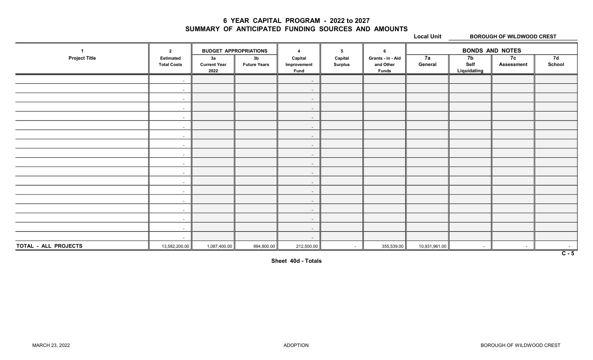#### 6 YEAR CAPITAL PROGRAM - 2022 to 2027 SUMMARY OF ANTICIPATED FUNDING SOURCES AND AMOUNTS

Local Unit **BOROUGH OF WILDWOOD CREST** 

|                      | $\overline{2}$                         | <b>BUDGET APPROPRIATIONS</b>      |                                       | $\boldsymbol{\Lambda}$                | 5                         | - 6                                            |               |                           | <b>BONDS AND NOTES</b>  |                  |
|----------------------|----------------------------------------|-----------------------------------|---------------------------------------|---------------------------------------|---------------------------|------------------------------------------------|---------------|---------------------------|-------------------------|------------------|
| <b>Project Title</b> | <b>Estimated</b><br><b>Total Costs</b> | 3a<br><b>Current Year</b><br>2022 | 3 <sub>b</sub><br><b>Future Years</b> | Capital<br>Improvement<br><b>Fund</b> | Capital<br><b>Surplus</b> | Grants - in - Aid<br>and Other<br><b>Funds</b> | 7a<br>General | 7b<br>Self<br>Liquidating | 7c<br><b>Assessment</b> | 7d<br>School     |
|                      | $\sim$                                 |                                   |                                       | $\sim$                                |                           |                                                |               |                           |                         |                  |
|                      | $\sim$                                 |                                   |                                       | $\sim$                                |                           |                                                |               |                           |                         |                  |
|                      | $\sim$                                 |                                   |                                       | $\sim$                                |                           |                                                |               |                           |                         |                  |
|                      | $\sim$                                 |                                   |                                       | $\sim$                                |                           |                                                |               |                           |                         |                  |
|                      | $\sim$                                 |                                   |                                       | $\sim$                                |                           |                                                |               |                           |                         |                  |
|                      | $\sim$                                 |                                   |                                       | $\sim$                                |                           |                                                |               |                           |                         |                  |
|                      | $\sim$                                 |                                   |                                       | $\sim$                                |                           |                                                |               |                           |                         |                  |
|                      | $\sim$                                 |                                   |                                       | $\sim$                                |                           |                                                |               |                           |                         |                  |
|                      | $\sim$                                 |                                   |                                       | $\sim$                                |                           |                                                |               |                           |                         |                  |
|                      | $\sim$                                 |                                   |                                       | $\sim$                                |                           |                                                |               |                           |                         |                  |
|                      | $\sim$                                 |                                   |                                       | $\sim$                                |                           |                                                |               |                           |                         |                  |
|                      | $\sim$                                 |                                   |                                       | $\sim$                                |                           |                                                |               |                           |                         |                  |
|                      | $\sim$                                 |                                   |                                       | $\sim$                                |                           |                                                |               |                           |                         |                  |
|                      | $\sim$                                 |                                   |                                       | $\sim$                                |                           |                                                |               |                           |                         |                  |
|                      | $\sim$                                 |                                   |                                       | $\sim$                                |                           |                                                |               |                           |                         |                  |
|                      | $\sim$                                 |                                   |                                       | $\sim$                                |                           |                                                |               |                           |                         |                  |
|                      | $\sim$                                 |                                   |                                       | $\sim$                                |                           |                                                |               |                           |                         |                  |
|                      | $\sim$                                 |                                   |                                       | $\sim$                                |                           |                                                |               |                           |                         |                  |
| TOTAL - ALL PROJECTS | 13,582,200.00                          | 1,087,400.00                      | 994,800.00                            | 212,500.00                            | $\sim$                    | 355,539.00                                     | 10,931,961.00 | $\sim$                    | $\sim$                  | $\sim$ 10 $\pm$  |
|                      |                                        |                                   |                                       |                                       |                           |                                                |               |                           |                         | $\overline{C-5}$ |

Sheet 40d - Totals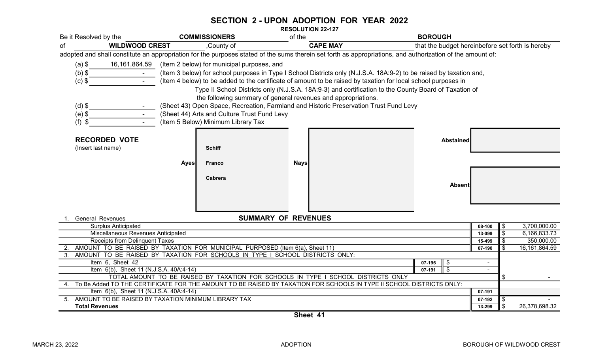#### SECTION 2 - UPON ADOPTION FOR YEAR 2022

RESOLUTION 22-127

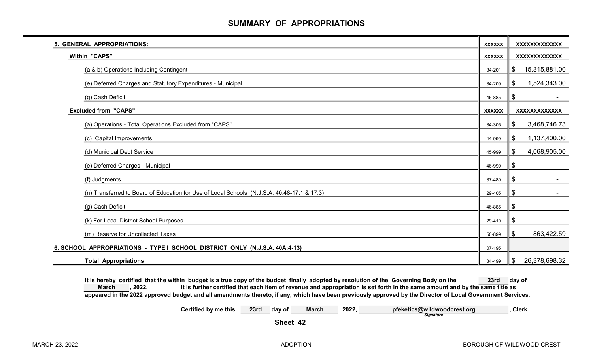# SUMMARY OF APPROPRIATIONS

| 5. GENERAL APPROPRIATIONS:                                                                  | <b>XXXXXX</b> | XXXXXXXXXXXX        |
|---------------------------------------------------------------------------------------------|---------------|---------------------|
| <b>Within "CAPS"</b>                                                                        | <b>XXXXXX</b> | XXXXXXXXXXXX        |
| (a & b) Operations Including Contingent                                                     | 34-201        | 15,315,881.00<br>\$ |
| (e) Deferred Charges and Statutory Expenditures - Municipal                                 | 34-209        | 1,524,343.00<br>\$  |
| (g) Cash Deficit                                                                            | 46-885        | \$                  |
| <b>Excluded from "CAPS"</b>                                                                 | <b>XXXXXX</b> | XXXXXXXXXXXX        |
| (a) Operations - Total Operations Excluded from "CAPS"                                      | 34-305        | 3,468,746.73<br>\$  |
| (c) Capital Improvements                                                                    | 44-999        | 1,137,400.00<br>\$  |
| (d) Municipal Debt Service                                                                  | 45-999        | 4,068,905.00<br>\$  |
| (e) Deferred Charges - Municipal                                                            | 46-999        | \$                  |
| (f) Judgments                                                                               | 37-480        | \$                  |
| (n) Transferred to Board of Education for Use of Local Schools (N.J.S.A. 40:48-17.1 & 17.3) | 29-405        | \$                  |
| (g) Cash Deficit                                                                            | 46-885        | \$                  |
| (k) For Local District School Purposes                                                      | 29-410        | \$                  |
| (m) Reserve for Uncollected Taxes                                                           | 50-899        | 863,422.59<br>\$    |
| 6. SCHOOL APPROPRIATIONS - TYPE I SCHOOL DISTRICT ONLY (N.J.S.A. 40A:4-13)                  | 07-195        |                     |
| <b>Total Appropriations</b>                                                                 | 34-499        | 26,378,698.32<br>\$ |

It is hereby certified that the within budget is a true copy of the budget finally adopted by resolution of the Governing Body on the 23rd day of , 2022. It is further certified that each item of revenue and appropriation is set forth in the same amount and by the same title as appeared in the 2022 approved budget and all amendments thereto, if any, which have been previously approved by the Director of Local Government Services. March

> Certified by me this 23rd day of March , 2022, pfeketics@wildwoodcrest.org , Clerk **Signature**

Sheet 42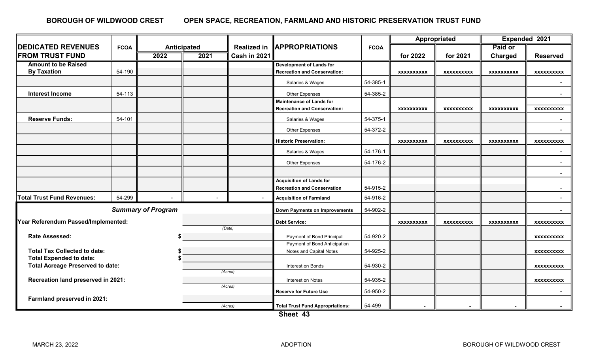#### OPEN SPACE, RECREATION, FARMLAND AND HISTORIC PRESERVATION TRUST FUND BOROUGH OF WILDWOOD CREST

|                                                                           |        |                    |         | <b>Realized in</b>                      | <b>APPROPRIATIONS</b>                | <b>FCOA</b> | Appropriated      |                   | Expended 2021     |                   |
|---------------------------------------------------------------------------|--------|--------------------|---------|-----------------------------------------|--------------------------------------|-------------|-------------------|-------------------|-------------------|-------------------|
| <b>DEDICATED REVENUES</b><br><b>FCOA</b>                                  |        | <b>Anticipated</b> |         |                                         |                                      |             |                   |                   | Paid or           |                   |
| <b>FROM TRUST FUND</b>                                                    |        | 2022               | 2021    | Cash in 2021                            |                                      |             | for 2022          | for 2021          | <b>Charged</b>    | <b>Reserved</b>   |
| <b>Amount to be Raised</b>                                                |        |                    |         |                                         | <b>Development of Lands for</b>      |             |                   |                   |                   |                   |
| <b>By Taxation</b>                                                        | 54-190 |                    |         |                                         | <b>Recreation and Conservation:</b>  |             | <b>XXXXXXXXXX</b> | <b>XXXXXXXXXX</b> | <b>XXXXXXXXXX</b> | <b>XXXXXXXXXX</b> |
|                                                                           |        |                    |         |                                         | Salaries & Wages                     | 54-385-1    |                   |                   |                   |                   |
| <b>Interest Income</b>                                                    | 54-113 |                    |         |                                         | Other Expenses                       | 54-385-2    |                   |                   |                   |                   |
|                                                                           |        |                    |         |                                         | <b>Maintenance of Lands for</b>      |             |                   |                   |                   |                   |
|                                                                           |        |                    |         |                                         | <b>Recreation and Conservation:</b>  |             | <b>XXXXXXXXXX</b> | <b>XXXXXXXXXX</b> | <b>XXXXXXXXXX</b> | <b>XXXXXXXXXX</b> |
| <b>Reserve Funds:</b>                                                     | 54-101 |                    |         |                                         | Salaries & Wages                     | 54-375-1    |                   |                   |                   |                   |
|                                                                           |        |                    |         |                                         | Other Expenses                       | 54-372-2    |                   |                   |                   |                   |
|                                                                           |        |                    |         |                                         | <b>Historic Preservation:</b>        |             | <b>XXXXXXXXXX</b> | <b>XXXXXXXXXX</b> | <b>XXXXXXXXXX</b> | <b>XXXXXXXXXX</b> |
|                                                                           |        |                    |         |                                         | Salaries & Wages                     | 54-176-1    |                   |                   |                   |                   |
|                                                                           |        |                    |         |                                         | Other Expenses                       | 54-176-2    |                   |                   |                   | $\sim$            |
|                                                                           |        |                    |         |                                         |                                      |             |                   |                   |                   | $\sim$            |
|                                                                           |        |                    |         |                                         | <b>Acquisition of Lands for</b>      |             |                   |                   |                   |                   |
|                                                                           |        |                    |         |                                         | <b>Recreation and Conservation</b>   | 54-915-2    |                   |                   |                   | $\sim$            |
| <b>Total Trust Fund Revenues:</b>                                         | 54-299 |                    |         | $\sim$                                  | <b>Acquisition of Farmland</b>       | 54-916-2    |                   |                   |                   | $\sim$            |
| <b>Summary of Program</b>                                                 |        |                    |         |                                         | <b>Down Payments on Improvements</b> | 54-902-2    |                   |                   |                   | $\sim$            |
| Year Referendum Passed/Implemented:                                       |        |                    |         |                                         | <b>Debt Service:</b>                 |             | <b>XXXXXXXXXX</b> | <b>XXXXXXXXXX</b> | <b>XXXXXXXXXX</b> | <b>XXXXXXXXXX</b> |
| (Date)                                                                    |        |                    |         |                                         |                                      |             |                   |                   |                   |                   |
| <b>Rate Assessed:</b>                                                     |        |                    |         |                                         | Payment of Bond Principal            | 54-920-2    |                   |                   |                   | <b>XXXXXXXXXX</b> |
|                                                                           |        |                    |         |                                         | Payment of Bond Anticipation         |             |                   |                   |                   |                   |
| <b>Total Tax Collected to date:</b>                                       |        |                    |         | Notes and Capital Notes                 | 54-925-2                             |             |                   |                   | <b>XXXXXXXXXX</b> |                   |
| <b>Total Expended to date:</b><br><b>Total Acreage Preserved to date:</b> |        |                    |         | Interest on Bonds                       | 54-930-2                             |             |                   |                   |                   |                   |
| (Acres)                                                                   |        |                    |         |                                         |                                      |             |                   |                   |                   | XXXXXXXXXX        |
| Recreation land preserved in 2021:                                        |        |                    |         | Interest on Notes                       | 54-935-2                             |             |                   |                   | <b>XXXXXXXXXX</b> |                   |
|                                                                           |        |                    |         | (Acres)                                 | <b>Reserve for Future Use</b>        | 54-950-2    |                   |                   |                   | $\sim$            |
| Farmland preserved in 2021:                                               |        |                    |         |                                         |                                      |             |                   |                   |                   |                   |
|                                                                           |        |                    | (Acres) | <b>Total Trust Fund Appropriations:</b> | 54-499                               |             |                   |                   |                   |                   |
|                                                                           |        |                    |         |                                         | $01$ $-11$ $-10$                     |             |                   |                   |                   |                   |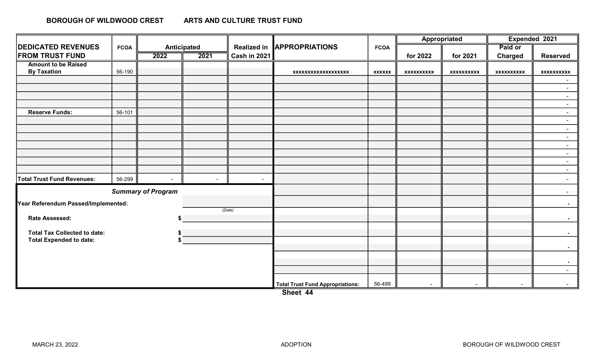#### ARTS AND CULTURE TRUST FUND BOROUGH OF WILDWOOD CREST

|                                     | <b>FCOA</b> |             |        | <b>Realized in</b> | <b>APPROPRIATIONS</b>                   | <b>FCOA</b>   | Appropriated      |                   | Expended 2021     |                  |
|-------------------------------------|-------------|-------------|--------|--------------------|-----------------------------------------|---------------|-------------------|-------------------|-------------------|------------------|
| <b>DEDICATED REVENUES</b>           |             | Anticipated |        |                    |                                         |               |                   |                   | Paid or           |                  |
| <b>FROM TRUST FUND</b>              |             | 2022        | 2021   | Cash in 2021       |                                         |               | for 2022          | for 2021          | <b>Charged</b>    | <b>Reserved</b>  |
| <b>Amount to be Raised</b>          |             |             |        |                    |                                         |               |                   |                   |                   |                  |
| <b>By Taxation</b>                  | 56-190      |             |        |                    | xxxxxxxxxxxxxxxxxx                      | <b>XXXXXX</b> | <b>XXXXXXXXXX</b> | <b>XXXXXXXXXX</b> | <b>XXXXXXXXXX</b> | xxxxxxxxxx       |
|                                     |             |             |        |                    |                                         |               |                   |                   |                   | $\sim$           |
|                                     |             |             |        |                    |                                         |               |                   |                   |                   | $\sim$           |
|                                     |             |             |        |                    |                                         |               |                   |                   |                   | $\sim$           |
|                                     |             |             |        |                    |                                         |               |                   |                   |                   | $\sim$           |
| <b>Reserve Funds:</b>               | 56-101      |             |        |                    |                                         |               |                   |                   |                   | $\sim$<br>$\sim$ |
|                                     |             |             |        |                    |                                         |               |                   |                   |                   | $\sim$           |
|                                     |             |             |        |                    |                                         |               |                   |                   |                   | $\sim$           |
|                                     |             |             |        |                    |                                         |               |                   |                   |                   | $\sim$           |
|                                     |             |             |        |                    |                                         |               |                   |                   |                   | $\sim$           |
|                                     |             |             |        |                    |                                         |               |                   |                   |                   | $\sim$           |
|                                     |             |             |        |                    |                                         |               |                   |                   |                   | $\sim$           |
| <b>Total Trust Fund Revenues:</b>   | 56-299      | $\sim$      | $\sim$ | $\sim$             |                                         |               |                   |                   |                   | $\sim$           |
| <b>Summary of Program</b>           |             |             |        |                    |                                         |               |                   |                   |                   | $\sim$           |
| Year Referendum Passed/Implemented: |             |             |        |                    |                                         |               |                   |                   |                   | $\sim 100$       |
| (Date)                              |             |             |        |                    |                                         |               |                   |                   |                   |                  |
| Rate Assessed:                      |             |             |        |                    |                                         |               |                   |                   |                   | $\sim 10$        |
| <b>Total Tax Collected to date:</b> |             |             |        |                    |                                         |               |                   |                   |                   | $\sim 100$       |
| <b>Total Expended to date:</b>      |             |             |        |                    |                                         |               |                   |                   |                   |                  |
|                                     |             |             |        |                    |                                         |               |                   |                   |                   | $\sim$           |
|                                     |             |             |        |                    |                                         |               |                   |                   |                   | $\sim$ $-$       |
|                                     |             |             |        |                    |                                         |               |                   |                   |                   | $\sim 10$        |
|                                     |             |             |        |                    | <b>Total Trust Fund Appropriations:</b> | 56-499        | $\sim$            | $\sim$            |                   | $\sim$           |

Sheet 44